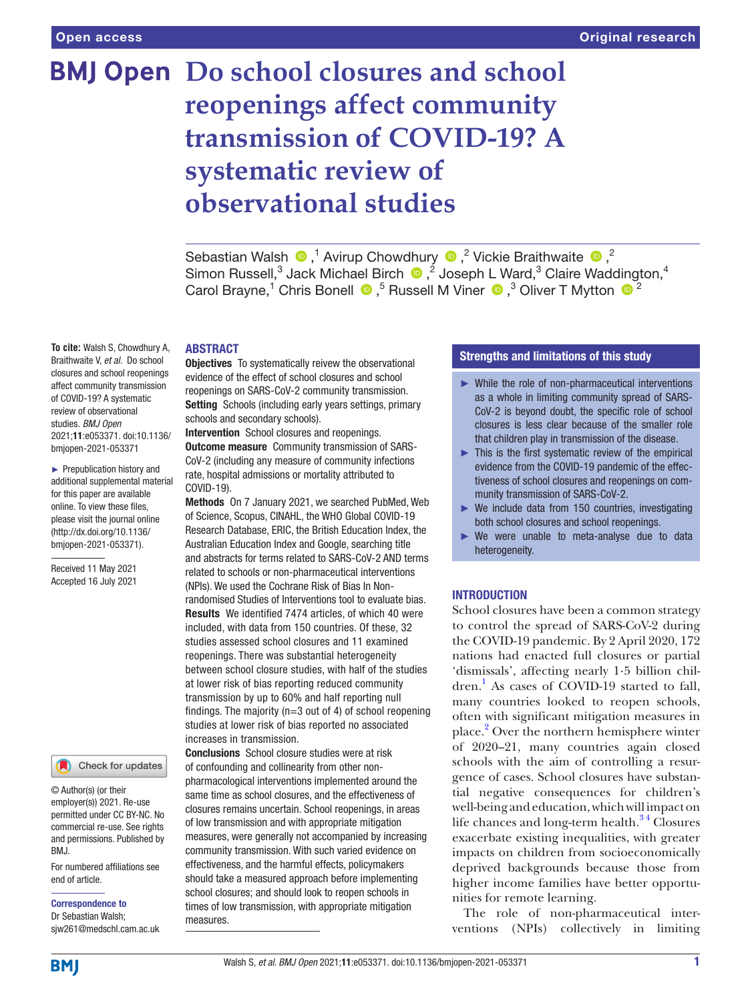# **BMJ Open** Do school closures and school **reopenings affect community transmission of COVID-19? A systematic review of observational studies**

SebastianWalsh  $\bigcirc$ ,<sup>1</sup> Avirup Chowdhury  $\bigcirc$ ,<sup>2</sup> Vickie Braithwaite  $\bigcirc$ ,<sup>2</sup> SimonRussell,<sup>3</sup> Jack Michael Birch  $\bigcirc$ ,<sup>2</sup> Joseph L Ward,<sup>3</sup> Claire Waddington,<sup>4</sup> CarolBrayne,<sup>1</sup> Chris Bonell  $\bullet$ ,<sup>5</sup> Russell M Viner  $\bullet$ ,<sup>3</sup> Oliver T Mytton  $\bullet$ <sup>2</sup>

#### ABSTRACT

**Objectives** To systematically reivew the observational evidence of the effect of school closures and school reopenings on SARS-CoV-2 community transmission. Setting Schools (including early years settings, primary schools and secondary schools).

Intervention School closures and reopenings. Outcome measure Community transmission of SARS-CoV-2 (including any measure of community infections rate, hospital admissions or mortality attributed to COVID-19).

Methods On 7 January 2021, we searched PubMed, Web of Science, Scopus, CINAHL, the WHO Global COVID-19 Research Database, ERIC, the British Education Index, the Australian Education Index and Google, searching title and abstracts for terms related to SARS-CoV-2 AND terms related to schools or non-pharmaceutical interventions (NPIs). We used the Cochrane Risk of Bias In Nonrandomised Studies of Interventions tool to evaluate bias. Results We identified 7474 articles, of which 40 were included, with data from 150 countries. Of these, 32 studies assessed school closures and 11 examined reopenings. There was substantial heterogeneity between school closure studies, with half of the studies at lower risk of bias reporting reduced community transmission by up to 60% and half reporting null findings. The majority ( $n=3$  out of 4) of school reopening studies at lower risk of bias reported no associated increases in transmission.

Conclusions School closure studies were at risk of confounding and collinearity from other nonpharmacological interventions implemented around the same time as school closures, and the effectiveness of closures remains uncertain. School reopenings, in areas of low transmission and with appropriate mitigation measures, were generally not accompanied by increasing community transmission. With such varied evidence on effectiveness, and the harmful effects, policymakers should take a measured approach before implementing school closures; and should look to reopen schools in times of low transmission, with appropriate mitigation measures.

#### Strengths and limitations of this study

- ► While the role of non-pharmaceutical interventions as a whole in limiting community spread of SARS-CoV-2 is beyond doubt, the specific role of school closures is less clear because of the smaller role that children play in transmission of the disease.
- ► This is the first systematic review of the empirical evidence from the COVID-19 pandemic of the effectiveness of school closures and reopenings on community transmission of SARS-CoV-2.
- $\triangleright$  We include data from 150 countries, investigating both school closures and school reopenings.
- ► We were unable to meta-analyse due to data heterogeneity.

#### **INTRODUCTION**

School closures have been a common strategy to control the spread of SARS-CoV-2 during the COVID-19 pandemic. By 2 April 2020, 172 nations had enacted full closures or partial 'dismissals', affecting nearly 1·5 billion chil-dren.<sup>[1](#page-34-0)</sup> As cases of COVID-19 started to fall, many countries looked to reopen schools, often with significant mitigation measures in place.<sup>[2](#page-34-1)</sup> Over the northern hemisphere winter of 2020–21, many countries again closed schools with the aim of controlling a resurgence of cases. School closures have substantial negative consequences for children's well-being and education, which will impact on life chances and long-term health. $34$  Closures exacerbate existing inequalities, with greater impacts on children from socioeconomically deprived backgrounds because those from higher income families have better opportunities for remote learning.

The role of non-pharmaceutical interventions (NPIs) collectively in limiting

**To cite:** Walsh S, Chowdhury A, Braithwaite V, *et al*. Do school closures and school reopenings affect community transmission of COVID-19? A systematic review of observational studies. *BMJ Open* 2021;11:e053371. doi:10.1136/ bmjopen-2021-053371

► Prepublication history and additional supplemental material for this paper are available online. To view these files, please visit the journal online (http://dx.doi.org/10.1136/ bmjopen-2021-053371).

Received 11 May 2021 Accepted 16 July 2021



© Author(s) (or their employer(s)) 2021. Re-use permitted under CC BY-NC. No commercial re-use. See rights and permissions. Published by BMJ.

For numbered affiliations see end of article.

Correspondence to Dr Sebastian Walsh; sjw261@medschl.cam.ac.uk

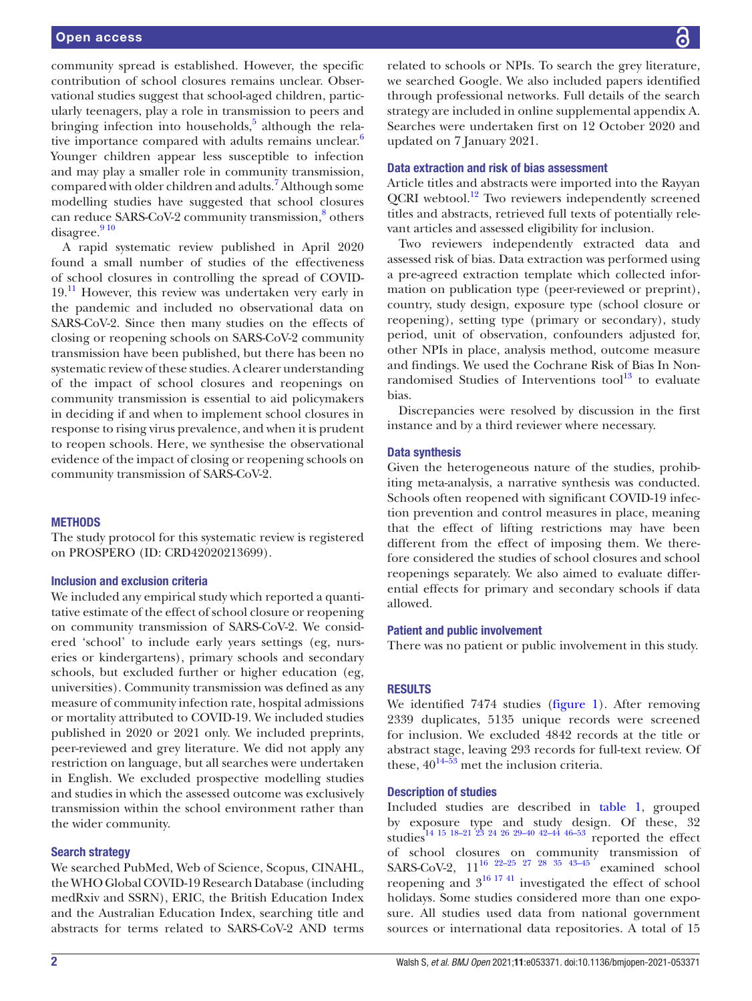community spread is established. However, the specific contribution of school closures remains unclear. Observational studies suggest that school-aged children, particularly teenagers, play a role in transmission to peers and bringing infection into households,<sup>[5](#page-34-3)</sup> although the rela-tive importance compared with adults remains unclear.<sup>[6](#page-34-4)</sup> Younger children appear less susceptible to infection and may play a smaller role in community transmission, compared with older children and adults.<sup>7</sup> Although some modelling studies have suggested that school closures can reduce SARS-CoV-2 community transmission,<sup>[8](#page-35-0)</sup> others disagree. $910$ 

A rapid systematic review published in April 2020 found a small number of studies of the effectiveness of school closures in controlling the spread of COVID- $19<sup>11</sup>$  However, this review was undertaken very early in the pandemic and included no observational data on SARS-CoV-2. Since then many studies on the effects of closing or reopening schools on SARS-CoV-2 community transmission have been published, but there has been no systematic review of these studies. A clearer understanding of the impact of school closures and reopenings on community transmission is essential to aid policymakers in deciding if and when to implement school closures in response to rising virus prevalence, and when it is prudent to reopen schools. Here, we synthesise the observational evidence of the impact of closing or reopening schools on community transmission of SARS-CoV-2.

#### **METHODS**

The study protocol for this systematic review is registered on PROSPERO (ID: CRD42020213699).

#### Inclusion and exclusion criteria

We included any empirical study which reported a quantitative estimate of the effect of school closure or reopening on community transmission of SARS-CoV-2. We considered 'school' to include early years settings (eg, nurseries or kindergartens), primary schools and secondary schools, but excluded further or higher education (eg, universities). Community transmission was defined as any measure of community infection rate, hospital admissions or mortality attributed to COVID-19. We included studies published in 2020 or 2021 only. We included preprints, peer-reviewed and grey literature. We did not apply any restriction on language, but all searches were undertaken in English. We excluded prospective modelling studies and studies in which the assessed outcome was exclusively transmission within the school environment rather than the wider community.

#### Search strategy

We searched PubMed, Web of Science, Scopus, CINAHL, the WHO Global COVID-19 Research Database (including medRxiv and SSRN), ERIC, the British Education Index and the Australian Education Index, searching title and abstracts for terms related to SARS-CoV-2 AND terms

related to schools or NPIs. To search the grey literature, we searched Google. We also included papers identified through professional networks. Full details of the search strategy are included in [online supplemental appendix A](https://dx.doi.org/10.1136/bmjopen-2021-053371). Searches were undertaken first on 12 October 2020 and updated on 7 January 2021.

#### Data extraction and risk of bias assessment

Article titles and abstracts were imported into the Rayyan QCRI webtool.<sup>12</sup> Two reviewers independently screened titles and abstracts, retrieved full texts of potentially relevant articles and assessed eligibility for inclusion.

Two reviewers independently extracted data and assessed risk of bias. Data extraction was performed using a pre-agreed extraction template which collected information on publication type (peer-reviewed or preprint), country, study design, exposure type (school closure or reopening), setting type (primary or secondary), study period, unit of observation, confounders adjusted for, other NPIs in place, analysis method, outcome measure and findings. We used the Cochrane Risk of Bias In Nonrandomised Studies of Interventions  $\text{tool}^{13}$  to evaluate bias.

Discrepancies were resolved by discussion in the first instance and by a third reviewer where necessary.

#### Data synthesis

Given the heterogeneous nature of the studies, prohibiting meta-analysis, a narrative synthesis was conducted. Schools often reopened with significant COVID-19 infection prevention and control measures in place, meaning that the effect of lifting restrictions may have been different from the effect of imposing them. We therefore considered the studies of school closures and school reopenings separately. We also aimed to evaluate differential effects for primary and secondary schools if data allowed.

#### Patient and public involvement

There was no patient or public involvement in this study.

#### RESULTS

We identified 7474 studies ([figure](#page-2-0) 1). After removing 2339 duplicates, 5135 unique records were screened for inclusion. We excluded 4842 records at the title or abstract stage, leaving 293 records for full-text review. Of these,  $40^{14-53}$  met the inclusion criteria.

#### Description of studies

Included studies are described in [table](#page-3-0) 1, grouped by exposure type and study design. Of these, 32 studies<sup>[14 15 18–21 23 24 26 29–40 42–44 46–53](#page-35-5)</sup> reported the effect of school closures on community transmission of SARS-CoV-2, 11<sup>16 22-25 27 28 35 43-45</sup> examined school reopening and  $3^{16}$  1741 investigated the effect of school holidays. Some studies considered more than one exposure. All studies used data from national government sources or international data repositories. A total of 15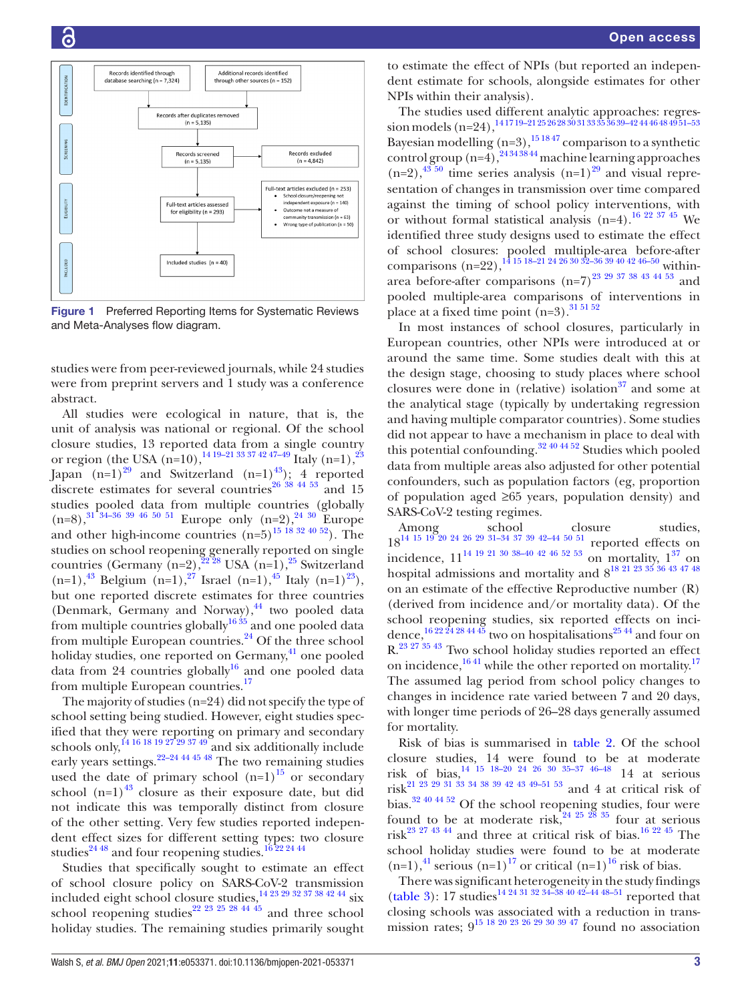

<span id="page-2-0"></span>Figure 1 Preferred Reporting Items for Systematic Reviews and Meta-Analyses flow diagram.

studies were from peer-reviewed journals, while 24 studies were from preprint servers and 1 study was a conference abstract.

All studies were ecological in nature, that is, the unit of analysis was national or regional. Of the school closure studies, 13 reported data from a single country or region (the USA  $(n=10)$ ,  $^{14 \times 19 - 21 \times 33 \times 42 \times 7 - 49}$  Italy  $(n=1)$ ,  $^{23}$ Japan  $(n=1)^{29}$  and Switzerland  $(n=1)^{43}$ ; 4 reported discrete estimates for several countries<sup>26 38</sup> <sup>44 53</sup> and 15 studies pooled data from multiple countries (globally  $(n=8)$ ,<sup>31 34–36</sup> <sup>39</sup> 46<sup>50 51</sup> Europe only  $(n=2)$ ,<sup>24</sup> <sup>30</sup> Europe and other high-income countries  $(n=5)^{15}$  18 32 40 52). The studies on school reopening generally reported on single countries (Germany  $(n=2)$ ,  $^{22\ 28}$  USA  $(n=1)$ ,  $^{25}$  Switzerland  $(n=1),^{43}$  Belgium  $(n=1),^{27}$  Israel  $(n=1),^{45}$  Italy  $(n=1)^{23}$ , but one reported discrete estimates for three countries (Denmark, Germany and Norway),<sup>44</sup> two pooled data from multiple countries globally<sup>[16 35](#page-35-6)</sup> and one pooled data from multiple European countries.<sup>[24](#page-35-12)</sup> Of the three school holiday studies, one reported on Germany, $4^1$  one pooled data from 24 countries globally $16$  and one pooled data from multiple European countries.<sup>[17](#page-35-20)</sup>

The majority of studies (n=24) did not specify the type of school setting being studied. However, eight studies specified that they were reporting on primary and secondary schools only,  $\frac{14}{16}$  18 19 27 29 37 49 and six additionally include early years settings.<sup>22–24 44 45 48</sup> The two remaining studies used the date of primary school  $(n=1)^{15}$  or secondary school  $(n=1)^{43}$  closure as their exposure date, but did not indicate this was temporally distinct from closure of the other setting. Very few studies reported independent effect sizes for different setting types: two closure studies<sup>24 48</sup> and four reopening studies.<sup>16 22 24 44</sup>

Studies that specifically sought to estimate an effect of school closure policy on SARS-CoV-2 transmission included eight school closure studies, $\frac{14\,23\,29\,32\,37\,38\,42\,44}{14\,31}$  six school reopening studies<sup>22</sup> <sup>23</sup> <sup>25</sup> <sup>28</sup> <sup>44</sup> <sup>45</sup> and three school holiday studies. The remaining studies primarily sought

to estimate the effect of NPIs (but reported an independent estimate for schools, alongside estimates for other NPIs within their analysis).

The studies used different analytic approaches: regres- $\, \rm{sion\, models\, (n=24),}^{\rm 1417\,19-21\,25\,26\,28\,30\,31\,33\,35\,36\,39-42\,44\,46\,48\,49\,51-53}$ Bayesian modelling  $(n=3)$ ,  $^{15 \times 47}$  comparison to a synthetic control group  $(n=4)$ ,  $^{24343844}$  machine learning approaches  $(n=2)$ ,  $43\frac{50}{6}$  time series analysis  $(n=1)$ <sup>29</sup> and visual representation of changes in transmission over time compared against the timing of school policy interventions, with or without formal statistical analysis  $(n=4)$ .<sup>16 22 37 45</sup> We identified three study designs used to estimate the effect of school closures: pooled multiple-area before-after comparisons  $(n=22)$ ,  $\frac{14}{15}$  18–21 24 26 30 32–36 39 40 42 46–50 withinarea before-after comparisons  $(n=7)^{23}$   $^{29}$   $^{37}$   $^{38}$   $^{43}$   $^{44}$   $^{53}$  and pooled multiple-area comparisons of interventions in place at a fixed time point  $(n=3)$ .<sup>31 51 52</sup>

In most instances of school closures, particularly in European countries, other NPIs were introduced at or around the same time. Some studies dealt with this at the design stage, choosing to study places where school closures were done in (relative) isolation<sup>[37](#page-35-21)</sup> and some at the analytical stage (typically by undertaking regression and having multiple comparator countries). Some studies did not appear to have a mechanism in place to deal with this potential confounding[.32 40 44 52](#page-35-22) Studies which pooled data from multiple areas also adjusted for other potential confounders, such as population factors (eg, proportion of population aged ≥65 years, population density) and SARS-CoV-2 testing regimes.

Among school closure studies,  $18^{14}$  15 19 20 24 26 29 31-34 37 39 42-44 50 51 reported effects on incidence,  $11^{14}$  <sup>19</sup> <sup>21</sup> <sup>30</sup> <sup>38–40</sup> <sup>42</sup> <sup>46</sup> <sup>52</sup> <sup>53</sup> on mortality,  $1^{37}$  on hospital admissions and mortality and  $8^{18\;21\;23\;35\;36\;43\;47\;48}$ on an estimate of the effective Reproductive number (R) (derived from incidence and/or mortality data). Of the school reopening studies, six reported effects on incidence,  $\frac{1622\overline{24}2844\overline{45}}{1000}$  two on hospitalisations<sup>2544</sup> and four on R[.23 27 35 43](#page-35-7) Two school holiday studies reported an effect on incidence, $1641$  while the other reported on mortality.<sup>[17](#page-35-20)</sup> The assumed lag period from school policy changes to changes in incidence rate varied between 7 and 20 days, with longer time periods of 26–28 days generally assumed for mortality.

Risk of bias is summarised in [table](#page-20-0) 2. Of the school closure studies, 14 were found to be at moderate risk of bias[,14 15 18–20 24 26 30 35–37 46–48](#page-35-5) 14 at serious risk<sup>21 23</sup> <sup>29</sup> <sup>31</sup> <sup>33</sup> <sup>34</sup> <sup>38</sup> <sup>39</sup> <sup>42</sup> <sup>43</sup> <sup>49</sup>-<sup>51</sup> <sup>53</sup> and 4 at critical risk of bias.<sup>32 40 44 52</sup> Of the school reopening studies, four were found to be at moderate risk,  $3^{24}$   $2^{5}$   $2^{8}$   $3^{5}$  four at serious risk<sup>[23 27 43 44](#page-35-7)</sup> and three at critical risk of bias.<sup>16 22 45</sup> The school holiday studies were found to be at moderate  $(n=1)$ ,<sup>41</sup> serious  $(n=1)$ <sup>17</sup> or critical  $(n=1)$ <sup>16</sup> risk of bias.

There was significant heterogeneity in the study findings [\(table](#page-23-0) 3): 17 studies<sup>[14 24 31 32 34–38 40 42–44 48–51](#page-35-5)</sup> reported that closing schools was associated with a reduction in transmission rates;  $9^{15}$  18 20 23 26 29 30 39 47 found no association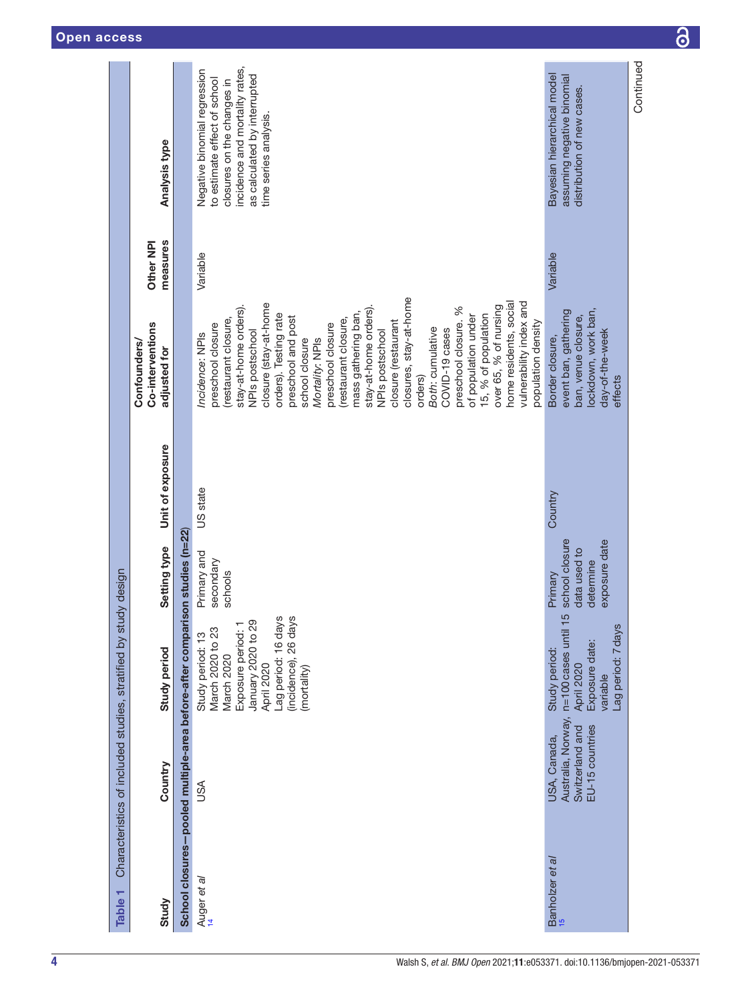<span id="page-3-0"></span>

| Table <sub>1</sub>                                        |                                                                          | Characteristics of included studies, stratified by study design                                                                                                            |                                                                         |                  |                                                                                                                                                                                                                                                                                                                                                                                                                                                                                                                                                                                                                   |                       |                                                                                                                                                                                       |
|-----------------------------------------------------------|--------------------------------------------------------------------------|----------------------------------------------------------------------------------------------------------------------------------------------------------------------------|-------------------------------------------------------------------------|------------------|-------------------------------------------------------------------------------------------------------------------------------------------------------------------------------------------------------------------------------------------------------------------------------------------------------------------------------------------------------------------------------------------------------------------------------------------------------------------------------------------------------------------------------------------------------------------------------------------------------------------|-----------------------|---------------------------------------------------------------------------------------------------------------------------------------------------------------------------------------|
| Study                                                     | Country                                                                  | Study period                                                                                                                                                               | Setting type                                                            | Unit of exposure | Co-interventions<br>Confounders/<br>adjusted for                                                                                                                                                                                                                                                                                                                                                                                                                                                                                                                                                                  | measures<br>Other NPI | Analysis type                                                                                                                                                                         |
| School closures-pooled multiple-area before-after compari |                                                                          |                                                                                                                                                                            | son studies (n=22)                                                      |                  |                                                                                                                                                                                                                                                                                                                                                                                                                                                                                                                                                                                                                   |                       |                                                                                                                                                                                       |
| Auger et al<br>14                                         | JSA                                                                      | Lag period: 16 days<br>(incidence), 26 days<br>Exposure period: 1<br>January 2020 to 29<br>March 2020 to 23<br>Study period: 13<br>March 2020<br>April 2020<br>(mortality) | Primary and<br>secondary<br>schools                                     | US state         | closures, stay-at-home<br>home residents, social<br>vulnerability index and<br>closure (stay-at-home<br>stay-at-home orders).<br>over 65, % of nursing<br>stay-at-home orders).<br>preschool closure. %<br>mass gathering ban,<br>orders). Testing rate<br>15, % of population<br>of population under<br>preschool and post<br>(restaurant closure,<br>(restaurant closure,<br>closure (restaurant<br>population density<br>preschool closure<br>preschool closure<br>Both: cumulative<br>COVID-19 cases<br>NPIs postschool<br>NPIs postschool<br>Incidence: NPIs<br>Mortality: NPIs<br>school closure<br>orders) | Variable              | incidence and mortality rates,<br>Negative binomial regression<br>as calculated by interrupted<br>to estimate effect of school<br>closures on the changes in<br>time series analysis. |
| Banholzer et al                                           | Australia, Norway,<br>EU-15 countries<br>Switzerland and<br>USA, Canada, | 5<br>n=100 cases until 1<br>Lag period: 7 days<br>Exposure date:<br>Study period:<br>April 2020<br>variable                                                                | school closure<br>exposure date<br>data used to<br>determine<br>Primary | Country          | lockdown, work ban,<br>event ban, gathering<br>ban, venue closure,<br>day-of-the-week<br>Border closure,<br>effects                                                                                                                                                                                                                                                                                                                                                                                                                                                                                               | Variable              | Bayesian hierarchical model<br>assuming negative binomial<br>distribution of new cases.                                                                                               |
|                                                           |                                                                          |                                                                                                                                                                            |                                                                         |                  |                                                                                                                                                                                                                                                                                                                                                                                                                                                                                                                                                                                                                   |                       | Continued                                                                                                                                                                             |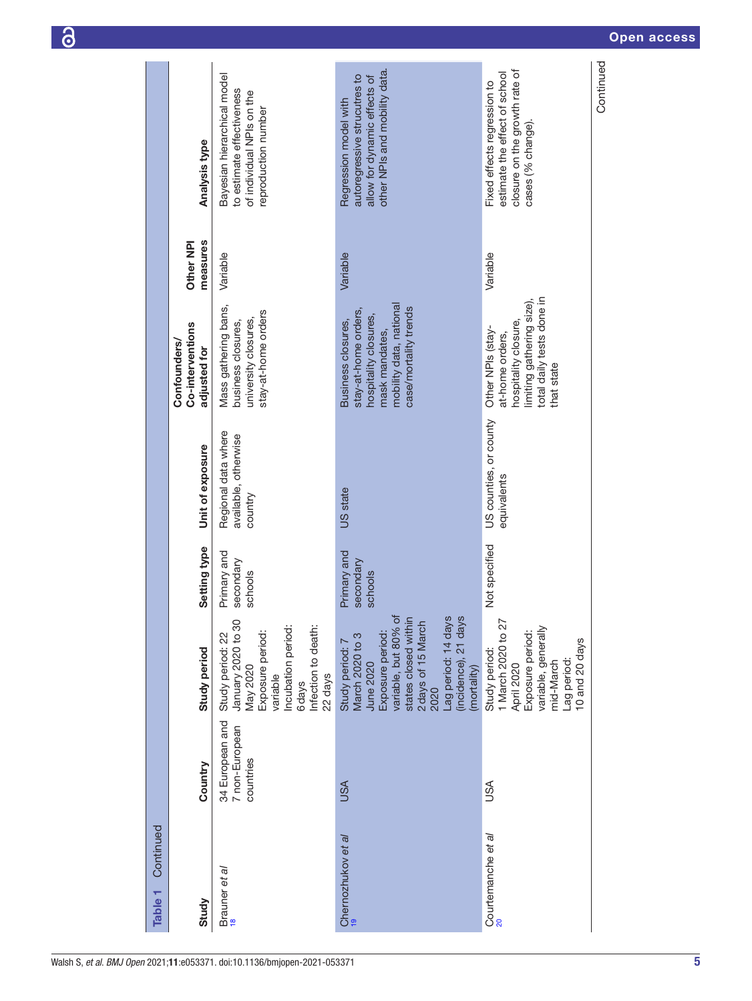| Continued<br>Table <sub>1</sub>     |                                                |                                                                                                                                                                                                                        |                                     |                                                        |                                                                                                                                           |                       |                                                                                                                        |
|-------------------------------------|------------------------------------------------|------------------------------------------------------------------------------------------------------------------------------------------------------------------------------------------------------------------------|-------------------------------------|--------------------------------------------------------|-------------------------------------------------------------------------------------------------------------------------------------------|-----------------------|------------------------------------------------------------------------------------------------------------------------|
| Study                               | Country                                        | <b>Study period</b>                                                                                                                                                                                                    | Setting type                        | Unit of exposure                                       | Co-interventions<br><b>Confounders/</b><br>adjusted for                                                                                   | measures<br>Other NPI | Analysis type                                                                                                          |
| Brauner et al<br><sup>18</sup>      | 34 European and<br>7 non-European<br>countries | January 2020 to 30<br>Incubation period:<br>Infection to death:<br>Exposure period:<br>Study period: 22<br>May 2020<br>variable<br>22 days<br>6days                                                                    | Primary and<br>secondary<br>schools | Regional data where<br>available, otherwise<br>country | Mass gathering bans,<br>stay-at-home orders<br>university closures,<br>business closures,                                                 | Variable              | Bayesian hierarchical model<br>to estimate effectiveness<br>of individual NPIs on the<br>reproduction number           |
| Chernozhukov et a/                  | <b>USA</b>                                     | variable, but 80% of<br>(incidence), 21 days<br>states closed within<br>2 days of 15 March<br>Lag period: 14 days<br>Exposure period:<br>March 2020 to 3<br>Study period: 7<br><b>June 2020</b><br>(mortality)<br>2020 | Primary and<br>secondary<br>schools | <b>US</b> state                                        | mobility data, national<br>case/mortality trends<br>stay-at-home orders,<br>hospitality closures,<br>Business closures,<br>mask mandates, | Variable              | other NPIs and mobility data.<br>autoregressive strucutres to<br>allow for dynamic effects of<br>Regression model with |
| Courtemanche et al<br><sup>20</sup> | USA                                            | 1 March 2020 to 27<br>variable, generally<br>Exposure period:<br>10 and 20 days<br>Study period:<br>Lag period:<br>mid-March<br>April 2020                                                                             | Not specified                       | US counties, or county<br>equivalents                  | total daily tests done in<br>limiting gathering size),<br>hospitality closure,<br>Other NPIs (stay-<br>at-home orders,<br>that state      | Variable              | closure on the growth rate of<br>estimate the effect of school<br>Fixed effects regression to<br>cases (% change).     |
|                                     |                                                |                                                                                                                                                                                                                        |                                     |                                                        |                                                                                                                                           |                       | Continued                                                                                                              |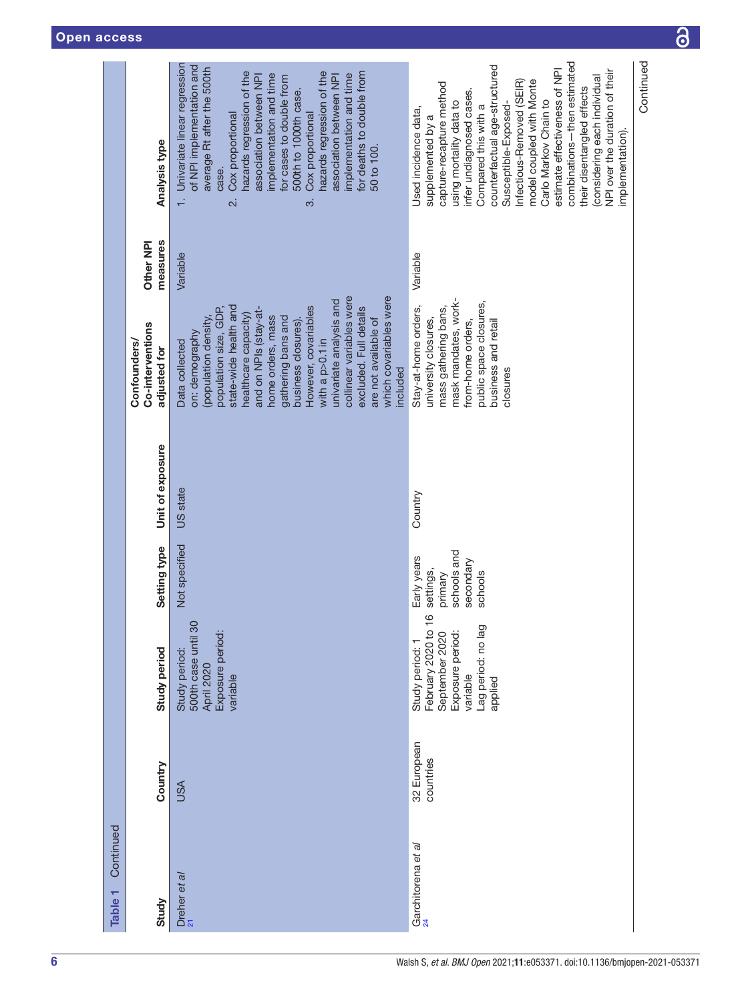| Continued<br>Table <sub>1</sub> |                          |                                                                                                                                 |                                                                            |                  |                                                                                                                                                                                                                                                                                                                                                                                                                            |                       |                                                                                                                                                                                                                                                                                                                                                                                                                                                                                  |
|---------------------------------|--------------------------|---------------------------------------------------------------------------------------------------------------------------------|----------------------------------------------------------------------------|------------------|----------------------------------------------------------------------------------------------------------------------------------------------------------------------------------------------------------------------------------------------------------------------------------------------------------------------------------------------------------------------------------------------------------------------------|-----------------------|----------------------------------------------------------------------------------------------------------------------------------------------------------------------------------------------------------------------------------------------------------------------------------------------------------------------------------------------------------------------------------------------------------------------------------------------------------------------------------|
| Study                           | Country                  | Study period                                                                                                                    | Setting type                                                               | Unit of exposure | Co-interventions<br>Confounders/<br>adjusted for                                                                                                                                                                                                                                                                                                                                                                           | measures<br>Other NPI | Analysis type                                                                                                                                                                                                                                                                                                                                                                                                                                                                    |
| Dreher et al<br><sup>21</sup>   | <b>ASU</b>               | 500th case until 30<br>Exposure period:<br>Study period:<br>April 2020<br>variable                                              | Not specified                                                              | US state         | collinear variables were<br>which covariables were<br>univariate analysis and<br>state-wide health and<br>However, covariables<br>population size, GDP,<br>excluded. Full details<br>and on NPIs (stay-at-<br>healthcare capacity)<br>(population density,<br>home orders, mass<br>gathering bans and<br>are not available of<br>business closures)<br>on: demography<br>with a $p > 0.1$ in<br>Data collected<br>included | Variable              | Univariate linear regression<br>of NPI implementation and<br>average Rt after the 500th<br>hazards regression of the<br>hazards regression of the<br>for deaths to double from<br>implementation and time<br>implementation and time<br>association between NPI<br>association between NPI<br>for cases to double from<br>500th to 1000th case.<br>Cox proportional<br>Cox proportional<br>50 to 100.<br>case.<br>2.i<br>က်                                                      |
| Garchitorena et al<br>24        | 32 European<br>countries | $\circ$<br>Lag period: no lag<br>February 2020 to<br>Exposure period:<br>September 2020<br>Study period:<br>variable<br>applied | schools and<br>Early years<br>secondary<br>settings,<br>primary<br>schools | Country          | mask mandates, work-<br>public space closures,<br>mass gathering bans,<br>Stay-at-home orders,<br>university closures,<br>from-home orders,<br>business and retail<br>closures                                                                                                                                                                                                                                             | Variable              | combinations-then estimated<br>counterfactual age-structured<br>estimate effectiveness of NPI<br>NPI over the duration of their<br>considering each individual<br>model coupled with Monte<br>Infectious-Removed (SEIR)<br>capture-recapture method<br>their disentangled effects<br>nfer undiagnosed cases.<br>Carlo Markov Chain to<br>using mortality data to<br>Compared this with a<br>Susceptible-Exposed<br>Used incidence data,<br>supplemented by a<br>implementation). |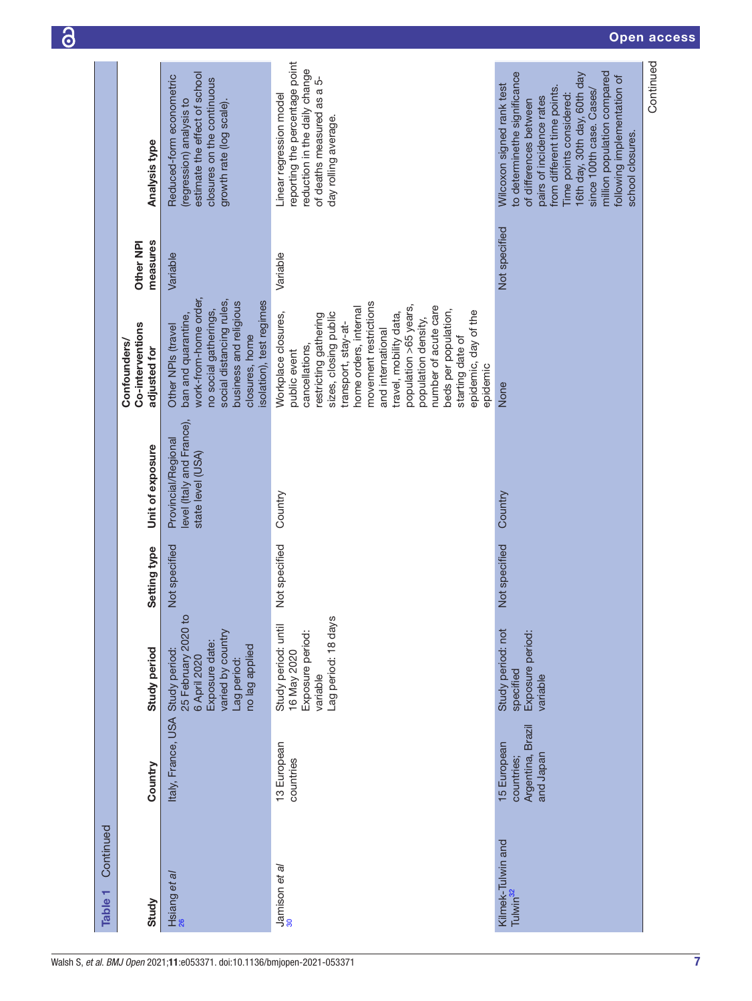| Continued<br>Table <sub>1</sub>           |                                                             |                                                                                                                              |               |                                                                       |                                                                                                                                                                                                                                                                                                                                                                                         |                       |                                                                                                                                                                                                                                                                                                                         |
|-------------------------------------------|-------------------------------------------------------------|------------------------------------------------------------------------------------------------------------------------------|---------------|-----------------------------------------------------------------------|-----------------------------------------------------------------------------------------------------------------------------------------------------------------------------------------------------------------------------------------------------------------------------------------------------------------------------------------------------------------------------------------|-----------------------|-------------------------------------------------------------------------------------------------------------------------------------------------------------------------------------------------------------------------------------------------------------------------------------------------------------------------|
| Study                                     | Country                                                     | Study period                                                                                                                 | Setting type  | Unit of exposure                                                      | Co-interventions<br><b>Confounders/</b><br>adjusted for                                                                                                                                                                                                                                                                                                                                 | measures<br>Other NPI | <b>Analysis type</b>                                                                                                                                                                                                                                                                                                    |
| Hsiang et al<br><sup>26</sup>             | Italy, France, USA                                          | 25 February 2020 to<br>varied by country<br>Exposure date:<br>no lag applied<br>Study period:<br>6 April 2020<br>Lag period: | Not specified | level (Italy and France),<br>Provincial/Regional<br>state level (USA) | work-from-home order,<br>social distancing rules,<br>isolation), test regimes<br>business and religious<br>no social gatherings,<br>ban and quarantine,<br>Other NPIs (travel<br>closures, home                                                                                                                                                                                         | Variable              | estimate the effect of school<br>Reduced-form econometric<br>closures on the continuous<br>(regression) analysis to<br>growth rate (log scale).                                                                                                                                                                         |
| $\frac{\text{Jamison et al}}{30}$         | 13 European<br>countries                                    | Lag period: 18 days<br>Study period: until<br>Exposure period:<br>16 May 2020<br>variable                                    | Not specified | Country                                                               | movement restrictions<br>population >65 years,<br>number of acute care<br>home orders, internal<br>beds per population,<br>epidemic, day of the<br>sizes, closing public<br>Workplace closures,<br>restricting gathering<br>travel, mobility data,<br>population density,<br>transport, stay-at-<br>and international<br>starting date of<br>cancellations,<br>public event<br>epidemic | Variable              | reporting the percentage point<br>reduction in the daily change<br>of deaths measured as a 5-<br>Linear regression model<br>day rolling average.                                                                                                                                                                        |
| Kilmek-Tulwin and<br>Tulwin <sup>32</sup> | Argentina, Brazil<br>15 European<br>and Japan<br>countries; | Study period: not<br>Exposure period:<br>specified<br>variable                                                               | Not specified | Country                                                               | None                                                                                                                                                                                                                                                                                                                                                                                    | Not specified         | to determinethe significance<br>million population compared<br>16th day, 30th day, 60th day<br>following implementation of<br>Wilcoxon signed rank test<br>from different time points.<br>since 100th case. Cases/<br>Time points considered:<br>pairs of incidence rates<br>of differences between<br>school closures. |
|                                           |                                                             |                                                                                                                              |               |                                                                       |                                                                                                                                                                                                                                                                                                                                                                                         |                       | Continued                                                                                                                                                                                                                                                                                                               |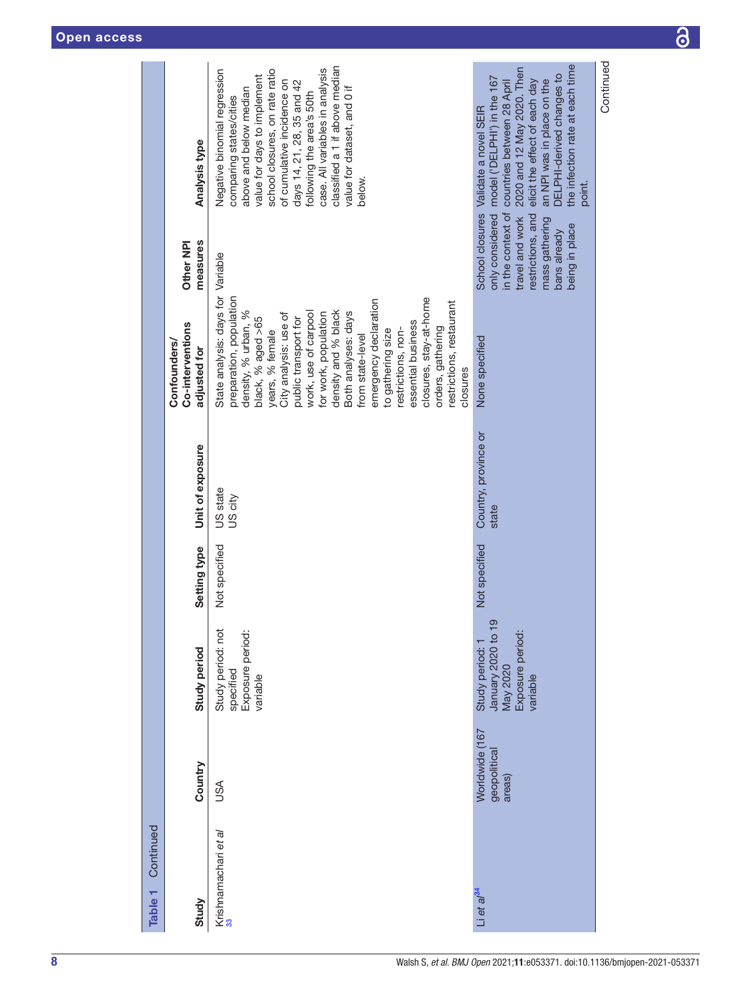| Continued<br>Table <sub>1</sub>       |                                          |                                                                                   |               |                               |                                                                                                                                                                                                                                                                                                                                                                                                                                                                                 |                                                                                                                                                     |                                                                                                                                                                                                                                                                                                                                                           |
|---------------------------------------|------------------------------------------|-----------------------------------------------------------------------------------|---------------|-------------------------------|---------------------------------------------------------------------------------------------------------------------------------------------------------------------------------------------------------------------------------------------------------------------------------------------------------------------------------------------------------------------------------------------------------------------------------------------------------------------------------|-----------------------------------------------------------------------------------------------------------------------------------------------------|-----------------------------------------------------------------------------------------------------------------------------------------------------------------------------------------------------------------------------------------------------------------------------------------------------------------------------------------------------------|
| Study                                 | Country                                  | Study period                                                                      | Setting type  | Unit of exposure              | Co-interventions<br>Confounders/<br>adjusted for                                                                                                                                                                                                                                                                                                                                                                                                                                | measures<br>Other NPI                                                                                                                               | Analysis type                                                                                                                                                                                                                                                                                                                                             |
| Krishnamachari et a/<br><sup>33</sup> | USA                                      | Study period: not<br>Exposure period:<br>specified<br>variable                    | Not specified | US state<br>US city           | State analysis: days for Variable<br>closures, stay-at-home<br>preparation, population<br>emergency declaration<br>restrictions, restaurant<br>density, % urban, %<br>density and % black<br>work, use of carpool<br>Both analyses: days<br>for work, population<br>City analysis: use of<br>public transport for<br>black, % aged >65<br>essential business<br>restrictions, non-<br>orders, gathering<br>years, % female<br>to gathering size<br>from state-level<br>closures |                                                                                                                                                     | classified a 1 if above median<br>Negative binomial regression<br>case. All variables in analysis<br>school closures, on rate ratio<br>value for days to implement<br>of cumulative incidence on<br>days 14, 21, 28, 35 and 42<br>value for dataset, and 0 if<br>above and below median<br>following the area's 50th<br>comparing states/cities<br>below. |
| Li et al <sup>34</sup>                | Worldwide (167<br>geopolitical<br>areas) | January 2020 to 19<br>Exposure period:<br>Study period: 1<br>May 2020<br>variable | Not specified | Country, province or<br>state | None specified                                                                                                                                                                                                                                                                                                                                                                                                                                                                  | in the context of<br>School closures<br>only considered<br>restrictions, and<br>travel and work<br>mass gathering<br>being in place<br>bans already | the infection rate at each time<br>2020 and 12 May 2020. Then<br>DELPHI-derived changes to<br>model ('DELPHI') in the 167<br>an NPI was in place on the<br>elicit the effect of each day<br>countries between 28 April<br>Validate a novel SEIR<br>point.                                                                                                 |
|                                       |                                          |                                                                                   |               |                               |                                                                                                                                                                                                                                                                                                                                                                                                                                                                                 |                                                                                                                                                     | Continued                                                                                                                                                                                                                                                                                                                                                 |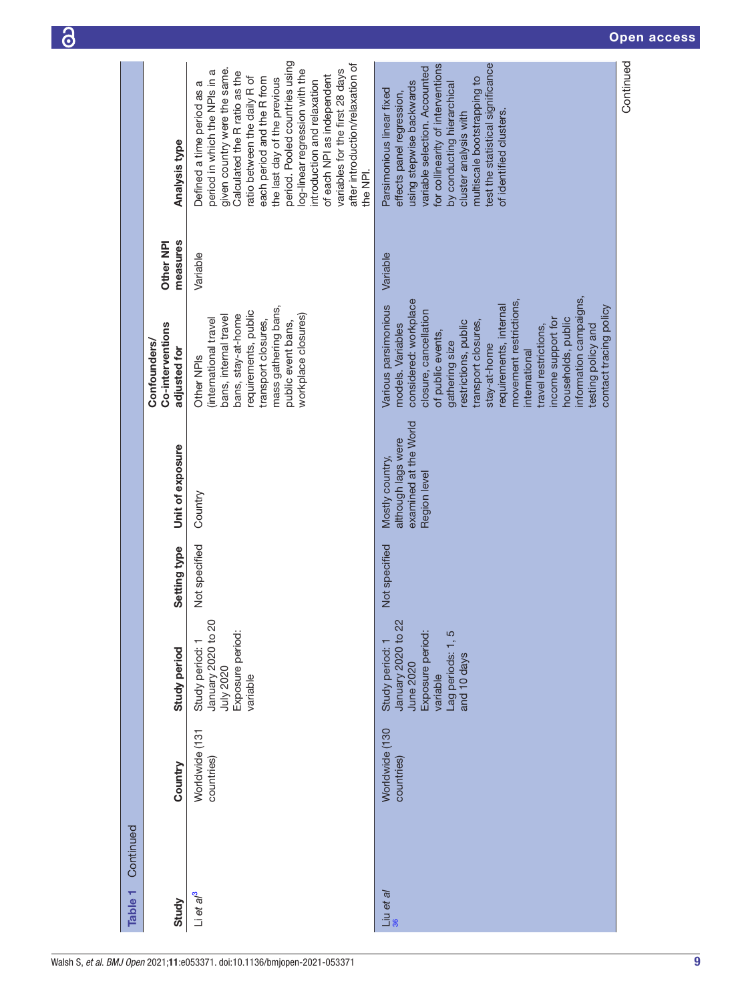| Table <sub>1</sub>   | Continued |                              |                                                                                                                      |               |                                                                                |                                                                                                                                                                                                                                                                                                                                                                                                                     |                       |                                                                                                                                                                                                                                                                                                                                                                                                                                               |  |
|----------------------|-----------|------------------------------|----------------------------------------------------------------------------------------------------------------------|---------------|--------------------------------------------------------------------------------|---------------------------------------------------------------------------------------------------------------------------------------------------------------------------------------------------------------------------------------------------------------------------------------------------------------------------------------------------------------------------------------------------------------------|-----------------------|-----------------------------------------------------------------------------------------------------------------------------------------------------------------------------------------------------------------------------------------------------------------------------------------------------------------------------------------------------------------------------------------------------------------------------------------------|--|
| Study                |           | Country                      | Study period                                                                                                         | Setting type  | Unit of exposure                                                               | Co-interventions<br><b>Confounders/</b><br>adjusted for                                                                                                                                                                                                                                                                                                                                                             | measures<br>Other NPI | Analysis type                                                                                                                                                                                                                                                                                                                                                                                                                                 |  |
| Li et a $l^3$        |           | Worldwide (131<br>countries) | January 2020 to 20<br>Exposure period:<br>Study period:<br>July 2020<br>variable                                     | Not specified | Country                                                                        | mass gathering bans,<br>requirements, public<br>bans, stay-at-home<br>workplace closures)<br>bans, internal travel<br>(international travel<br>transport closures,<br>public event bans,<br>Other NPI <sub>S</sub>                                                                                                                                                                                                  | Variable              | period. Pooled countries using<br>after introduction/relaxation of<br>given country were the same.<br>variables for the first 28 days<br>log-linear regression with the<br>period in which the NPIs in a<br>Calculated the R ratio as the<br>of each NPI as independent<br>atio between the daily R of<br>each period and the R from<br>the last day of the previous<br>introduction and relaxation<br>Defined a time period as a<br>the NPI. |  |
| $\frac{1}{36}$ et al |           | Worldwide (130<br>countries) | January 2020 to 22<br>Exposure period:<br>Lag periods: 1, 5<br>Study period:<br>and 10 days<br>June 2020<br>variable | Not specified | examined at the World<br>although lags were<br>Mostly country,<br>Region level | information campaigns<br>considered: workplace<br>movement restrictions,<br>Various parsimonious<br>requirements, internal<br>contact tracing policy<br>closure, cancellation<br>households, public<br>income support for<br>transport closures,<br>restrictions, public<br>models. Variables<br>testing policy and<br>travel restrictions,<br>of public events,<br>gathering size<br>stay-at-home<br>international | Variable              | test the statistical significance<br>for collinearity of interventions<br>variable selection. Accounted<br>multiscale bootstrapping to<br>using stepwise backwards<br>by conducting hierarchical<br>Parsimonious linear fixed<br>effects panel regression,<br>cluster analysis with<br>of identified clusters.                                                                                                                                |  |
|                      |           |                              |                                                                                                                      |               |                                                                                |                                                                                                                                                                                                                                                                                                                                                                                                                     |                       | Continued                                                                                                                                                                                                                                                                                                                                                                                                                                     |  |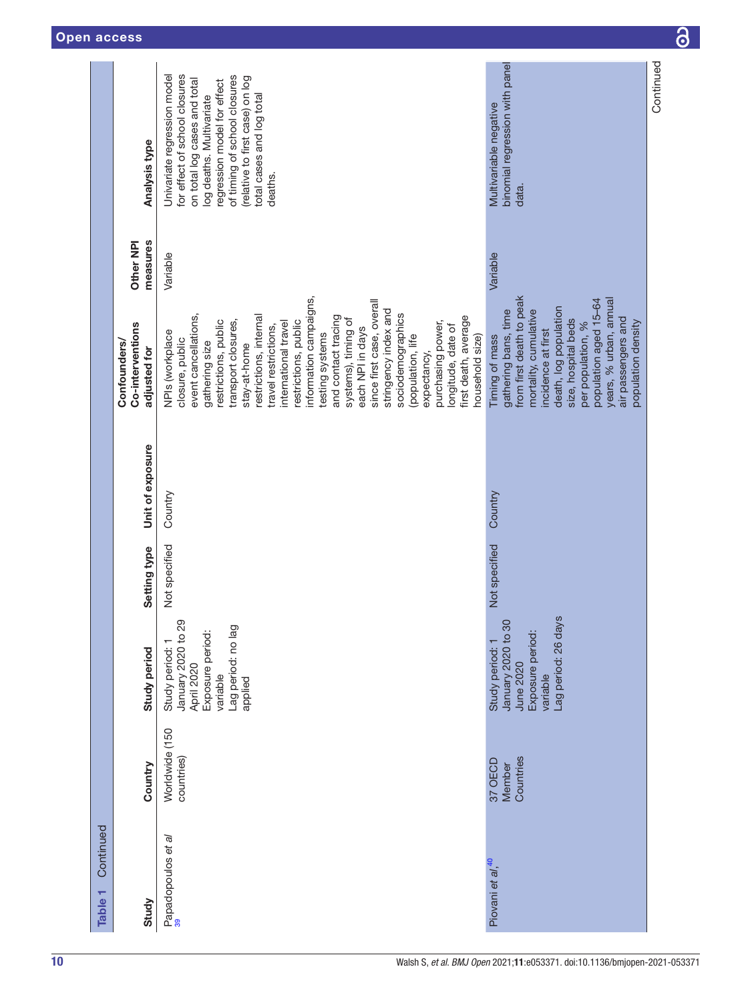|                                 |                                                         | for effect of school closures<br>Univariate regression model<br>of timing of school closures<br>(relative to first case) on log<br>on total log cases and total<br>regression model for effect<br>total cases and log total<br>log deaths. Multivariate                                                                                                                                                                                                                                                                                                          | binomial regression with panel<br>Multivariable negative                                                                                                                                                                                                                              | Continued |
|---------------------------------|---------------------------------------------------------|------------------------------------------------------------------------------------------------------------------------------------------------------------------------------------------------------------------------------------------------------------------------------------------------------------------------------------------------------------------------------------------------------------------------------------------------------------------------------------------------------------------------------------------------------------------|---------------------------------------------------------------------------------------------------------------------------------------------------------------------------------------------------------------------------------------------------------------------------------------|-----------|
|                                 | Analysis type                                           | deaths.                                                                                                                                                                                                                                                                                                                                                                                                                                                                                                                                                          | data.                                                                                                                                                                                                                                                                                 |           |
|                                 | measures<br>Other NPI                                   | Variable                                                                                                                                                                                                                                                                                                                                                                                                                                                                                                                                                         | Variable                                                                                                                                                                                                                                                                              |           |
|                                 | Co-interventions<br><b>Confounders/</b><br>adjusted for | information campaigns,<br>since first case, overall<br>stringency index and<br>event cancellations,<br>sociodemographics<br>restrictions, internal<br>and contact tracing<br>first death, average<br>systems), timing of<br>transport closures,<br>restrictions, public<br>restrictions, public<br>international travel<br>purchasing power,<br>longitude, date of<br>travel restrictions,<br>each NPI in days<br>NPIs (workplace<br>testing systems<br>household size)<br>(population, life<br>closure, public<br>gathering size<br>stay-at-home<br>expectancy, | from first death to peak<br>years, % urban, annual<br>population aged 15-64<br>death, log population<br>gathering bans, time<br>mortality, cumulative<br>air passengers and<br>size, hospital beds<br>population density<br>per population, %<br>incidence at first<br>Timing of mass |           |
|                                 | Unit of exposure                                        | Country                                                                                                                                                                                                                                                                                                                                                                                                                                                                                                                                                          | Country                                                                                                                                                                                                                                                                               |           |
|                                 | Setting type                                            | Not specified                                                                                                                                                                                                                                                                                                                                                                                                                                                                                                                                                    | Not specified                                                                                                                                                                                                                                                                         |           |
|                                 | Study period                                            | January 2020 to 29<br>Lag period: no lag<br>Exposure period:<br>Study period:<br>April 2020<br>variable<br>applied                                                                                                                                                                                                                                                                                                                                                                                                                                               | Lag period: 26 days<br>January 2020 to 30<br>Exposure period:<br>Study period: 1<br>June 2020<br>variable                                                                                                                                                                             |           |
|                                 | Country                                                 | Worldwide (150<br>countries)                                                                                                                                                                                                                                                                                                                                                                                                                                                                                                                                     | Countries<br>37 OECD<br>Member                                                                                                                                                                                                                                                        |           |
| Continued<br>Table <sub>1</sub> | Study                                                   | Papadopoulos et al<br>39                                                                                                                                                                                                                                                                                                                                                                                                                                                                                                                                         | Piovani et al, <sup>40</sup>                                                                                                                                                                                                                                                          |           |

 $\overline{\partial}$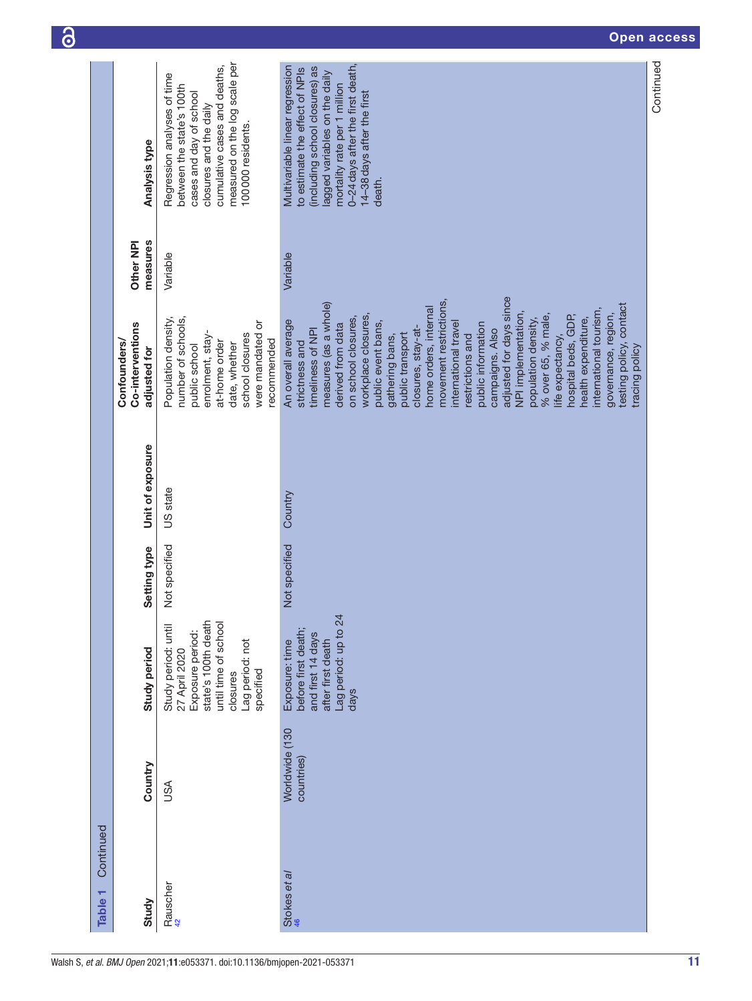| Continued<br>٣<br><b>Table</b> |                              |                                                                                                                                                     |               |                  |                                                                                                                                                                                                                                                                                                                                                                                                                                                                                                                                                                                                                                                 |                       |                                                                                                                                                                                                                                                  |
|--------------------------------|------------------------------|-----------------------------------------------------------------------------------------------------------------------------------------------------|---------------|------------------|-------------------------------------------------------------------------------------------------------------------------------------------------------------------------------------------------------------------------------------------------------------------------------------------------------------------------------------------------------------------------------------------------------------------------------------------------------------------------------------------------------------------------------------------------------------------------------------------------------------------------------------------------|-----------------------|--------------------------------------------------------------------------------------------------------------------------------------------------------------------------------------------------------------------------------------------------|
| Study                          | Country                      | Study period                                                                                                                                        | Setting type  | Unit of exposure | Co-interventions<br>Confounders/<br>adjusted for                                                                                                                                                                                                                                                                                                                                                                                                                                                                                                                                                                                                | measures<br>Other NPI | <b>Analysis type</b>                                                                                                                                                                                                                             |
| Rauscher<br><sup>42</sup>      | <b>ASU</b>                   | state's 100th death<br>until time of school<br>Study period: until<br>Exposure period:<br>Lag period: not<br>27 April 2020<br>specified<br>closures | Not specified | US state         | Population density,<br>number of schools,<br>were mandated or<br>school closures<br>enrolment, stay-<br>recommended<br>at-home order<br>date, whether<br>public school                                                                                                                                                                                                                                                                                                                                                                                                                                                                          | Variable              | measured on the log scale per<br>cumulative cases and deaths,<br>Regression analyses of time<br>between the state's 100th<br>cases and day of school<br>closures and the daily<br>100000 residents.                                              |
| Stokes et al                   | Worldwide (130<br>countries) | Lag period: up to 24<br>before first death;<br>and first 14 days<br>after first death<br>Exposure: time<br>days                                     | Not specified | Country          | adjusted for days since<br>movement restrictions,<br>measures (as a whole)<br>testing policy, contact<br>home orders, internal<br>international tourism,<br>NPI implementation,<br>governance, region,<br>workplace closures,<br>% over 65, % male,<br>hospital beds, GDP,<br>on school closures,<br>population density,<br>health expenditure,<br>An overall average<br>public event bans,<br>international travel<br>public information<br>derived from data<br>closures, stay-at-<br>campaigns. Also<br>timeliness of NPI<br>public transport<br>gathering bans,<br>restrictions and<br>life expectancy,<br>strictness and<br>tracing policy | Variable              | 0-24 days after the first death,<br>Multivariable linear regression<br>(including school closures) as<br>to estimate the effect of NPIs<br>lagged variables on the daily<br>mortality rate per 1 million<br>14-38 days after the first<br>death. |
|                                |                              |                                                                                                                                                     |               |                  |                                                                                                                                                                                                                                                                                                                                                                                                                                                                                                                                                                                                                                                 |                       | Continued                                                                                                                                                                                                                                        |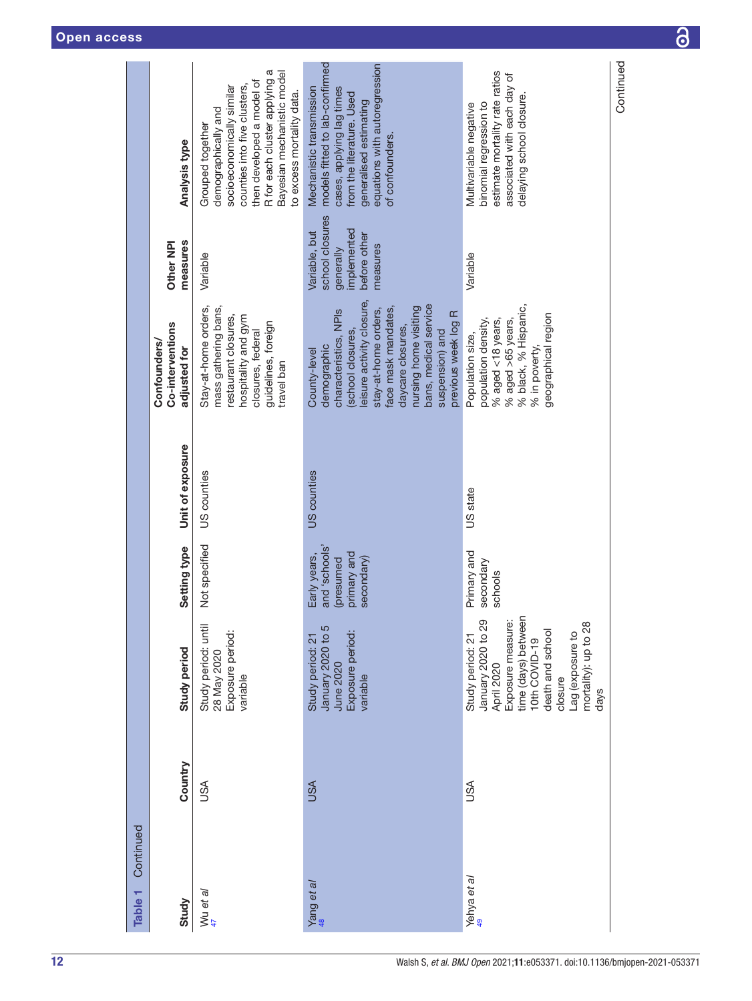|                    |                                     |                                                                                                                                                       |                                                                                                                                                                                                                                      |                                                                                                                                              | Continued |
|--------------------|-------------------------------------|-------------------------------------------------------------------------------------------------------------------------------------------------------|--------------------------------------------------------------------------------------------------------------------------------------------------------------------------------------------------------------------------------------|----------------------------------------------------------------------------------------------------------------------------------------------|-----------|
|                    |                                     | R for each cluster applying a<br>Bayesian mechanistic model<br>then developed a model of<br>counties into five clusters,<br>socioeconomically similar | models fitted to lab-confirmed<br>equations with autoregression<br>Mechanistic transmission<br>cases, applying lag times                                                                                                             | estimate mortality rate ratios<br>associated with each day of                                                                                |           |
|                    |                                     | to excess mortality data.<br>demographically and<br>Grouped together                                                                                  | from the literature. Used<br>generalised estimating                                                                                                                                                                                  | delaying school closure.<br>binomial regression to<br>Multivariable negative                                                                 |           |
|                    | <b>Analysis type</b>                |                                                                                                                                                       | of confounders.                                                                                                                                                                                                                      |                                                                                                                                              |           |
|                    |                                     |                                                                                                                                                       |                                                                                                                                                                                                                                      |                                                                                                                                              |           |
|                    |                                     |                                                                                                                                                       | school closures<br>implemented<br>Variable, but<br>before other                                                                                                                                                                      |                                                                                                                                              |           |
|                    | measures<br>Other NPI               | Variable                                                                                                                                              | measures<br>generally                                                                                                                                                                                                                | Variable                                                                                                                                     |           |
|                    |                                     |                                                                                                                                                       |                                                                                                                                                                                                                                      |                                                                                                                                              |           |
|                    | Co-interventions                    | mass gathering bans,<br>Stay-at-home orders,<br>restaurant closures,<br>hospitality and gym<br>guidelines, foreign<br>closures, federal               | eisure activity closure,<br>bans, medical service<br>face mask mandates,<br>nursing home visiting<br>stay-at-home orders,<br>characteristics, NPIs<br>previous week log R<br>daycare closures,<br>suspension) and<br>school closures | % black, % Hispanic,<br>geographical region<br>$%$ aged <18 years,<br>population density,<br>$%$ aged $>65$ years,<br>Population size,       |           |
|                    | <b>Confounders/</b><br>adjusted for | travel ban                                                                                                                                            | demographic<br>County-level                                                                                                                                                                                                          | % in poverty                                                                                                                                 |           |
|                    |                                     |                                                                                                                                                       |                                                                                                                                                                                                                                      |                                                                                                                                              |           |
|                    |                                     |                                                                                                                                                       |                                                                                                                                                                                                                                      |                                                                                                                                              |           |
|                    | Unit of exposure                    | US counties                                                                                                                                           | US counties                                                                                                                                                                                                                          | US state                                                                                                                                     |           |
|                    |                                     |                                                                                                                                                       |                                                                                                                                                                                                                                      |                                                                                                                                              |           |
|                    | Setting type                        | Not specified                                                                                                                                         | sloodos, pue<br>primary and<br>Early years,                                                                                                                                                                                          | Primary and                                                                                                                                  |           |
|                    |                                     |                                                                                                                                                       | secondary)<br>presumed                                                                                                                                                                                                               | secondary<br>schools                                                                                                                         |           |
|                    |                                     |                                                                                                                                                       |                                                                                                                                                                                                                                      | time (days) between                                                                                                                          |           |
|                    | <b>Study period</b>                 | Study period: until<br>Exposure period:<br>28 May 2020                                                                                                | January 2020 to 5<br>Exposure period:<br>Study period: 21                                                                                                                                                                            | January 2020 to 29<br>Exposure measure:<br>mortality): up to 28<br>death and school<br>Lag (exposure to<br>Study period: 21<br>10th COVID-19 |           |
|                    |                                     | variable                                                                                                                                              | June 2020<br>variable                                                                                                                                                                                                                | April 2020<br>closure<br>days                                                                                                                |           |
|                    |                                     |                                                                                                                                                       |                                                                                                                                                                                                                                      |                                                                                                                                              |           |
|                    | Country                             |                                                                                                                                                       |                                                                                                                                                                                                                                      |                                                                                                                                              |           |
|                    |                                     | SA                                                                                                                                                    | <b>USA</b>                                                                                                                                                                                                                           | USA                                                                                                                                          |           |
| Continued          |                                     |                                                                                                                                                       |                                                                                                                                                                                                                                      |                                                                                                                                              |           |
|                    |                                     |                                                                                                                                                       |                                                                                                                                                                                                                                      |                                                                                                                                              |           |
| Table <sub>1</sub> | Study                               | Wu et al                                                                                                                                              | Yang et al                                                                                                                                                                                                                           | Yehya et al                                                                                                                                  |           |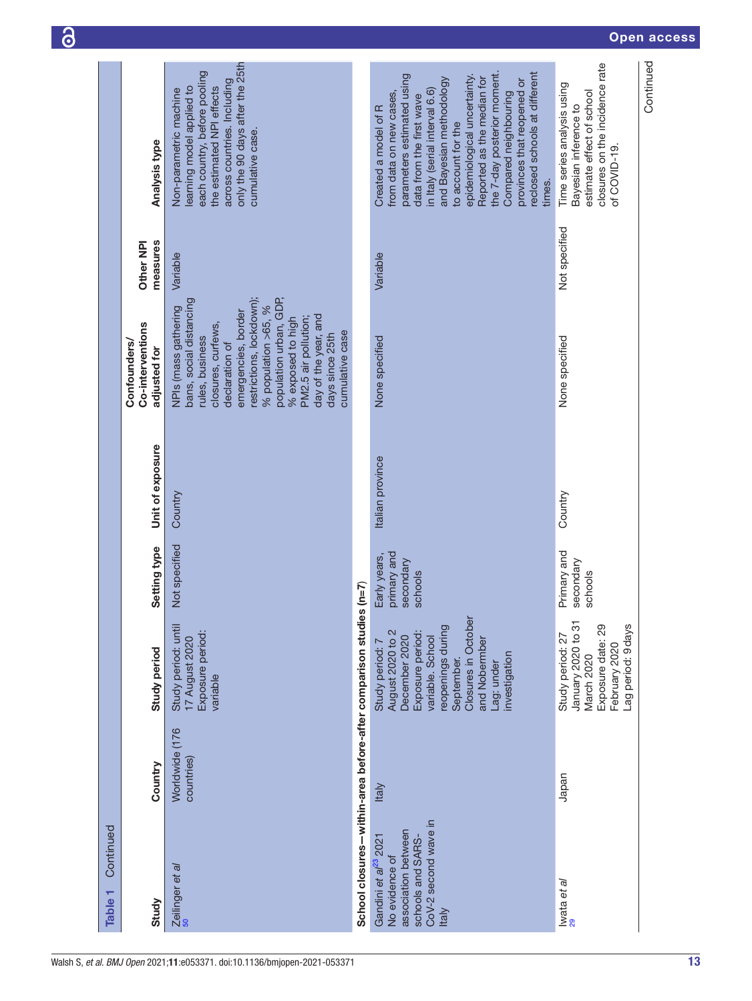| Continued<br>Table 1                                                                                                                   |                              |                                                                                                                                                                                                       |                                                     |                  |                                                                                                                                                                                                                                                                                                                           |                       |                                                                                                                                                                                                                                                                                                                                                                                              |
|----------------------------------------------------------------------------------------------------------------------------------------|------------------------------|-------------------------------------------------------------------------------------------------------------------------------------------------------------------------------------------------------|-----------------------------------------------------|------------------|---------------------------------------------------------------------------------------------------------------------------------------------------------------------------------------------------------------------------------------------------------------------------------------------------------------------------|-----------------------|----------------------------------------------------------------------------------------------------------------------------------------------------------------------------------------------------------------------------------------------------------------------------------------------------------------------------------------------------------------------------------------------|
| Study                                                                                                                                  | Country                      | Study period                                                                                                                                                                                          | Setting type                                        | Unit of exposure | Co-interventions<br><b>Confounders/</b><br>adjusted for                                                                                                                                                                                                                                                                   | measures<br>Other NPI | <b>Analysis type</b>                                                                                                                                                                                                                                                                                                                                                                         |
| Zeilinger et al                                                                                                                        | Worldwide (176<br>countries) | Study period: until<br>Exposure period:<br>17 August 2020<br>variable                                                                                                                                 | Not specified                                       | Country          | restrictions, lockdown);<br>population urban, GDP,<br>bans, social distancing<br>% population >65, %<br>NPIs (mass gathering<br>emergencies, border<br>day of the year, and<br>PM2.5 air pollution;<br>% exposed to high<br>closures, curfews,<br>cumulative case<br>days since 25th<br>rules, business<br>declaration of | Variable              | only the 90 days after the 25th<br>each country, before pooling<br>across countries. Including<br>learning model applied to<br>the estimated NPI effects<br>Non-parametric machine<br>cumulative case.                                                                                                                                                                                       |
| School closures-within-area before-after comparison studi-                                                                             |                              |                                                                                                                                                                                                       | $(5=0)$ es                                          |                  |                                                                                                                                                                                                                                                                                                                           |                       |                                                                                                                                                                                                                                                                                                                                                                                              |
| CoV-2 second wave in<br>association between<br>Gandini et al <sup>23</sup> 2021<br>schools and SARS-<br>No evidence of<br><b>Italy</b> | <b>Italy</b>                 | Closures in October<br>reopenings during<br>August 2020 to 2<br>Exposure period:<br>December 2020<br>variable. School<br>and Nobermber<br>Study period: 7<br>nvestigation<br>September.<br>Lag: under | primary and<br>Early years,<br>secondary<br>schools | Italian province | None specified                                                                                                                                                                                                                                                                                                            | Variable              | the 7-day posterior moment.<br>reclosed schools at different<br>parameters estimated using<br>epidemiological uncertainty.<br>Reported as the median for<br>and Bayesian methodology<br>provinces that reopened or<br>in Italy (serial interval 6.6)<br>from data on new cases,<br>Compared neighbouring<br>data from the first wave<br>Created a model of R<br>to account for the<br>times. |
| Iwata et al<br><sup>29</sup>                                                                                                           | Japan                        | January 2020 to 31<br>Exposure date: 29<br>-ag period: 9 days<br>Study period: 27<br>February 2020<br>March 2020                                                                                      | Primary and<br>secondary<br>schools                 | Country          | None specified                                                                                                                                                                                                                                                                                                            | Not specified         | closures on the incidence rate<br>Time series analysis using<br>estimate effect of school<br>Bayesian inference to<br>of COVID-19.                                                                                                                                                                                                                                                           |
|                                                                                                                                        |                              |                                                                                                                                                                                                       |                                                     |                  |                                                                                                                                                                                                                                                                                                                           |                       | Continued                                                                                                                                                                                                                                                                                                                                                                                    |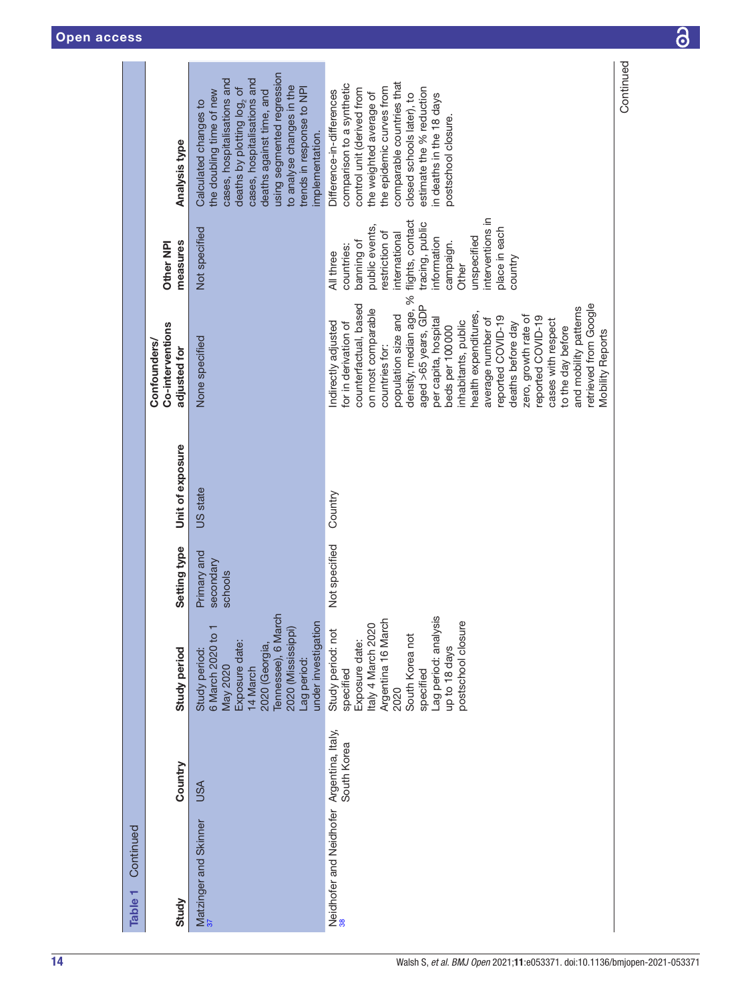| Continued<br>Table 1                      |             |                                                                                                                                                                                                     |                                     |                  |                                                                                                                                                                                                                                                                                                                                                                                                                                                                                                                    |                                                                                                                                                                                                                                       |                                                                                                                                                                                                                                                                                                  |
|-------------------------------------------|-------------|-----------------------------------------------------------------------------------------------------------------------------------------------------------------------------------------------------|-------------------------------------|------------------|--------------------------------------------------------------------------------------------------------------------------------------------------------------------------------------------------------------------------------------------------------------------------------------------------------------------------------------------------------------------------------------------------------------------------------------------------------------------------------------------------------------------|---------------------------------------------------------------------------------------------------------------------------------------------------------------------------------------------------------------------------------------|--------------------------------------------------------------------------------------------------------------------------------------------------------------------------------------------------------------------------------------------------------------------------------------------------|
| Study                                     | Country     | Study period                                                                                                                                                                                        | Setting type                        | Unit of exposure | Co-interventions<br>Confounders/<br>adjusted for                                                                                                                                                                                                                                                                                                                                                                                                                                                                   | measures<br>Other NPI                                                                                                                                                                                                                 | Analysis type                                                                                                                                                                                                                                                                                    |
| Matzinger and Skinner                     | <b>USA</b>  | Tennessee), 6 March<br>under investigation<br>6 March 2020 to 1<br>2020 (Mississippi)<br>Exposure date:<br>2020 (Georgia,<br>Study period:<br>Lag period:<br><b>May 2020</b><br>14 March            | Primary and<br>secondary<br>schools | US state         | None specified                                                                                                                                                                                                                                                                                                                                                                                                                                                                                                     | Not specified                                                                                                                                                                                                                         | using segmented regression<br>cases, hospitalisations and<br>cases, hospitalisations and<br>to analyse changes in the<br>deaths by plotting log <sub>2</sub> of<br>trends in response to NPI<br>deaths against time, and<br>the doubling time of new<br>Calculated changes to<br>implementation. |
| Neidhofer and Neidhofer Argentina, Italy, | South Korea | Lag period: analysis<br>Argentina 16 March<br>postschool closure<br>Italy 4 March 2020<br>Study period: not<br>South Korea not<br>Exposure date:<br>up to 18 days<br>specified<br>specified<br>2020 | Not specified                       | Country          | density, median age, %<br>retrieved from Google<br>counterfactual, based<br>aged >65 years, GDP<br>and mobility patterns<br>on most comparable<br>health expenditures,<br>population size and<br>zero, growth rate of<br>reported COVID-19<br>reported COVID-19<br>per capita, hospital<br>average number of<br>cases with respect<br>inhabitants, public<br>Indirectly adjusted<br>for in derivation of<br>deaths before day<br>beds per 100000<br>to the day before<br><b>Mobility Reports</b><br>countries for: | interventions in<br>flights, contact<br>tracing, public<br>public events,<br>place in each<br>restriction of<br>international<br>unspecified<br>information<br>banning of<br>campaign.<br>countries:<br>All three<br>country<br>Other | comparable countries that<br>comparison to a synthetic<br>the epidemic curves from<br>estimate the % reduction<br>control unit (derived from<br>Difference-in-differences<br>the weighted average of<br>closed schools later), to<br>in deaths in the 18 days<br>postschool closure.             |
|                                           |             |                                                                                                                                                                                                     |                                     |                  |                                                                                                                                                                                                                                                                                                                                                                                                                                                                                                                    |                                                                                                                                                                                                                                       | Continued                                                                                                                                                                                                                                                                                        |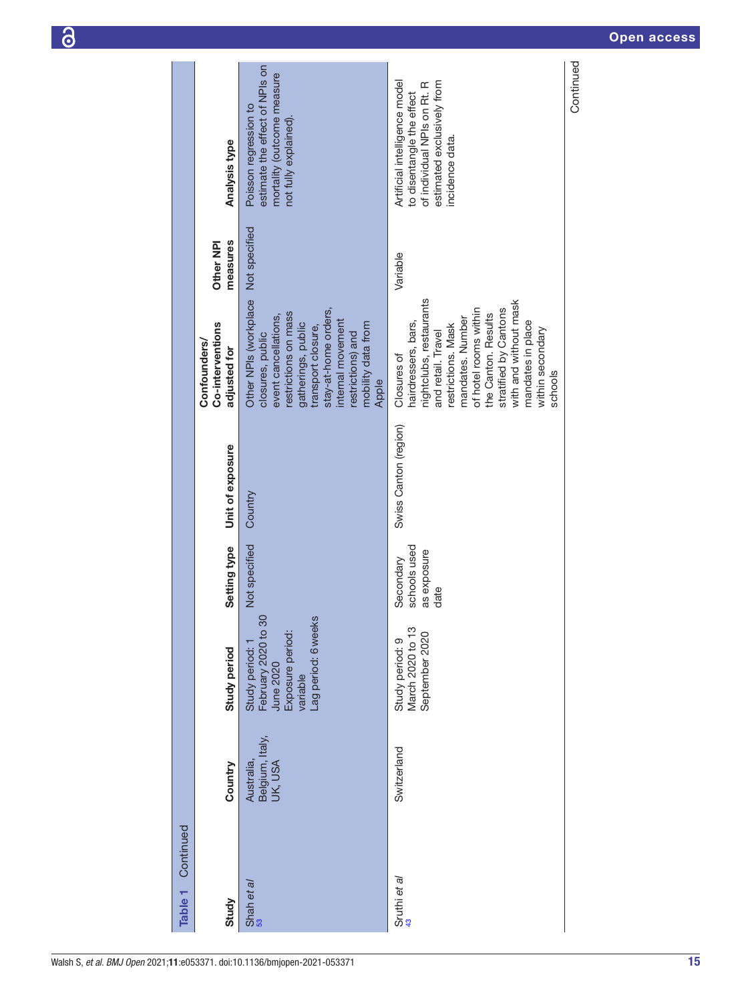| Table 1 Continued |                                          |                                                                                                          |                                                  |                       |                                                                                                                                                                                                                                                                                     |                       |                                                                                                                                            |
|-------------------|------------------------------------------|----------------------------------------------------------------------------------------------------------|--------------------------------------------------|-----------------------|-------------------------------------------------------------------------------------------------------------------------------------------------------------------------------------------------------------------------------------------------------------------------------------|-----------------------|--------------------------------------------------------------------------------------------------------------------------------------------|
| Study             | Country                                  | Study period                                                                                             | Setting type                                     | Unit of exposure      | Co-interventions<br>Confounders/<br>adjusted for                                                                                                                                                                                                                                    | measures<br>Other NPI | Analysis type                                                                                                                              |
| Shah et al        | Belgium, Italy,<br>Australia,<br>UK, USA | February 2020 to 30<br>Lag period: 6 weeks<br>Exposure period:<br>Study period:<br>June 2020<br>variable | Not specified                                    | Country               | Other NPIs (workplace Not specified<br>stay-at-home orders,<br>restrictions on mass<br>event cancellations,<br>internal movement<br>mobility data from<br>gatherings, public<br>transport closure,<br>restrictions) and<br>closures, public<br>Apple                                |                       | estimate the effect of NPIs on<br>mortality (outcome measure<br>Poisson regression to<br>not fully explained).                             |
| Sruthi et al      | Switzerland                              | March 2020 to 13<br>September 2020<br>Study period: 9                                                    | schools used<br>as exposure<br>Secondary<br>date | Swiss Canton (region) | nightclubs, restaurants<br>with and without mask<br>stratified by Cantons<br>of hotel rooms within<br>the Canton. Results<br>mandates. Number<br>mandates in place<br>hairdressers, bars,<br>restrictions. Mask<br>within secondary<br>and retail. Travel<br>Closures of<br>schools | Variable              | Artificial intelligence model<br>estimated exclusively from<br>of individual NPIs on Rt. R<br>to disentangle the effect<br>incidence data. |
|                   |                                          |                                                                                                          |                                                  |                       |                                                                                                                                                                                                                                                                                     |                       | Continued                                                                                                                                  |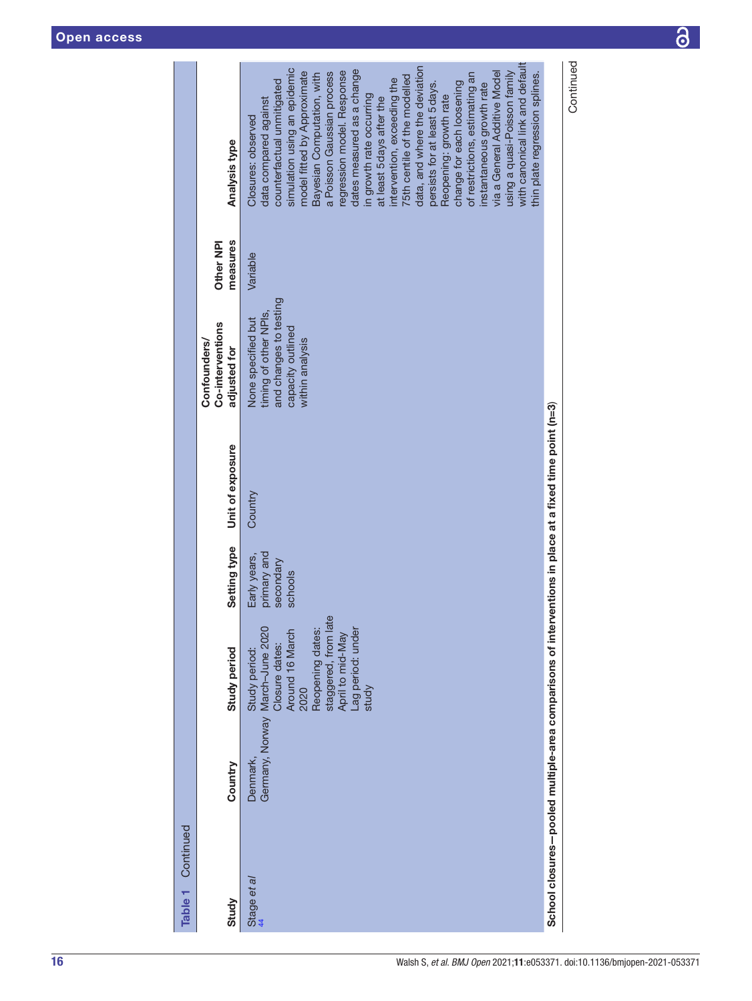| Table 1 Continued |          |                                                                                                                                                                                             |                                                     |                                                                                                        |                                                                                                               |                       |                                                                                                                                                                                                                                                                                                                                                                                                                                                                                                                                                                                                                                                                                                                       |
|-------------------|----------|---------------------------------------------------------------------------------------------------------------------------------------------------------------------------------------------|-----------------------------------------------------|--------------------------------------------------------------------------------------------------------|---------------------------------------------------------------------------------------------------------------|-----------------------|-----------------------------------------------------------------------------------------------------------------------------------------------------------------------------------------------------------------------------------------------------------------------------------------------------------------------------------------------------------------------------------------------------------------------------------------------------------------------------------------------------------------------------------------------------------------------------------------------------------------------------------------------------------------------------------------------------------------------|
| Study             | Country  | Study period                                                                                                                                                                                | Setting type                                        | Unit of exposure                                                                                       | Co-interventions<br>Confounders/<br>adjusted for                                                              | measures<br>Other NPI | Analysis type                                                                                                                                                                                                                                                                                                                                                                                                                                                                                                                                                                                                                                                                                                         |
| Stage et al<br>44 | Denmark, | staggered, from late<br>April to mid-May<br>Reopening dates:<br>Germany, Norway March-June 2020<br>Lag period: under<br>Around 16 March<br>Closure dates:<br>Study period:<br>2020<br>study | primary and<br>Early years,<br>secondary<br>schools | Country                                                                                                | and changes to testing<br>timing of other NPIs,<br>None specified but<br>capacity outlined<br>within analysis | Variable              | with canonical link and default<br>data, and where the deviation<br>simulation using an epidemic<br>dates measured as a change<br>regression model. Response<br>model fitted by Approximate<br>a Poisson Gaussian process<br>via a General Additive Model<br>thin plate regression splines.<br>of restrictions, estimating an<br>using a quasi-Poisson family<br>Bayesian Computation, with<br>75th centile of the modelled<br>intervention, exceeding the<br>counterfactual unmitigated<br>change for each loosening<br>persists for at least 5 days.<br>instantaneous growth rate<br>in growth rate occurring<br>Reopening: growth rate<br>at least 5 days after the<br>data compared against<br>Closures: observed |
|                   |          |                                                                                                                                                                                             |                                                     | School closures-pooled multiple-area comparisons of interventions in place at a fixed time point (n=3) |                                                                                                               |                       |                                                                                                                                                                                                                                                                                                                                                                                                                                                                                                                                                                                                                                                                                                                       |
|                   |          |                                                                                                                                                                                             |                                                     |                                                                                                        |                                                                                                               |                       | Continued                                                                                                                                                                                                                                                                                                                                                                                                                                                                                                                                                                                                                                                                                                             |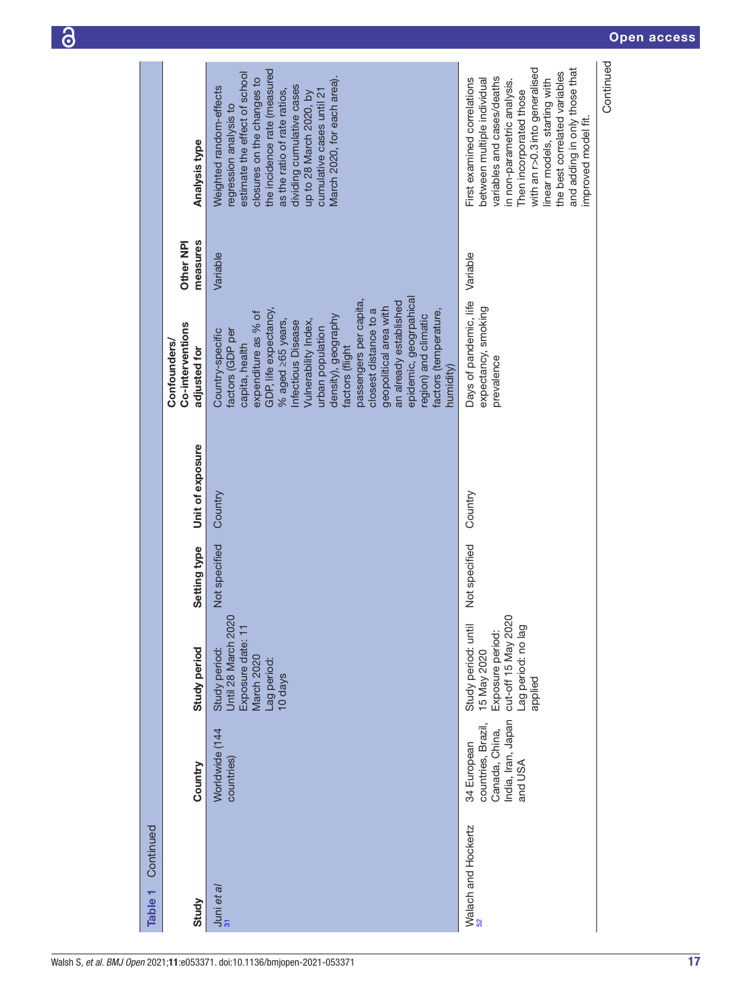|                    |                                                  | the incidence rate (measured<br>estimate the effect of school                                                                                                                                                                                                                                                                                                                                                                                  | with an r>0.3 into generalised<br>and adding in only those that<br>the best correlated variables                                                                                                          |
|--------------------|--------------------------------------------------|------------------------------------------------------------------------------------------------------------------------------------------------------------------------------------------------------------------------------------------------------------------------------------------------------------------------------------------------------------------------------------------------------------------------------------------------|-----------------------------------------------------------------------------------------------------------------------------------------------------------------------------------------------------------|
|                    | Analysis type                                    | closures on the changes to<br>March 2020, for each area).<br>dividing cumulative cases<br>Weighted random-effects<br>as the ratio of rate ratios,<br>cumulative cases until 21<br>up to 28 March 2020, by<br>regression analysis to                                                                                                                                                                                                            | variables and cases/deaths<br>between multiple individual<br>First examined correlations<br>linear models, starting with<br>in non-parametric analysis.<br>Then incorporated those<br>improved model fit. |
|                    | measures<br>Other NPI                            | Variable                                                                                                                                                                                                                                                                                                                                                                                                                                       | Variable                                                                                                                                                                                                  |
|                    | Co-interventions<br>Confounders/<br>adjusted for | epidemic, geogrpahical<br>passengers per capita,<br>an already established<br>geopolitical area with<br>GDP, life expectancy,<br>closest distance to a<br>factors (temperature,<br>expenditure as % of<br>region) and climatic<br>density), geography<br>$%$ aged $\geq$ 65 years,<br>Vulnerability Index,<br>Infectious Disease<br>urban population<br>factors (GDP per<br>Country-specific<br>capita, health<br>factors (flight<br>humidity) | Days of pandemic, life<br>expectancy, smoking<br>prevalence                                                                                                                                               |
|                    | Unit of exposure                                 | Country                                                                                                                                                                                                                                                                                                                                                                                                                                        | Country                                                                                                                                                                                                   |
|                    | Setting type                                     | Not specified                                                                                                                                                                                                                                                                                                                                                                                                                                  | Not specified                                                                                                                                                                                             |
|                    | Study period                                     | Until 28 March 2020<br>Exposure date: 11<br>Study period:<br>March 2020<br>Lag period:<br>10 days                                                                                                                                                                                                                                                                                                                                              | cut-off 15 May 2020<br>Study period: until<br>Lag period: no lag<br>Exposure period:<br>15 May 2020<br>applied                                                                                            |
|                    | Country                                          | Worldwide (144<br>countries)                                                                                                                                                                                                                                                                                                                                                                                                                   | India, Iran, Japan<br>countries, Brazil,<br>Canada, China,<br>34 European<br>and USA                                                                                                                      |
| Continued          |                                                  |                                                                                                                                                                                                                                                                                                                                                                                                                                                | Walach and Hockertz                                                                                                                                                                                       |
| Table <sub>1</sub> | Study                                            | $\frac{1}{31}$ uni et al                                                                                                                                                                                                                                                                                                                                                                                                                       |                                                                                                                                                                                                           |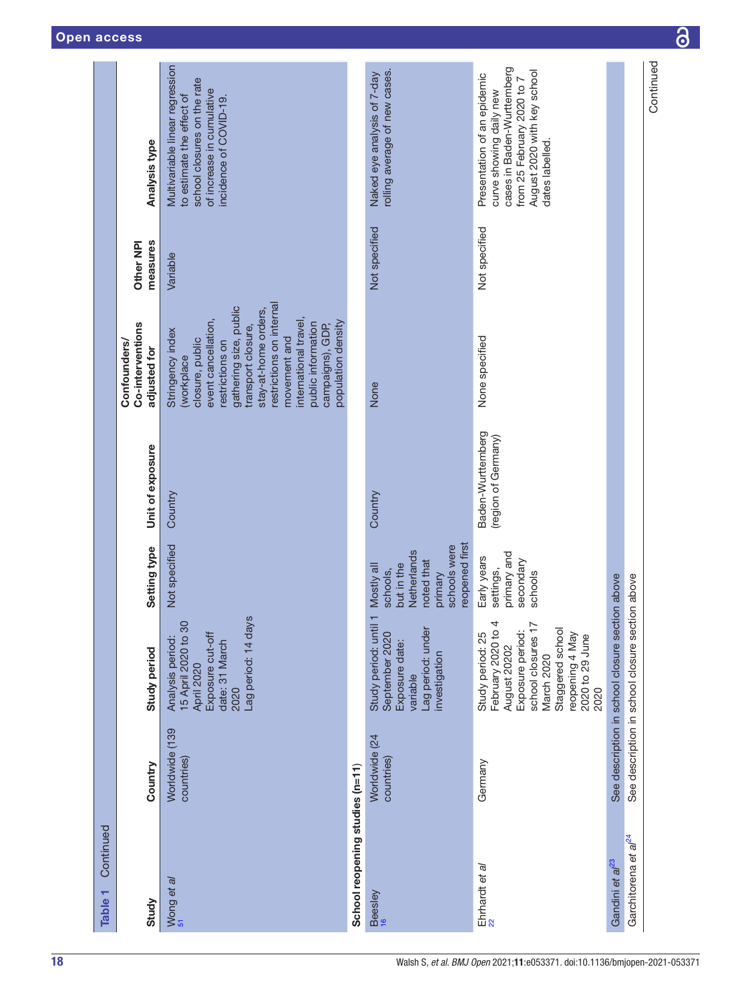| Continued<br>Table 1             |                              |                                                                                                                                                                                  |                                                                                                                |                                          |                                                                                                                                                                                                                                                                                                          |                       |                                                                                                                                                                      |
|----------------------------------|------------------------------|----------------------------------------------------------------------------------------------------------------------------------------------------------------------------------|----------------------------------------------------------------------------------------------------------------|------------------------------------------|----------------------------------------------------------------------------------------------------------------------------------------------------------------------------------------------------------------------------------------------------------------------------------------------------------|-----------------------|----------------------------------------------------------------------------------------------------------------------------------------------------------------------|
| Study                            | Country                      | <b>Study period</b>                                                                                                                                                              | Setting type                                                                                                   | Unit of exposure                         | Co-interventions<br><b>Confounders/</b><br>adjusted for                                                                                                                                                                                                                                                  | measures<br>Other NPI | Analysis type                                                                                                                                                        |
| Wong et al                       | Worldwide (139<br>countries) | Lag period: 14 days<br>15 April 2020 to 30<br>Exposure cut-off<br>Analysis period:<br>date: 31 March<br>April 2020<br>2020                                                       | Not specified                                                                                                  | Country                                  | restrictions on internal<br>gathering size, public<br>stay-at-home orders,<br>event cancellation,<br>international travel,<br>population density<br>public information<br>campaigns), GDP,<br>transport closure,<br>Stringency index<br>movement and<br>closure, public<br>restrictions on<br>(workplace | Variable              | Multivariable linear regression<br>school closures on the rate<br>of increase in cumulative<br>to estimate the effect of<br>incidence of COVID-19.                   |
| School reopening studies (n=11)  |                              |                                                                                                                                                                                  |                                                                                                                |                                          |                                                                                                                                                                                                                                                                                                          |                       |                                                                                                                                                                      |
| Beesley<br><sup>16</sup>         | Worldwide (24<br>countries)  | ┯<br>Study period: until<br>Lag period: under<br>September 2020<br>Exposure date:<br>investigation<br>variable                                                                   | reopened first<br>schools were<br>Netherlands<br>noted that<br>but in the<br>Mostly all<br>schools,<br>primary | Country                                  | None                                                                                                                                                                                                                                                                                                     | Not specified         | rolling average of new cases.<br>Naked eye analysis of 7-day                                                                                                         |
| Ehrhardt et al                   | Germany                      | February 2020 to 4<br>school closures 17<br>Staggered school<br>Exposure period:<br>reopening 4 May<br>Study period: 25<br>2020 to 29 June<br>August 20202<br>March 2020<br>2020 | primary and<br>Early years<br>secondary<br>settings,<br>schools                                                | Baden-Wurttemberg<br>(region of Germany) | None specified                                                                                                                                                                                                                                                                                           | Not specified         | cases in Baden-Wurttemberg<br>August 2020 with key school<br>Presentation of an epidemic<br>from 25 February 2020 to 7<br>curve showing daily new<br>dates labelled. |
| Gandini et al <sup>23</sup>      |                              | See description in school closure section above                                                                                                                                  |                                                                                                                |                                          |                                                                                                                                                                                                                                                                                                          |                       |                                                                                                                                                                      |
| Garchitorena et al <sup>24</sup> |                              | See description in school closure section above                                                                                                                                  |                                                                                                                |                                          |                                                                                                                                                                                                                                                                                                          |                       |                                                                                                                                                                      |
|                                  |                              |                                                                                                                                                                                  |                                                                                                                |                                          |                                                                                                                                                                                                                                                                                                          |                       | Continued                                                                                                                                                            |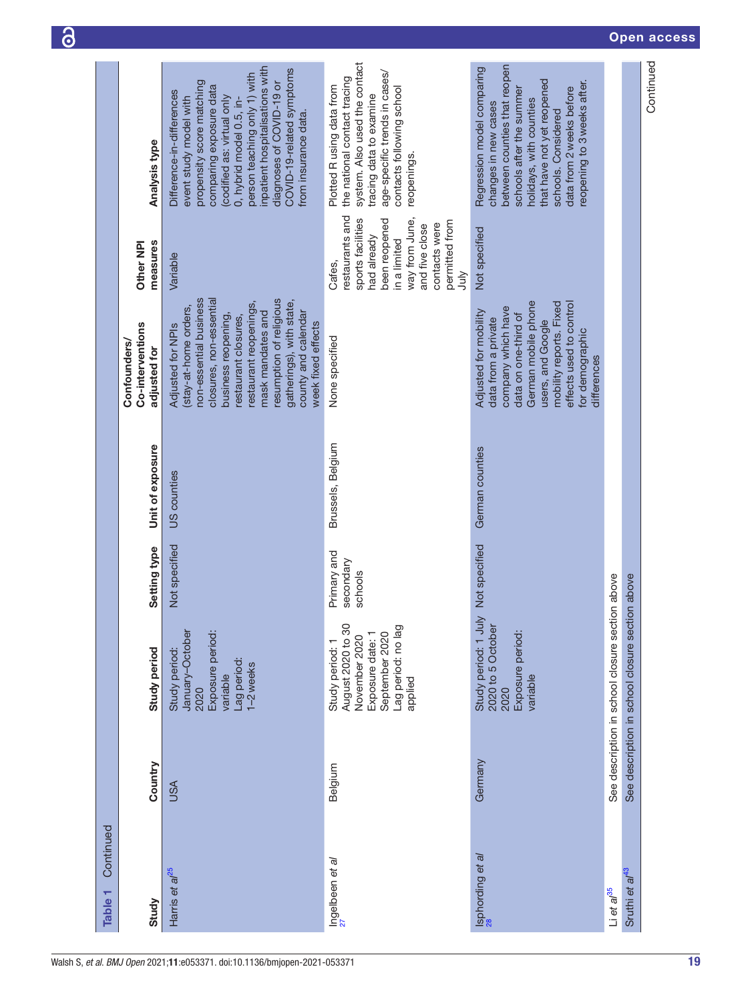| Continued<br>Table <sub>1</sub>  |            |                                                                                                                              |                                     |                   |                                                                                                                                                                                                                                                                                                   |                                                                                                                                                                                     |                                                                                                                                                                                                                                                                                                                          |
|----------------------------------|------------|------------------------------------------------------------------------------------------------------------------------------|-------------------------------------|-------------------|---------------------------------------------------------------------------------------------------------------------------------------------------------------------------------------------------------------------------------------------------------------------------------------------------|-------------------------------------------------------------------------------------------------------------------------------------------------------------------------------------|--------------------------------------------------------------------------------------------------------------------------------------------------------------------------------------------------------------------------------------------------------------------------------------------------------------------------|
| Study                            | Country    | Study period                                                                                                                 | Setting type                        | Unit of exposure  | Co-interventions<br><b>Confounders/</b><br>adjusted for                                                                                                                                                                                                                                           | measures<br>Other NPI                                                                                                                                                               | Analysis type                                                                                                                                                                                                                                                                                                            |
| Harris et al <sup>25</sup>       | <b>USA</b> | January-October<br>Exposure period:<br>Study period:<br>Lag period:<br>1-2 weeks<br>variable<br>2020                         | Not specified                       | US counties       | non-essential business<br>resumption of religious<br>closures, non-essential<br>gatherings), with state,<br>restaurant reopenings,<br>(stay-at-home orders,<br>county and calendar<br>mask mandates and<br>business reopening,<br>restaurant closures,<br>week fixed effects<br>Adjusted for NPIs | Variable                                                                                                                                                                            | inpatient hospitalisations with<br>COVID-19-related symptoms<br>person teaching only 1) with<br>propensity score matching<br>diagnoses of COVID-19 or<br>comparing exposure data<br>Difference-in-differences<br>codified as: virtual only<br>event study model with<br>0, hybrid model 0.5, in-<br>from insurance data. |
| Ingelbeen et a/<br><sup>27</sup> | Belgium    | August 2020 to 30<br>Lag period: no lag<br>September 2020<br>Exposure date: 1<br>November 2020<br>Study period: 1<br>applied | Primary and<br>secondary<br>schools | Brussels, Belgium | None specified                                                                                                                                                                                                                                                                                    | estaurants and<br>way from June,<br>sports facilities<br>been reopened<br>permitted from<br>contacts were<br>and five close<br>had already<br>in a limited<br>Cafes,<br><b>Suut</b> | system. Also used the contact<br>age-specific trends in cases/<br>the national contact tracing<br>Plotted R using data from<br>contacts following school<br>tracing data to examine<br>reopenings.                                                                                                                       |
| Isphording et al                 | Germany    | Study period: 1 July<br>2020 to 5 October<br>Exposure period:<br>variable<br>2020                                            | Not specified                       | German counties   | German mobile phone<br>mobility reports. Fixed<br>effects used to control<br>company which have<br>Adjusted for mobility<br>data on one-third of<br>data from a private<br>users, and Google<br>for demographic<br>differences                                                                    | Not specified                                                                                                                                                                       | between counties that reopen<br>Regression model comparing<br>that have not yet reopened<br>reopening to 3 weeks after.<br>data from 2 weeks before<br>schools after the summer<br>holidays, with counties<br>changes in new cases<br>schools. Considered                                                                |
| $Li$ et a $/$ <sup>35</sup>      |            | See description in school closure section above                                                                              |                                     |                   |                                                                                                                                                                                                                                                                                                   |                                                                                                                                                                                     |                                                                                                                                                                                                                                                                                                                          |
| Sruthi et al <sup>43</sup>       |            | See description in school closure section above                                                                              |                                     |                   |                                                                                                                                                                                                                                                                                                   |                                                                                                                                                                                     |                                                                                                                                                                                                                                                                                                                          |
|                                  |            |                                                                                                                              |                                     |                   |                                                                                                                                                                                                                                                                                                   |                                                                                                                                                                                     | Continued                                                                                                                                                                                                                                                                                                                |

 $\partial$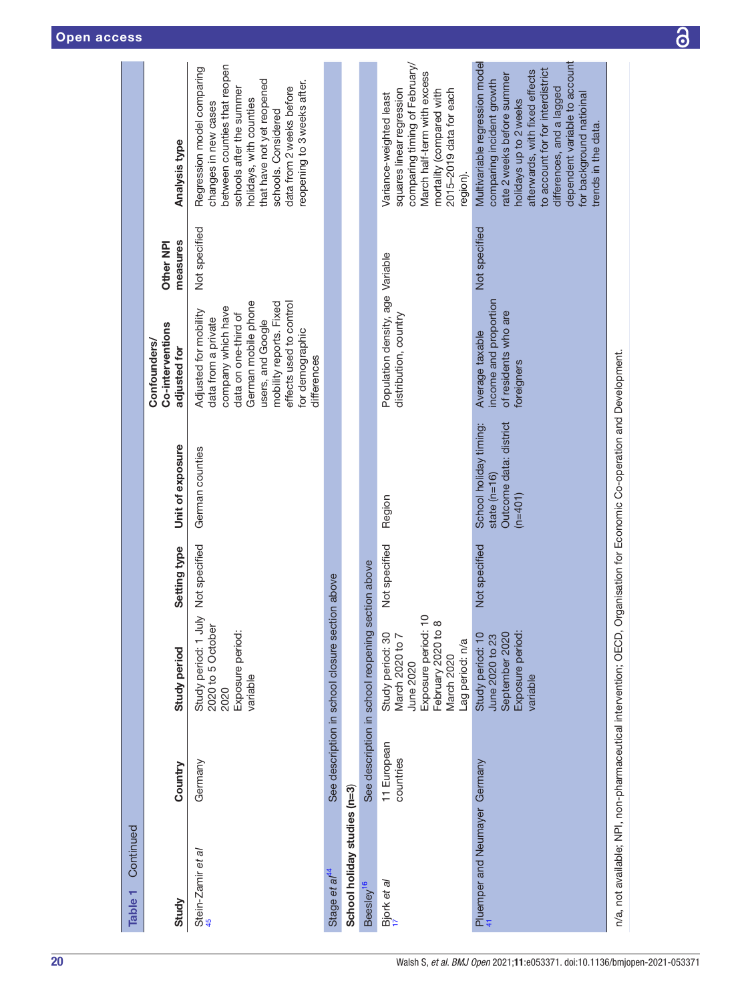| Continued<br>Table <sub>1</sub> |                          |                                                                                                                                             |               |                                                                                                                         |                                                                                                                                                                                                                                |                       |                                                                                                                                                                                                                                                                                                            |
|---------------------------------|--------------------------|---------------------------------------------------------------------------------------------------------------------------------------------|---------------|-------------------------------------------------------------------------------------------------------------------------|--------------------------------------------------------------------------------------------------------------------------------------------------------------------------------------------------------------------------------|-----------------------|------------------------------------------------------------------------------------------------------------------------------------------------------------------------------------------------------------------------------------------------------------------------------------------------------------|
| Study                           | Country                  | <b>Study period</b>                                                                                                                         | Setting type  | Unit of exposure                                                                                                        | Co-interventions<br>Confounders/<br>adjusted for                                                                                                                                                                               | measures<br>Other NPI | <b>Analysis type</b>                                                                                                                                                                                                                                                                                       |
| Stein-Zamir e <i>t al</i>       | Germany                  | Study period: 1 July Not specified<br>2020 to 5 October<br>Exposure period:<br>variable<br>2020                                             |               | German counties                                                                                                         | German mobile phone<br>mobility reports. Fixed<br>effects used to control<br>company which have<br>Adjusted for mobility<br>data on one-third of<br>data from a private<br>users, and Google<br>for demographic<br>differences | Not specified         | between counties that reopen<br>Regression model comparing<br>that have not yet reopened<br>reopening to 3 weeks after.<br>schools after the summer<br>data from 2 weeks before<br>holidays, with counties<br>changes in new cases<br>schools. Considered                                                  |
| Stage et al <sup>44</sup>       |                          | See description in school closure section above                                                                                             |               |                                                                                                                         |                                                                                                                                                                                                                                |                       |                                                                                                                                                                                                                                                                                                            |
| School holiday studies (n=3)    |                          |                                                                                                                                             |               |                                                                                                                         |                                                                                                                                                                                                                                |                       |                                                                                                                                                                                                                                                                                                            |
| Beesley <sup>16</sup>           |                          | See description in school reopening section above                                                                                           |               |                                                                                                                         |                                                                                                                                                                                                                                |                       |                                                                                                                                                                                                                                                                                                            |
| Bjork et al                     | 11 European<br>countries | $\subseteq$<br>February 2020 to 8<br>Exposure period: 1<br>Study period: 30<br>March 2020 to 7<br>ag period: n/a<br>March 2020<br>June 2020 | Not specified | Region                                                                                                                  | Population density, age Variable<br>distribution, country                                                                                                                                                                      |                       | comparing timing of February/<br>March half-term with excess<br>squares linear regression<br>2015-2019 data for each<br>mortality (compared with<br>Variance-weighted least<br>egion).                                                                                                                     |
| Pluemper and Neumayer Germany   |                          | Exposure period:<br>September 2020<br>Study period: 10<br>June 2020 to 23<br>variable                                                       | Not specified | Outcome data: district<br>School holiday timing:<br>state $(n=16)$<br>$(n=401)$                                         | income and proportion<br>of residents who are<br>Average taxable<br>foreigners                                                                                                                                                 | Not specified         | dependent variable to account<br>Multivariable regression model<br>to account for for interdistrict<br>afterwards, with fixed effects<br>rate 2 weeks before summer<br>comparing incident growth<br>differences, and a lagged<br>for background natioinal<br>holidays up to 2 weeks<br>trends in the data. |
|                                 |                          |                                                                                                                                             |               | n/a, not available; NPI, non-pharmaceutical intervention; OECD, Organisation for Economic Co-operation and Development. |                                                                                                                                                                                                                                |                       |                                                                                                                                                                                                                                                                                                            |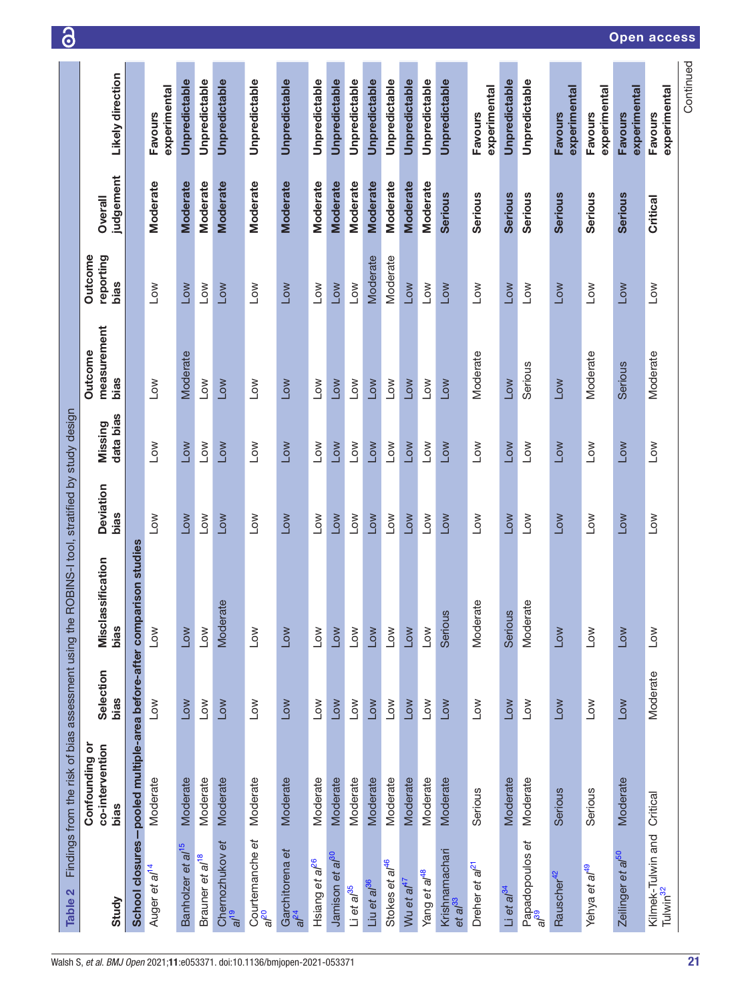<span id="page-20-0"></span>

| Table 2                                            |                                                       |                          | Findings from the risk of bias assessment using the ROBINS-I tool, stratified by study design |                          |                          |                                |                              |                      |                                |
|----------------------------------------------------|-------------------------------------------------------|--------------------------|-----------------------------------------------------------------------------------------------|--------------------------|--------------------------|--------------------------------|------------------------------|----------------------|--------------------------------|
| Study                                              | Confounding or<br>co-intervention<br>bias             | Selection<br>bias        | assification<br>Miscl<br>bias                                                                 | Deviation<br>bias        | data bias<br>Missing     | measurement<br>Outcome<br>bias | reporting<br>Outcome<br>bias | judgement<br>Overall | Likely direction               |
|                                                    | School closures-pooled multiple-area before-after com |                          | parison studies                                                                               |                          |                          |                                |                              |                      |                                |
| Auger et al <sup>14</sup>                          | Moderate                                              | $\overline{\phantom{0}}$ | Low                                                                                           | Low                      | Low                      | $\sum_{i=1}^{n}$               | Low                          | <b>Moderate</b>      | experimental<br><b>Favours</b> |
| Banholzer et al <sup>15</sup>                      | Moderate                                              | Low                      | Low                                                                                           | Low                      | <b>NOT</b>               | Moderate                       | Low                          | <b>Moderate</b>      | Unpredictable                  |
| Brauner et al <sup>18</sup>                        | Moderate                                              | Low                      | Low                                                                                           | Low                      | Low                      | $\sum_{i=1}^{n}$               | Low                          | Moderate             | Unpredictable                  |
| Chernozhukov et<br>$e^{t/2}$                       | Moderate                                              | Low                      | Moderate                                                                                      | Low                      | Low                      | Low                            | Low                          | <b>Moderate</b>      | Unpredictable                  |
| Courtemanche et<br>al <sup>20</sup>                | Moderate                                              | Low                      | $\overline{1}$ ow                                                                             | $\sqrt{10}$              | <b>NOT</b>               | Low                            | Low                          | Moderate             | Unpredictable                  |
| Garchitorena et<br>al <sup>24</sup>                | Moderate                                              | Low                      | Low                                                                                           | <b>NOT</b>               | <b>NOT</b>               | MO7                            | <b>NOT</b>                   | <b>Moderate</b>      | Unpredictable                  |
| Hsiang et al <sup>26</sup>                         | Moderate                                              | Low                      | Low                                                                                           | Low                      | $\sqrt{2}$               | $\sum_{i=1}^{n}$               | $\sqrt{10}$                  | Moderate             | Unpredictable                  |
| Jamison et al <sup>30</sup>                        | Moderate                                              | Low                      | Low                                                                                           | <b>NOT</b>               | Low                      | Low                            | Low                          | <b>Moderate</b>      | Unpredictable                  |
| $Li$ et a $/$ <sup>35</sup>                        | Moderate                                              | Low                      | Low                                                                                           | Low                      | Low                      | MO7                            | Low                          | Moderate             | Unpredictable                  |
| Liu et al <sup>36</sup>                            | Moderate                                              | Low                      | Low                                                                                           | <b>Low</b>               | Low                      | <b>NOT</b>                     | Moderate                     | <b>Moderate</b>      | Unpredictable                  |
| Stokes et al <sup>46</sup>                         | Moderate                                              | Low                      | Low                                                                                           | $\sqrt{10}$              | Low                      | NO7                            | Moderate                     | Moderate             | Unpredictable                  |
| Wu et al <sup>47</sup>                             | Moderate                                              | Mo7                      | Low                                                                                           | Low                      | Low                      | MOT                            | Mo7                          | <b>Moderate</b>      | Unpredictable                  |
| Yang et al <sup>48</sup>                           | Moderate                                              | Low                      | Low                                                                                           | $\overline{\phantom{0}}$ | $\overline{\phantom{0}}$ | $\sum_{i=1}^{n}$               | Low                          | Moderate             | Unpredictable                  |
| Krishnamachari<br>et al <sup>33</sup>              | Moderate                                              | <b>NOT</b>               | Serious                                                                                       | Low                      | Low                      | Mo7                            | Low                          | <b>Serious</b>       | Unpredictable                  |
| Dreher et $a^{21}$                                 | Serious                                               | Low                      | Moderate                                                                                      | $\overline{\phantom{0}}$ | Low                      | Moderate                       | $\sqrt{10}$                  | <b>Serious</b>       | experimental<br><b>Favours</b> |
| Li et a $l^{34}$                                   | Moderate                                              | Low                      | Serious                                                                                       | Low                      | Low                      | Low                            | Low                          | <b>Serious</b>       | Unpredictable                  |
| Papadopoulos et<br>a/ <sup>39</sup>                | Moderate                                              | $\sim$                   | Moderate                                                                                      | $\sum_{i=1}^{n}$         | $\sum_{i=1}^{n}$         | Serious                        | <b>NOT</b>                   | <b>Serious</b>       | Unpredictable                  |
| Rauscher <sup>42</sup>                             | Serious                                               | <b>NOT</b>               | Low                                                                                           | <b>NOT</b>               | Low                      | Low                            | Low                          | <b>Serious</b>       | experimental<br><b>Favours</b> |
| Yehya et al <sup>49</sup>                          | Serious                                               | Low                      | Low                                                                                           | Low                      | Low                      | Moderate                       | Low                          | Serious              | experimental<br><b>Favours</b> |
| Zeilinger et a/ <sup>50</sup>                      | Moderate                                              | Low                      | Low                                                                                           | <b>NOT</b>               | <b>NOT</b>               | <b>Serious</b>                 | <b>NOT</b>                   | <b>Serious</b>       | experimental<br><b>Favours</b> |
| Kilmek-Tulwin and Critical<br>Tulwin <sup>32</sup> |                                                       | Moderate                 | Low                                                                                           | Low                      | Low                      | Moderate                       | Low                          | Critical             | experimental<br><b>Favours</b> |
|                                                    |                                                       |                          |                                                                                               |                          |                          |                                |                              |                      | Continued                      |

### Open access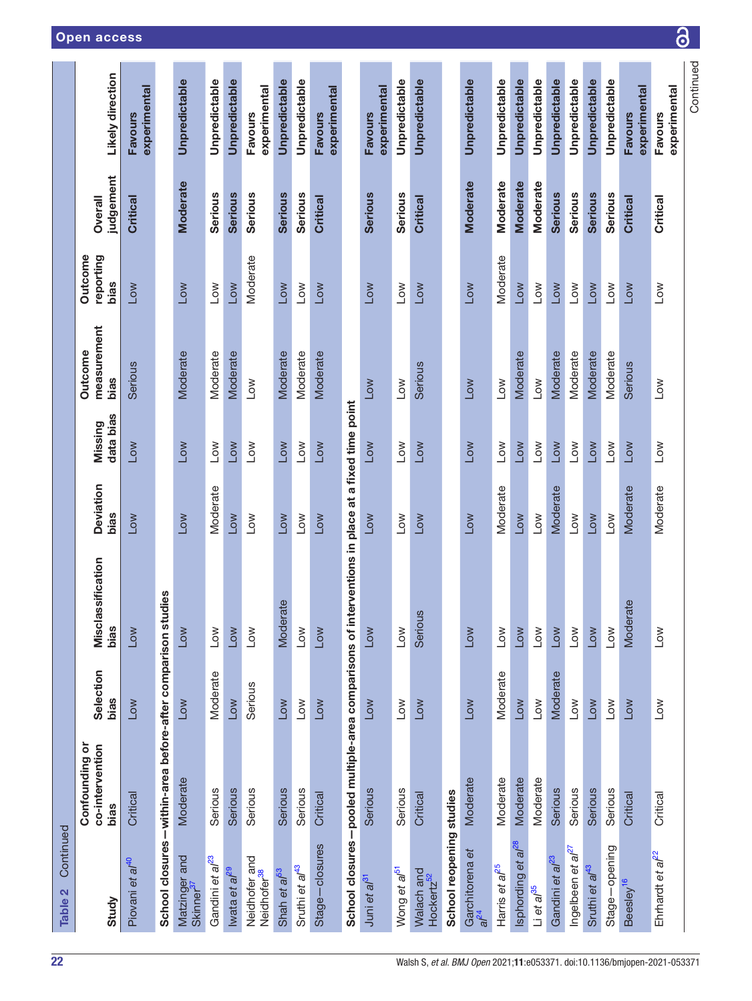| Continued<br>Table 2                     |                                                             |                   |                                                                                                  |                          |                      |                                       |                              |                      |                                |
|------------------------------------------|-------------------------------------------------------------|-------------------|--------------------------------------------------------------------------------------------------|--------------------------|----------------------|---------------------------------------|------------------------------|----------------------|--------------------------------|
| Study                                    | Confounding or<br>co-intervention<br>bias                   | Selection<br>bias | Misclassification<br>bias                                                                        | <b>Deviation</b><br>bias | data bias<br>Missing | measurement<br><b>Outcome</b><br>bias | reporting<br>Outcome<br>bias | judgement<br>Overall | Likely direction               |
| Piovani et al <sup>40</sup>              | Critical                                                    | <b>NOT</b>        | Low                                                                                              | Low                      | <b>NOT</b>           | <b>Serious</b>                        | Low                          | Critical             | experimental<br><b>Favours</b> |
|                                          | School closures-within-area before-after comparison studies |                   |                                                                                                  |                          |                      |                                       |                              |                      |                                |
| Matzinger and<br>Skinner <sup>37</sup>   | Moderate                                                    | Low               | Low                                                                                              | Low                      | Low                  | Moderate                              | Low                          | <b>Moderate</b>      | Unpredictable                  |
| Gandini et al <sup>23</sup>              | Serious                                                     | Moderate          | Low                                                                                              | Moderate                 | Low                  | Moderate                              | Low                          | <b>Serious</b>       | Unpredictable                  |
| Iwata et a $l^{29}$                      | Serious                                                     | Low               | Low                                                                                              | $\sqrt{10}$              | Low                  | Moderate                              | Low                          | <b>Serious</b>       | Unpredictable                  |
| Neidhofer and<br>Neidhofer <sup>38</sup> | Serious                                                     | Serious           | Low                                                                                              | Low                      | Low                  | $\overline{10}$                       | Moderate                     | <b>Serious</b>       | experimental<br><b>Favours</b> |
| Shah et a <sup>f53</sup>                 | Serious                                                     | <b>NOT</b>        | Moderate                                                                                         | Low                      | Low                  | Moderate                              | <b>NOT</b>                   | <b>Serious</b>       | Unpredictable                  |
| Sruthi et al <sup>43</sup>               | Serious                                                     | Low               | Low                                                                                              | Low                      | Low                  | Moderate                              | Low                          | <b>Serious</b>       | Unpredictable                  |
| Stage-closures                           | Critical                                                    | Low               | Low                                                                                              | <b>Low</b>               | Low                  | Moderate                              | <b>Low</b>                   | Critical             | experimental<br><b>Favours</b> |
|                                          |                                                             |                   | School closures-pooled multiple-area comparisons of interventions in place at a fixed time point |                          |                      |                                       |                              |                      |                                |
| Juni et al <sup>31</sup>                 | Serious                                                     | Low               | Low                                                                                              | Low                      | Low                  | Low                                   | Low                          | <b>Serious</b>       | experimental<br><b>Favours</b> |
| Wong et al <sup>51</sup>                 | Serious                                                     | Low               | Low                                                                                              | Low                      | Low                  | Low                                   | Low                          | <b>Serious</b>       | Unpredictable                  |
| Walach and<br>Hockertz <sup>52</sup>     | Critical                                                    | Low               | Serious                                                                                          | <b>NOT</b>               | Low                  | <b>Serious</b>                        | Low                          | Critical             | Unpredictable                  |
| School reopening studies                 |                                                             |                   |                                                                                                  |                          |                      |                                       |                              |                      |                                |
| Garchitorena et<br>$a^{24}$              | Moderate                                                    | Low               | Low                                                                                              | <b>Low</b>               | Low                  | Low                                   | Low                          | <b>Moderate</b>      | Unpredictable                  |
| Harris et al <sup>25</sup>               | Moderate                                                    | Moderate          | Low                                                                                              | Moderate                 | Low                  | <b>NOT</b>                            | Moderate                     | Moderate             | Unpredictable                  |
| Isphording et al <sup>28</sup>           | Moderate                                                    | Low               | Low                                                                                              | Low                      | Low                  | Moderate                              | <b>Low</b>                   | <b>Moderate</b>      | Unpredictable                  |
| $Li$ et a $/$ <sup>35</sup>              | Moderate                                                    | Low               | Low                                                                                              | Low                      | Low                  | Low                                   | Low                          | <b>Moderate</b>      | Unpredictable                  |
| Gandini et a <sup>/23</sup>              | Serious                                                     | Moderate          | Low                                                                                              | Moderate                 | Low                  | Moderate                              | Low                          | <b>Serious</b>       | Unpredictable                  |
| Ingelbeen et $a^{l^2}$                   | Serious                                                     | $\sqrt{2}$        | Low                                                                                              | Low                      | Low                  | Moderate                              | Low                          | Serious              | Unpredictable                  |
| Sruthi et al <sup>43</sup>               | Serious                                                     | <b>Low</b>        | Low                                                                                              | Low                      | Low                  | Moderate                              | Low                          | <b>Serious</b>       | Unpredictable                  |
| Stage-opening                            | Serious                                                     | Low               | Low                                                                                              | Low                      | Low                  | Moderate                              | Low                          | <b>Serious</b>       | Unpredictable                  |
| Beesley <sup>16</sup>                    | Critical                                                    | Low               | Moderate                                                                                         | Moderate                 | <b>Low</b>           | <b>Serious</b>                        | Low                          | <b>Critical</b>      | experimental<br><b>Favours</b> |
| Ehrhardt et al <sup>22</sup>             | Critical                                                    | Low               | Low                                                                                              | Moderate                 | Low                  | $\overline{\phantom{0}}$              | Low                          | Critical             | experimental<br>Favours        |
|                                          |                                                             |                   |                                                                                                  |                          |                      |                                       |                              |                      | Continued                      |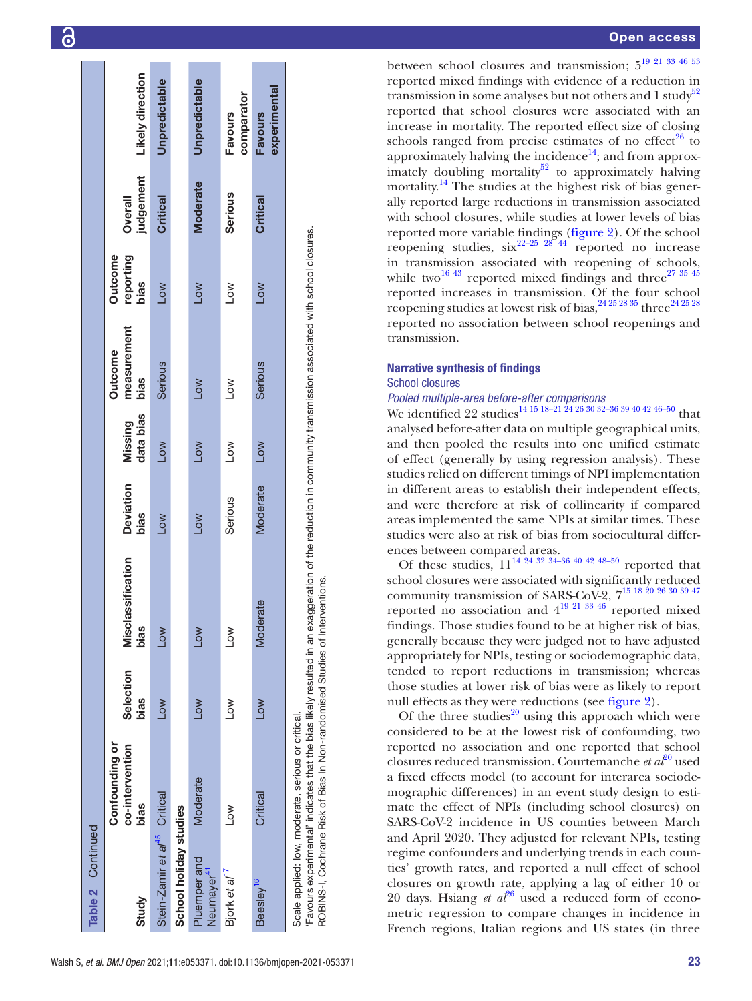| Table 2 Continued                        |                                                    |                   |                                                                                                                                                               |                          |                          |                                       |                                     |                      |                                |
|------------------------------------------|----------------------------------------------------|-------------------|---------------------------------------------------------------------------------------------------------------------------------------------------------------|--------------------------|--------------------------|---------------------------------------|-------------------------------------|----------------------|--------------------------------|
| Study                                    | Confounding or<br>co-intervention<br>bias          | Selection<br>bias | classification<br>bias<br>Misc                                                                                                                                | <b>Deviation</b><br>bias | data bias<br>Missing     | measurement<br><b>Outcome</b><br>bias | reporting<br><b>Outcome</b><br>bias | judgement<br>Overall | Likely direction               |
| Stein-Zamir et al <sup>45</sup> Critical |                                                    | <b>NOT</b>        | Low                                                                                                                                                           | <b>NO7</b>               | Low                      | <b>Serious</b>                        | <b>NO7</b>                          | Critical             | Unpredictable                  |
| School holiday studies                   |                                                    |                   |                                                                                                                                                               |                          |                          |                                       |                                     |                      |                                |
| Pluemper and<br>Neumayer <sup>41</sup>   | <b>Moderate</b>                                    | Low               | Low                                                                                                                                                           | Low                      | Low                      | <b>NO7</b>                            | Low                                 | <b>Moderate</b>      | Unpredictable                  |
| Bjork et al <sup>17</sup>                | NOJ                                                | <b>NOT</b>        | $\geq$                                                                                                                                                        | Serious                  | $\overline{\phantom{0}}$ | <b>NO7</b>                            | <b>NOT</b>                          | <b>Serious</b>       | comparator<br><b>Favours</b>   |
| Beesley <sup>16</sup>                    | Critical                                           | <b>NOT</b>        | <b>Moderate</b>                                                                                                                                               | Moderate                 | Low                      | <b>Serious</b>                        | Low                                 | Critical             | experimental<br><b>Favours</b> |
|                                          | Scale applied: low, moderate, serious or critical. |                   | 'Favours experimental' indicates that the bias likely resulted in an exaggeration of the reduction in community transmission associated with school closures. |                          |                          |                                       |                                     |                      |                                |

#### Open access

between school closures and transmission; [519 21 33 46 53](#page-35-25) reported mixed findings with evidence of a reduction in transmission in some analyses but not others and  $1$  study<sup>[52](#page-36-1)</sup> reported that school closures were associated with an increase in mortality. The reported effect size of closing schools ranged from precise estimates of no effect<sup>26</sup> to approximately halving the incidence $^{14}$ ; and from approximately doubling mortality $52$  to approximately halving mortality.<sup>14</sup> The studies at the highest risk of bias generally reported large reductions in transmission associated with school closures, while studies at lower levels of bias reported more variable findings ([figure](#page-31-0) 2). Of the school reopening studies,  $\sin^{22-25-28-44}$  reported no increase in transmission associated with reopening of schools, while two<sup>[16 43](#page-35-6)</sup> reported mixed findings and three<sup>27 35 45</sup> reported increases in transmission. Of the four school reopening studies at lowest risk of bias,  $24\frac{25\frac{28}{35}}{\text{thre}}$  three<sup>24 25 28</sup> reported no association between school reopenings and transmission.

#### Narrative synthesis of findings

#### School closures

#### *Pooled multiple-area before-after comparisons*

We identified 22 studies<sup>14 15 18-21 24 26 30 32-36 39 40 42 46-50</sup> that analysed before-after data on multiple geographical units, and then pooled the results into one unified estimate of effect (generally by using regression analysis). These studies relied on different timings of NPI implementation in different areas to establish their independent effects, and were therefore at risk of collinearity if compared areas implemented the same NPIs at similar times. These studies were also at risk of bias from sociocultural differences between compared areas.

Of these studies,  $11^{14}$   $24$   $32$   $34-36$   $40$   $42$   $48-50$  reported that school closures were associated with significantly reduced community transmission of SARS-CoV-2,  $7^{15}$  18 20 26 30 39 47 reported no association and  $4^{19}$   $21^{33}$   $46$  reported mixed findings. Those studies found to be at higher risk of bias, generally because they were judged not to have adjusted appropriately for NPIs, testing or sociodemographic data, tended to report reductions in transmission; whereas those studies at lower risk of bias were as likely to report null effects as they were reductions (see [figure](#page-31-0) 2).

Of the three studies<sup>[20](#page-35-26)</sup> using this approach which were considered to be at the lowest risk of confounding, two reported no association and one reported that school closures reduced transmission. Courtemanche *et al*[20](#page-35-26) used a fixed effects model (to account for interarea sociode mographic differences) in an event study design to esti mate the effect of NPIs (including school closures) on SARS-CoV-2 incidence in US counties between March and April 2020. They adjusted for relevant NPIs, testing regime confounders and underlying trends in each coun ties' growth rates, and reported a null effect of school closures on growth rate, applying a lag of either 10 or 20 days. Hsiang *et*  $a l^{26}$  used a reduced form of econometric regression to compare changes in incidence in French regions, Italian regions and US states (in three

ROBINS-I, Cochrane Risk of Bias In Non-randomised Studies of Interventions.

ROBINS-I, Cochrane Risk of Bias In Non-randomised Studies of Interventions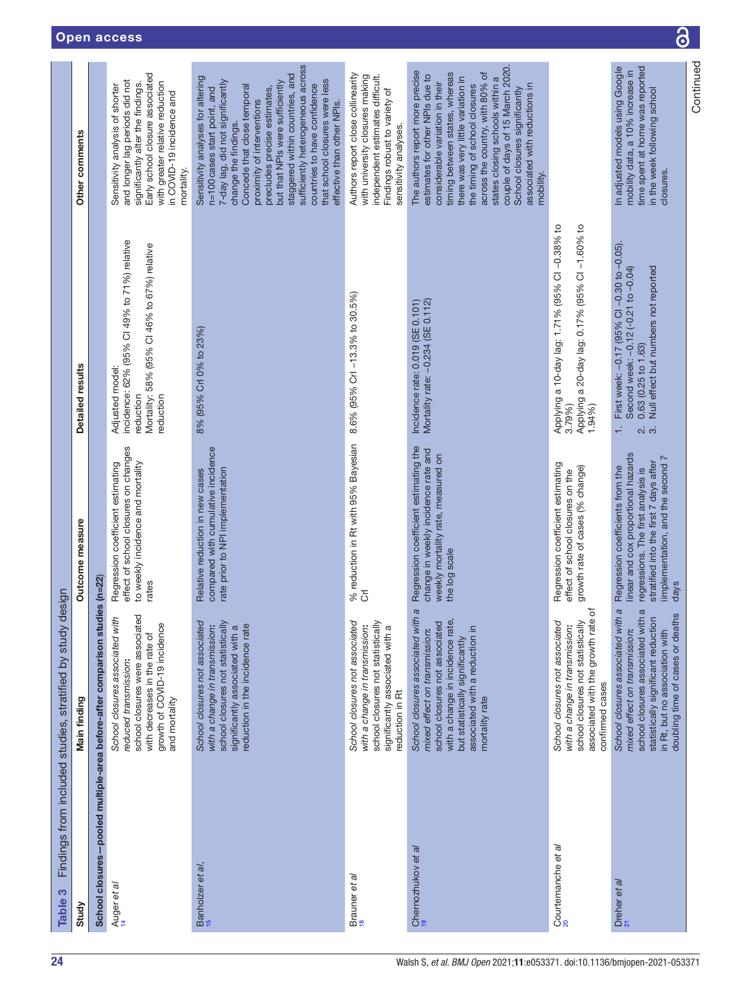<span id="page-23-0"></span>

| Table 3                                                          | Findings from included studies, stratified by study                                                                                                                                                                             | design                                                                                                                                                                                              |                                                                                                                                                           |                                                                                                                                                                                                                                                                                                                                                                                                                                       |
|------------------------------------------------------------------|---------------------------------------------------------------------------------------------------------------------------------------------------------------------------------------------------------------------------------|-----------------------------------------------------------------------------------------------------------------------------------------------------------------------------------------------------|-----------------------------------------------------------------------------------------------------------------------------------------------------------|---------------------------------------------------------------------------------------------------------------------------------------------------------------------------------------------------------------------------------------------------------------------------------------------------------------------------------------------------------------------------------------------------------------------------------------|
| Study                                                            | Main finding                                                                                                                                                                                                                    | Outcome measure                                                                                                                                                                                     | Detailed results                                                                                                                                          | Other comments                                                                                                                                                                                                                                                                                                                                                                                                                        |
| School closures-pooled multiple-area before-after comparison str |                                                                                                                                                                                                                                 | Jdies (n=22                                                                                                                                                                                         |                                                                                                                                                           |                                                                                                                                                                                                                                                                                                                                                                                                                                       |
| Auger et al                                                      | <b>B</b><br>School closures associated with<br>growth of COVID-19 incidence<br>school closures were associat<br>with decreases in the rate of<br>reduced transmission<br>and mortality                                          | effect of school closures on changes<br>to weekly incidence and mortality<br>Regression coefficient estimating<br>rates                                                                             | incidence: 62% (95% Cl 49% to 71%) relative<br>Mortality: 58% (95% CI 46% to 67%) relative<br>Adjusted model:<br>reduction<br>eduction                    | Early school closure associated<br>and longer lag periods did not<br>with greater relative reduction<br>significantly alter the findings.<br>Sensitivity analysis of shorter<br>in COVID-19 incidence and<br>mortality.                                                                                                                                                                                                               |
| Banholzer et al,<br>15                                           | School closures not associated<br>school closures not statistically<br>with a change in transmission:<br>significantly associated with a<br>reduction in the incidence rate                                                     | compared with cumulative incidence<br>rate prior to NPI implementation<br>Relative reduction in new cases                                                                                           | 8% (95% Crl 0% to 23%)                                                                                                                                    | sufficiently heterogeneous across<br>staggered within countries, and<br>Sensitivity analyses for altering<br>that school closures were less<br>7-day lag, did not significantly<br>but that NPIs were sufficiently<br>countries to have confidence<br>Concede that close temporal<br>precludes precise estimates,<br>n=100 cases start point, and<br>proximity of interventions<br>effective than other NPIs.<br>change the findings. |
| Brauner et al<br><sup>18</sup>                                   | School closures not associated<br>with a change in transmission:<br>school closures not statisticall<br>significantly associated with a<br>reduction in Rt                                                                      | % reduction in Rt with 95% Bayesian<br>Crl                                                                                                                                                          | 8.6% (95% Crl -13.3% to 30.5%)                                                                                                                            | Authors report close collinearity<br>with university closures making<br>independent estimates difficult.<br>Findings robust to variety of<br>sensitivity analyses.                                                                                                                                                                                                                                                                    |
| Chernozhukov et al<br>19                                         | School closures associated with a<br>with a change in incidence rate,<br>school closures not associated<br>associated with a reduction in<br>mixed effect on transmission:<br>but statistically significantly<br>mortality rate | Regression coefficient estimating the<br>change in weekly incidence rate and<br>weekly mortality rate, measured on<br>the log scale                                                                 | Mortality rate: -0.234 (SE 0.112)<br>Incidence rate: $0.019$ (SE $0.101$ )                                                                                | couple of days of 15 March 2020.<br>The authors report more precise<br>timing between states, whereas<br>across the country, with 80% of<br>estimates for other NPIs due to<br>there was very little variation in<br>states closing schools within a<br>considerable variation in their<br>associated with reductions in<br>the timing of school closures<br>School closures significantly<br>mobility.                               |
| Courtemanche et al                                               | te of<br>School closures not associated<br>school closures not statistically<br>with a change in transmission:<br>associated with the growth rat<br>confirmed cases                                                             | Regression coefficient estimating<br>growth rate of cases (% change)<br>effect of school closures on the                                                                                            | Applying a 10-day lag: 1.71% (95% CI-0.38% to<br>Applying a 20-day lag: 0.17% (95% CI-1.60% to<br>3.79%)<br>1.94%                                         |                                                                                                                                                                                                                                                                                                                                                                                                                                       |
| Dreher et al<br><sup>21</sup>                                    | School closures associated with a<br>school closures associated with a<br>doubling time of cases or deaths<br>statistically significant reduction<br>mixed effect on transmission:<br>in Rt, but no association with            | linear and cox proportional hazards<br>implementation, and the second 7<br>stratified into the first 7 days after<br>Regression coefficients from the<br>regressions. The first analysis is<br>days | First week: -0.17 (95% CI -0.30 to -0.05).<br>Null effect but numbers not reported<br>Second week: -0.12 (-0.21 to -0.04)<br>$0.63$ (0.25 to 1.63)<br>் க | In adjusted models using Google<br>time spent at home was reported<br>mobility data, a 10% increase in<br>in the week following school<br>closures.                                                                                                                                                                                                                                                                                   |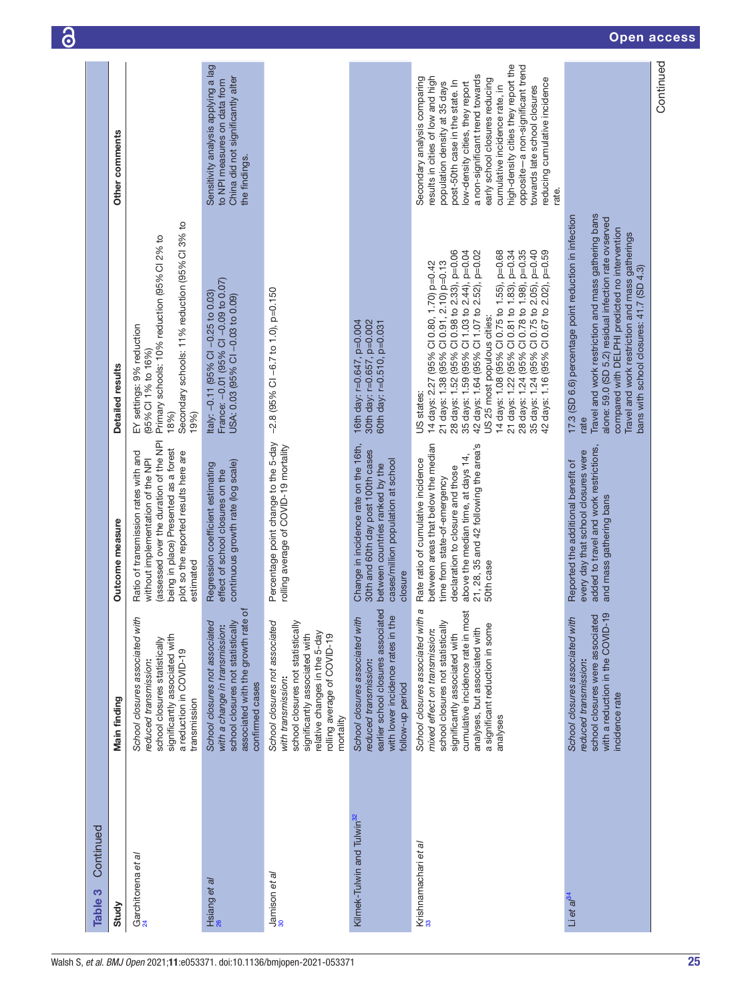| Continued<br>Table 3                   |                                                                                                                                                                                                                                                                     |                                                                                                                                                                                                                                            |                                                                                                                                                                                                                                                                                                                                                                                                                                                                                                                           |                                                                                                                                                                                                                                                                                                                                                                                                                                     |
|----------------------------------------|---------------------------------------------------------------------------------------------------------------------------------------------------------------------------------------------------------------------------------------------------------------------|--------------------------------------------------------------------------------------------------------------------------------------------------------------------------------------------------------------------------------------------|---------------------------------------------------------------------------------------------------------------------------------------------------------------------------------------------------------------------------------------------------------------------------------------------------------------------------------------------------------------------------------------------------------------------------------------------------------------------------------------------------------------------------|-------------------------------------------------------------------------------------------------------------------------------------------------------------------------------------------------------------------------------------------------------------------------------------------------------------------------------------------------------------------------------------------------------------------------------------|
| Study                                  | Main finding                                                                                                                                                                                                                                                        | Outcome measure                                                                                                                                                                                                                            | Detailed results                                                                                                                                                                                                                                                                                                                                                                                                                                                                                                          | Other comments                                                                                                                                                                                                                                                                                                                                                                                                                      |
| Garchitorena et al                     | School closures associated with<br>significantly associated with<br>school closures statistically<br>a reduction in COVID-19<br>reduced transmission:<br>transmission                                                                                               | (assessed over the duration of the NPI<br>being in place) Presented as a forest<br>Ratio of transmission rates with and<br>plot so the reported results here are<br>without implementation of the NPI<br>estimated                         | Secondary schools: 11% reduction (95% Cl 3% to<br>Primary schools: 10% reduction (95% Cl 2% to<br>EY settings: 9% reduction<br>(95% CI 1% to 16%)<br>19%)<br>18%)                                                                                                                                                                                                                                                                                                                                                         |                                                                                                                                                                                                                                                                                                                                                                                                                                     |
| Hsiang <i>et al</i><br>26              | ৳<br>School closures not associated<br>school closures not statistically<br>associated with the growth rate<br>with a change in transmission:<br>confirmed cases                                                                                                    | continuous growth rate (log scale)<br>Regression coefficient estimating<br>effect of school closures on the                                                                                                                                | France: -0.01 (95% Cl -0.09 to 0.07)<br>Italy: -0.11 (95% CI -0.25 to 0.03)<br>USA: 0.03 (95% CI -0.03 to 0.09)                                                                                                                                                                                                                                                                                                                                                                                                           | Sensitivity analysis applying a lag<br>China did not significantly alter<br>to NPI measures on data from<br>the findings.                                                                                                                                                                                                                                                                                                           |
| $\frac{\text{Jamison et al}}{30}$      | School closures not associated<br>school closures not statistically<br>relative changes in the 5-day<br>significantly associated with<br>rolling average of COVID-19<br>with transmission:<br>mortality                                                             | Percentage point change to the 5-day<br>rolling average of COVID-19 mortality                                                                                                                                                              | $-2.8$ (95% CI -6.7 to 1.0), p=0.150                                                                                                                                                                                                                                                                                                                                                                                                                                                                                      |                                                                                                                                                                                                                                                                                                                                                                                                                                     |
| Kilmek-Tulwin and Tulwin <sup>32</sup> | earlier school closures associated<br>with lower incidence rates in the<br>School closures associated with<br>reduced transmission:<br>follow-up period                                                                                                             | Change in incidence rate on the 16th,<br>30th and 60th day post 100th cases<br>cases/million population at school<br>between countries ranked by the<br>closure                                                                            | 30th day: r=0.657, p=0.002<br>16th day: r=0.647, p=0.004<br>60th day: r=0.510, p=0.031                                                                                                                                                                                                                                                                                                                                                                                                                                    |                                                                                                                                                                                                                                                                                                                                                                                                                                     |
| Krishnamachari et al                   | a<br>ā<br>School closures associated with<br>cumulative incidence rate in mo<br>school closures not statistically<br>a significant reduction in some<br>analyses, but associated with<br>mixed effect on transmission:<br>significantly associated with<br>analyses | between areas that below the median<br>21, 28, 35 and 42 following the area's<br>above the median time, at days 14,<br>Rate ratio of cumulative incidence<br>declaration to closure and those<br>time from state-of-emergency<br>50th case | 28 days: 1.24 (95% Cl 0.78 to 1.98), p=0.35<br>28 days: 1.52 (95% Cl 0.98 to 2.33), p=0.06<br>14 days: 1.08 (95% CI 0.75 to 1.55), p=0.68<br>21 days: 1.22 (95% CI 0.81 to 1.83), p=0.34<br>35 days: 1.24 (95% Cl 0.75 to 2.05), p=0.40<br>35 days: 1.59 (95% Cl 1.03 to 2.44), p=0.04<br>42 days: 1.64 (95% Cl 1.07 to 2.52), p=0.02<br>42 days: 1.16 (95% Cl 0.67 to 2.02), p=0.59<br>21 days: 1.38 (95% Cl 0.91, 2.10) p=0.13<br>14 days: 2.27 (95% Cl 0.80, 1.70) p=0.42<br>US 25 most populous cities:<br>US states: | high-density cities they report the<br>opposite-a non-significant trend<br>a non-significant trend towards<br>Secondary analysis comparing<br>results in cities of low and high<br>reducing cumulative incidence<br>early school closures reducing<br>post-50th case in the state. In<br>population density at 35 days<br>low-density cities, they report<br>towards late school closures<br>cumulative incidence rate, in<br>rate. |
| Li et a $l^{34}$                       | $\overline{\Theta}$<br>school closures were associated<br>School closures associated with<br>with a reduction in the COVID-<br>reduced transmission:<br>incidence rate                                                                                              | added to travel and work restrictions,<br>every day that school closures were<br>Reported the additional benefit of<br>and mass gathering bans                                                                                             | Travel and work restriction and mass gathering bans<br>17.3 (SD 6.6) percentage point reduction in infection<br>alone: 59.0 (SD 5.2) residual infection rate ovserved<br>compared with DELPHI predicted no intervention<br>Travel and work restriction and mass gatherings<br>bans with school closures: 41.7 (SD 4.3)<br>rate                                                                                                                                                                                            |                                                                                                                                                                                                                                                                                                                                                                                                                                     |
|                                        |                                                                                                                                                                                                                                                                     |                                                                                                                                                                                                                                            |                                                                                                                                                                                                                                                                                                                                                                                                                                                                                                                           | Continued                                                                                                                                                                                                                                                                                                                                                                                                                           |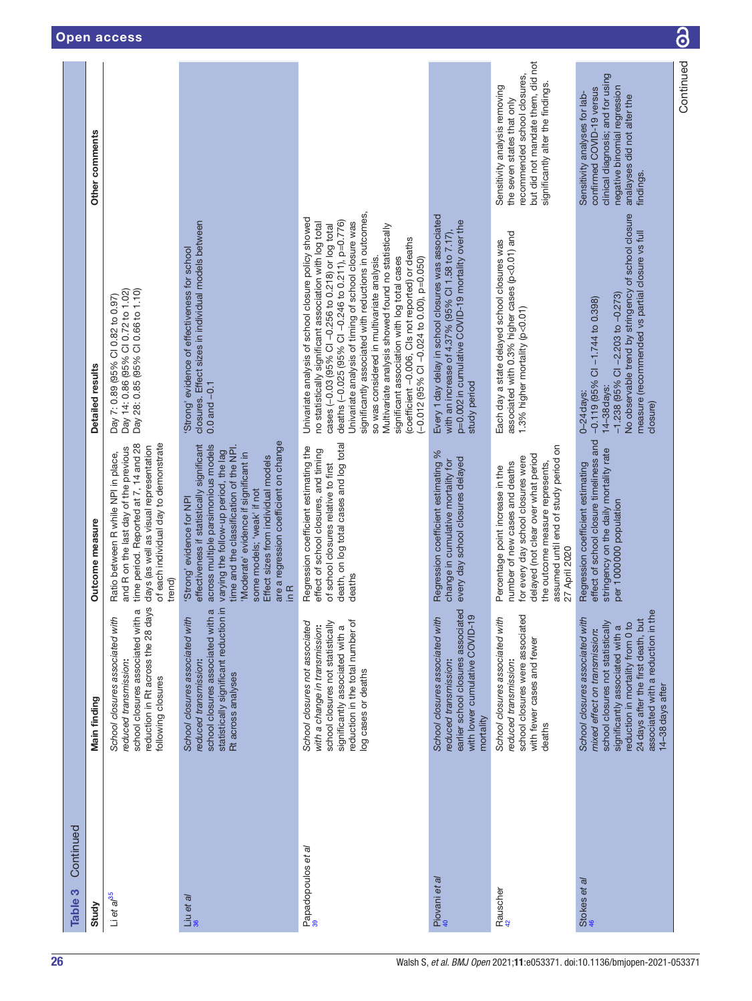| Main finding |                                                                                                                                                                                                                                                                              | Outcome measure                                                                                                                                                                                                                                                                                                                                                              | Detailed results                                                                                                                                                                                                                                                                                                                                                                                                                                                                                                                                                                                | Other comments                                                                                                                                                              |
|--------------|------------------------------------------------------------------------------------------------------------------------------------------------------------------------------------------------------------------------------------------------------------------------------|------------------------------------------------------------------------------------------------------------------------------------------------------------------------------------------------------------------------------------------------------------------------------------------------------------------------------------------------------------------------------|-------------------------------------------------------------------------------------------------------------------------------------------------------------------------------------------------------------------------------------------------------------------------------------------------------------------------------------------------------------------------------------------------------------------------------------------------------------------------------------------------------------------------------------------------------------------------------------------------|-----------------------------------------------------------------------------------------------------------------------------------------------------------------------------|
|              | reduction in Rt across the 28 days<br>school closures associated with a<br>School closures associated with<br>reduced transmission:<br>following closures                                                                                                                    | time period. Reported at 7, 14 and 28<br>of each individual day to demonstrate<br>days (as well as visual representation<br>and R on the last day of the previous<br>Ratio between R while NPI in place,<br>trend)                                                                                                                                                           | Day 14: 0.86 (95% Cl 0.72 to 1.02)<br>Day 28: 0.85 (95% Cl 0.66 to 1.10)<br>Day 7: 0.89 (95% CI 0.82 to 0.97)                                                                                                                                                                                                                                                                                                                                                                                                                                                                                   |                                                                                                                                                                             |
|              | statistically significant reduction in<br>$\sigma$<br>school closures associated with<br>School closures associated with<br>reduced transmission:<br>Rt across analyses                                                                                                      | are a regression coefficient on change<br>effectiveness if statistically significant<br>across multiple parsimonious models<br>time and the classification of the NPI.<br>varying the follow-up period, the lag<br>'Moderate' evidence if significant in<br>Effect sizes from individual models<br>some models; 'weak' if not<br>'Strong' evidence for NPI<br>$\overline{R}$ | closures. Effect sizes in individual models between<br>'Strong' evidence of effectiveness for school<br>$0.0$ and $-0.1$                                                                                                                                                                                                                                                                                                                                                                                                                                                                        |                                                                                                                                                                             |
|              | reduction in the total number of<br>School closures not associated<br>school closures not statistically<br>with a change in transmission:<br>significantly associated with a<br>log cases or deaths                                                                          | death, on log total cases and log total<br>Regression coefficient estimating the<br>effect of school closures, and timing<br>of school closures relative to first<br>deaths                                                                                                                                                                                                  | significantly associated with reductions in outcomes,<br>Univariate analysis of school closure policy showed<br>deaths (-0.025 (95% CI -0.246 to 0.211), p=0.776)<br>no statistically significant association with log total<br>Univariate analysis of timing of school closure was<br>cases (-0.03 (95% CI-0.256 to 0.218) or log total<br>Multivariate analysis showed found no statistically<br>(coefficient -0.006, Cls not reported) or deaths<br>significant association with log total cases<br>so was considered in multivariate analysis.<br>(-0.012 (95% CI -0.024 to 0.00), p=0.050) |                                                                                                                                                                             |
| mortality    | earlier school closures associated<br>with lower cumulative COVID-19<br>School closures associated with<br>reduced transmission:                                                                                                                                             | Regression coefficient estimating %<br>every day school closures delayed<br>change in cumulative mortality for                                                                                                                                                                                                                                                               | Every 1 day delay in school closures was associated<br>p=0.002 in cumulative COVID-19 mortality over the<br>with an increase of 4.37% (95% CI 1.58 to 7.17),<br>study period                                                                                                                                                                                                                                                                                                                                                                                                                    |                                                                                                                                                                             |
| deaths       | school closures were associated<br>School closures associated with<br>with fewer cases and fewer<br>reduced transmission:                                                                                                                                                    | assumed until end of study period on<br>delayed (not clear over what period<br>for every day school closures were<br>the outcome measure represents,<br>number of new cases and deaths<br>Percentage point increase in the<br>27 April 2020                                                                                                                                  | associated with 0.3% higher cases (p<0.01) and<br>Each day a state delayed school closures was<br>1.3% higher mortality (p<0.01)                                                                                                                                                                                                                                                                                                                                                                                                                                                                | but did not mandate them, did not<br>recommended school closures,<br>significantly alter the findings.<br>Sensitivity analysis removing<br>the seven states that only       |
|              | associated with a reduction in the<br>School closures associated with<br>24 days after the first death, but<br>school closures not statistically<br>reduction in mortality from 0 to<br>significantly associated with a<br>mixed effect on transmission:<br>14-38 days after | effect of school closure timeliness and<br>stringency on the daily mortality rate<br>Regression coefficient estimating<br>per 1000000 population                                                                                                                                                                                                                             | No observable trend by stringency of school closure<br>measure (recommended vs partial closure vs full<br>$-1.238$ (95% CI $-2.203$ to $-0.273$ )<br>$-0.119$ (95% CI -1.744 to 0.398)<br>14-38 days:<br>$0 - 24$ days:<br>closure)                                                                                                                                                                                                                                                                                                                                                             | clinical diagnosis; and for using<br>negative binomial regression<br>confirmed COVID-19 versus<br>Sensitivity analyses for lab-<br>analayses did not alter the<br>findings. |
|              |                                                                                                                                                                                                                                                                              |                                                                                                                                                                                                                                                                                                                                                                              |                                                                                                                                                                                                                                                                                                                                                                                                                                                                                                                                                                                                 | Continued                                                                                                                                                                   |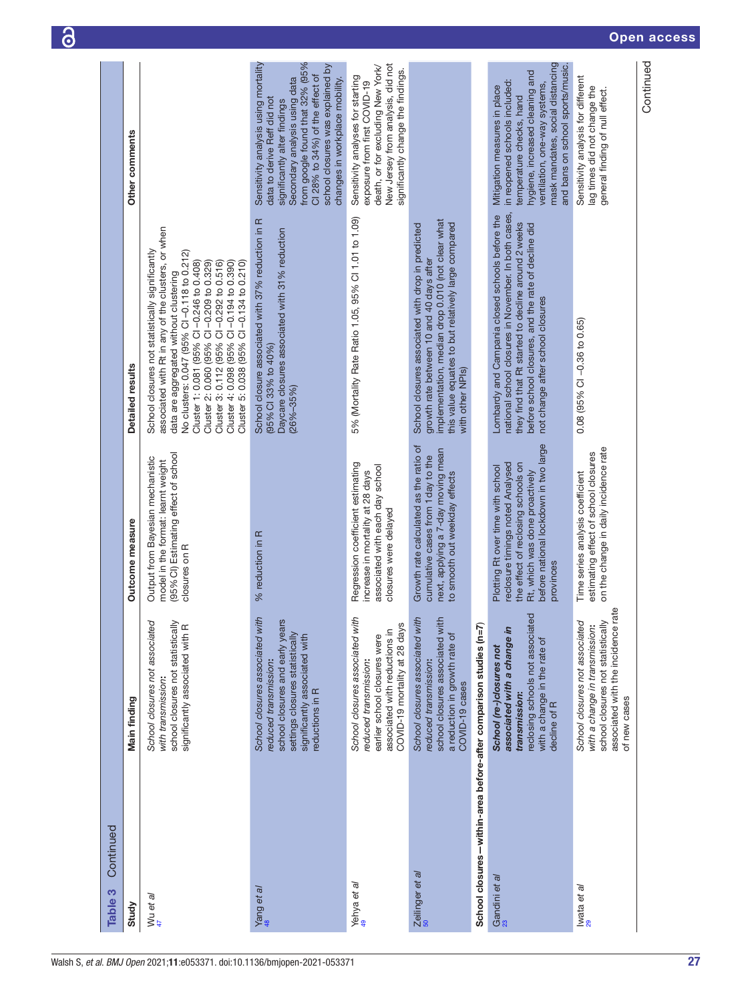| Continued<br>Table 3                                              |                                                                                                                                                                                    |                                                                                                                                                                                                     |                                                                                                                                                                                                                                                                                                                                                                                                                            |                                                                                                                                                                                                                                                                                  |
|-------------------------------------------------------------------|------------------------------------------------------------------------------------------------------------------------------------------------------------------------------------|-----------------------------------------------------------------------------------------------------------------------------------------------------------------------------------------------------|----------------------------------------------------------------------------------------------------------------------------------------------------------------------------------------------------------------------------------------------------------------------------------------------------------------------------------------------------------------------------------------------------------------------------|----------------------------------------------------------------------------------------------------------------------------------------------------------------------------------------------------------------------------------------------------------------------------------|
| Study                                                             | Main finding                                                                                                                                                                       | Outcome measure                                                                                                                                                                                     | Detailed results                                                                                                                                                                                                                                                                                                                                                                                                           | Other comments                                                                                                                                                                                                                                                                   |
| Wu et al                                                          | School closures not associated<br>school closures not statistically<br>significantly associated with R<br>with transmission:                                                       | (95% CI) Estimating effect of school<br>Output from Bayesian mechanistic<br>model in the format: learnt weight<br>closures on R                                                                     | associated with Rt in any of the clusters, or when<br>School closures not statistically significantly<br>No clusters: 0.047 (95% CI-0.118 to 0.212)<br>Cluster 3: 0.112 (95% CI-0.292 to 0.516)<br>Cluster 4: 0.098 (95% CI-0.194 to 0.390)<br>Cluster 1: 0.081 (95% CI-0.246 to 0.408)<br>Cluster 2: 0.060 (95% CI-0.209 to 0.329)<br>Cluster 5: 0.038 (95% Cl -0.134 to 0.210)<br>data are aggregated without clustering |                                                                                                                                                                                                                                                                                  |
| Yang et al                                                        | School closures associated with<br>school closures and early years<br>settings closures statistically<br>significantly associated with<br>reduced transmission:<br>reductions in R | % reduction in R                                                                                                                                                                                    | School closure associated with 37% reduction in R<br>Daycare closures associated with 31% reduction<br>(95% CI 33% to 40%)<br>$(26\% - 35\%)$                                                                                                                                                                                                                                                                              | from google found that 32% (95%<br>Sensitivity analysis using mortality<br>school closures was explained by<br>CI 28% to 34%) of the effect of<br>Secondary analysis using data<br>changes in workplace mobility.<br>data to derive Reff did not<br>significantly alter findings |
| Yehya et al                                                       | School closures associated with<br>COVID-19 mortality at 28 days<br>associated with reductions in<br>earlier school closures were<br>reduced transmission:                         | Regression coefficient estimating<br>associated with each day school<br>increase in mortality at 28 days<br>closures were delayed                                                                   | 5% (Mortality Rate Ratio 1.05, 95% Cl 1.01 to 1.09)                                                                                                                                                                                                                                                                                                                                                                        | New Jersey from analysis, did not<br>death, or for excluding New York/<br>significantly change the findings.<br>Sensitivity analyses for starting<br>exposure from first COVID-19                                                                                                |
| Zeilinger et al                                                   | School closures associated with<br>school closures associated with<br>a reduction in growth rate of<br>reduced transmission:<br>COVID-19 cases                                     | Growth rate calculated as the ratio of<br>next, applying a 7-day moving mean<br>cumulative cases from 1 day to the<br>to smooth out weekday effects                                                 | implementation, median drop 0.010 (not clear what<br>this value equates to but relatively large compared<br>School closures associated with drop in predicted<br>growth rate between 10 and 40 days after<br>with other NPIs)                                                                                                                                                                                              |                                                                                                                                                                                                                                                                                  |
| School closures-within-area before-after comparison studies (n=7) |                                                                                                                                                                                    |                                                                                                                                                                                                     |                                                                                                                                                                                                                                                                                                                                                                                                                            |                                                                                                                                                                                                                                                                                  |
| Gandini et al<br><sup>23</sup>                                    | reclosing schools not associated<br>associated with a change in<br>with a change in the rate of<br>School (re-)closures not<br>transmission:<br>decline of R                       | before national lockdown in two large<br>reclosure timings noted Analysed<br>the effect of reclosing schools on<br>Plotting Rt over time with school<br>Rt, which was done proactively<br>provinces | national school closures in November. In both cases,<br>Lombardy and Campania closed schools before the<br>they find that Rt started to decline around 2 weeks<br>before school closures, and the rate of decline did<br>not change after school closures                                                                                                                                                                  | mask mandates, social distancing<br>and bans on school sports/music.<br>hygiene, increased cleaning and<br>in reopened schools included:<br>ventilation, one-way systems,<br>Mitigation measures in place<br>temperature checks, hand                                            |
| Iwata et <i>al</i><br>29                                          | associated with the incidence rate<br>school closures not statistically<br>School closures not associated<br>with a change in transmission:<br>of new cases                        | on the change in daily incidence rate<br>estimating effect of school closures<br>Time series analysis coefficient                                                                                   | 0.08 (95% CI-0.36 to 0.65)                                                                                                                                                                                                                                                                                                                                                                                                 | Sensitivity analysis for different<br>lag times did not change the<br>general finding of null effect.                                                                                                                                                                            |
|                                                                   |                                                                                                                                                                                    |                                                                                                                                                                                                     |                                                                                                                                                                                                                                                                                                                                                                                                                            | Continued                                                                                                                                                                                                                                                                        |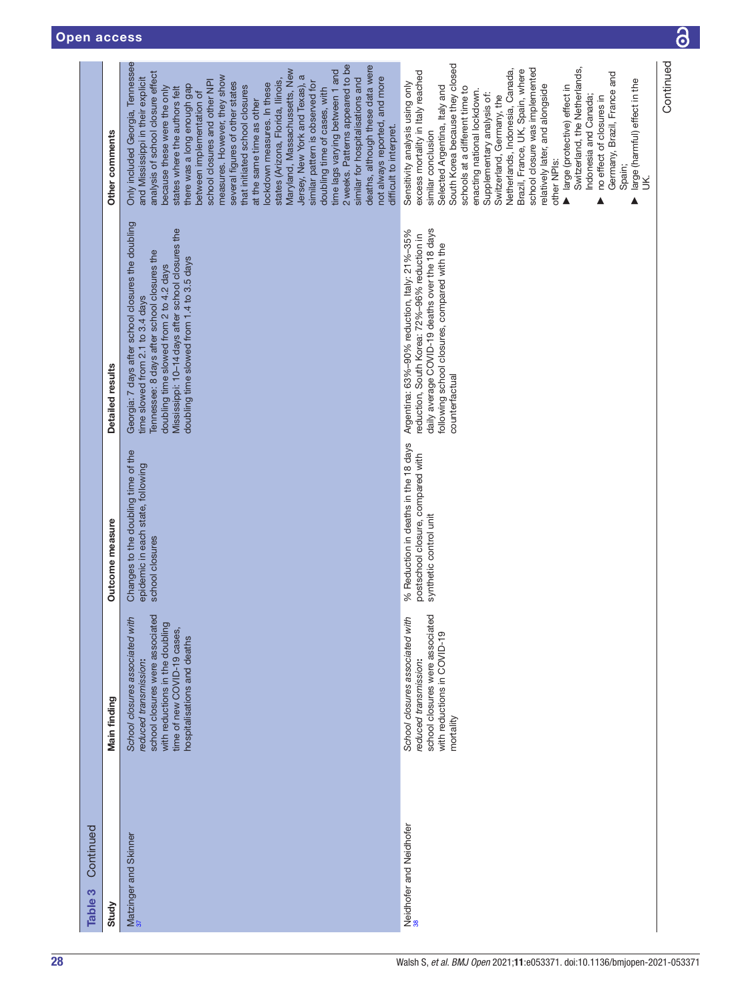| Continued<br>Table 3          |                                                                                                                                                                                                         |                                                                                                     |                                                                                                                                                                                                                                                                                    |                                                                                                                                                                                                                                                                                                                                                                                                                                                                                                                                                                                                                                                                                                                                                                                                                                 |
|-------------------------------|---------------------------------------------------------------------------------------------------------------------------------------------------------------------------------------------------------|-----------------------------------------------------------------------------------------------------|------------------------------------------------------------------------------------------------------------------------------------------------------------------------------------------------------------------------------------------------------------------------------------|---------------------------------------------------------------------------------------------------------------------------------------------------------------------------------------------------------------------------------------------------------------------------------------------------------------------------------------------------------------------------------------------------------------------------------------------------------------------------------------------------------------------------------------------------------------------------------------------------------------------------------------------------------------------------------------------------------------------------------------------------------------------------------------------------------------------------------|
| Study                         | Main finding                                                                                                                                                                                            | Outcome measure                                                                                     | Detailed results                                                                                                                                                                                                                                                                   | Other comments                                                                                                                                                                                                                                                                                                                                                                                                                                                                                                                                                                                                                                                                                                                                                                                                                  |
| Matzinger and Skinner         | <u>ed</u><br>School closures associated with<br>with reductions in the doubling<br>school closures were associat<br>time of new COVID-19 cases,<br>hospitalisations and deaths<br>reduced transmission: | Changes to the doubling time of the<br>epidemic in each state, following<br>school closures         | Georgia: 7 days after school closures the doubling<br>Mississippi: 10-14 days after school closures the<br>Tennessee: 8 days after school closures the<br>doubling time slowed from 1.4 to 3.5 days<br>doubling time slowed from 2 to 4.2 days<br>time slowed from 2.1 to 3.4 days | Only included Georgia, Tennessee<br>2 weeks. Patterns appeared to be<br>deaths, although these data were<br>Maryland, Massachussetts, New<br>time lags varying between 1 and<br>analysis of school closure effect<br>Jersey, New York and Texas), a<br>measures. However, they show<br>similar for hospitalisations and<br>and Mississippi in their explicit<br>not always reported, and more<br>states (Arizona, Florida, Ilinois,<br>school closures and other NPI<br>similar pattern is observed for<br>several figures of other states<br>lockdown measures. In these<br>there was a long enough gap<br>that initiated school closures<br>states where the authors felt<br>doubling time of cases, with<br>because these were the only<br>between implementation of<br>at the same time as other<br>difficult to interpret. |
| Neidhofer and Neidhofer<br>38 | ted<br>School closures associated with<br>school closures were associat<br>with reductions in COVID-19<br>reduced transmission:<br>mortality                                                            | % Reduction in deaths in the 18 days<br>postschool closure, compared with<br>synthetic control unit | daily average COVID-19 deaths over the 18 days<br>Argentina: 63%-90% reduction, Italy: 21%-35%<br>reduction, South Korea: 72%-96% reduction in<br>following school closures, compared with the<br>counterfactual                                                                   | South Korea because they closed<br>school closure was implemented<br>Switzerland, the Netherlands,<br>Netherlands, Indonesia, Canada,<br>Brazil, France, UK, Spain, where<br>excess mortality in Italy reached<br>Germany, Brazil, France and<br>large (harmful) effect in the<br>Sensitivity analysis using only<br>relatively later, and alongside<br>Selected Argentina, Italy and<br>large (protective) effect in<br>schools at a different time to<br>enacting national lockdown.<br>Supplementary analysis of:<br>Indonesia and Canada;<br>Switzerland, Germany, the<br>no effect of closures in<br>similar conclusion<br>other NPI <sub>S</sub> :<br>Spain;<br>Š.                                                                                                                                                        |

Continued

Continued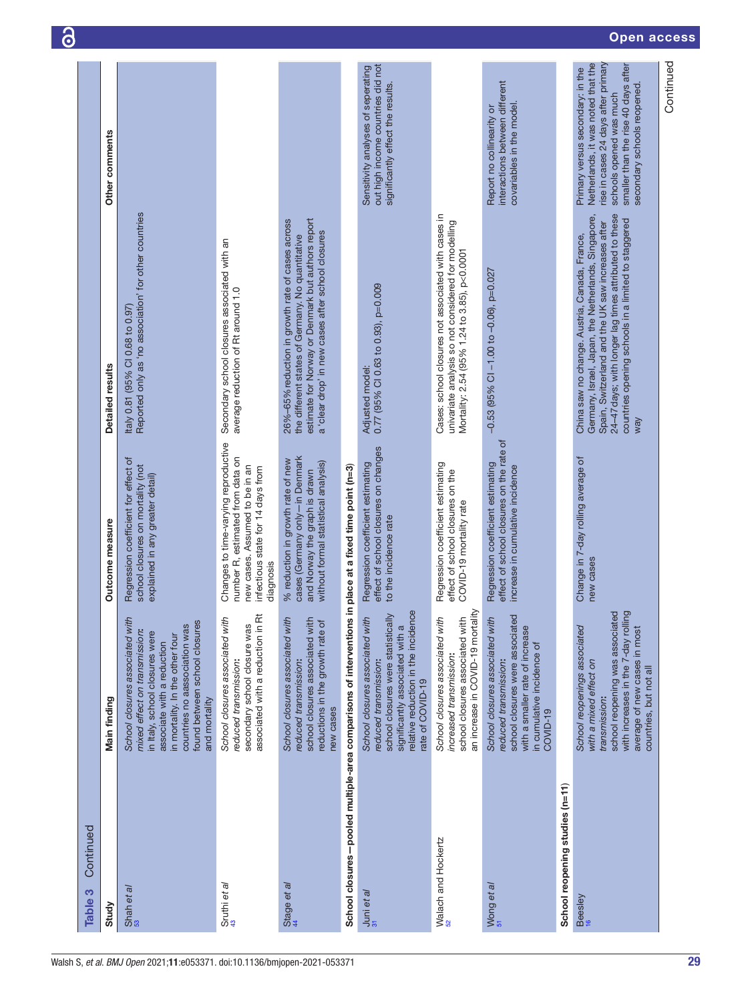| Continued<br>S<br>Table                                                                                |                                                                                                                                                                                                                                                        |                                                                                                                                                              |                                                                                                                                                                                                                                                                                  |                                                                                                                                                                                                                |
|--------------------------------------------------------------------------------------------------------|--------------------------------------------------------------------------------------------------------------------------------------------------------------------------------------------------------------------------------------------------------|--------------------------------------------------------------------------------------------------------------------------------------------------------------|----------------------------------------------------------------------------------------------------------------------------------------------------------------------------------------------------------------------------------------------------------------------------------|----------------------------------------------------------------------------------------------------------------------------------------------------------------------------------------------------------------|
| Study                                                                                                  | Main finding                                                                                                                                                                                                                                           | Outcome measure                                                                                                                                              | Detailed results                                                                                                                                                                                                                                                                 | Other comments                                                                                                                                                                                                 |
| Shah et al                                                                                             | School closures associated with<br>countries no aassociation was<br>found between school closures<br>mixed effect on transmission:<br>in Italy, school closures were<br>in mortality. In the other four<br>associate with a reduction<br>and mortality | Regression coefficient for effect of<br>school closures on mortality (not<br>explained in any greater detail)                                                | Reported only as 'no association' for other countries<br>Italy 0.81 (95% CI 0.68 to 0.97)                                                                                                                                                                                        |                                                                                                                                                                                                                |
| Sruthi et al                                                                                           | 茝<br>School closures associated with<br>secondary school closure was<br>associated with a reduction in<br>reduced transmission:                                                                                                                        | Changes to time-varying reproductive<br>number R, estimated from data on<br>new cases. Assumed to be in an<br>infectious state for 14 days from<br>diagnosis | Secondary school closures associated with an<br>average reduction of Rt around 1.0                                                                                                                                                                                               |                                                                                                                                                                                                                |
| Stage et al                                                                                            | School closures associated with<br>school closures associated with<br>reductions in the growth rate of<br>reduced transmission:<br>new cases                                                                                                           | cases (Germany only-in Denmark<br>% reduction in growth rate of new<br>without formal statistical analysis)<br>and Norway the graph is drawn                 | estimate for Norway or Denmark but authors report<br>26%-65% reduction in growth rate of cases across<br>a 'clear drop' in new cases after school closures<br>the different states of Germany. No quantitative                                                                   |                                                                                                                                                                                                                |
| School closures-pooled multiple-area comparisons of interventions in place at a fixed time point (n=3) |                                                                                                                                                                                                                                                        |                                                                                                                                                              |                                                                                                                                                                                                                                                                                  |                                                                                                                                                                                                                |
| $\frac{1}{31}$ uni et al                                                                               | relative reduction in the incidence<br>school closures were statistically<br>School closures associated with<br>significantly associated with a<br>reduced transmission:<br>rate of COVID-19                                                           | effect of school closures on changes<br>Regression coefficient estimating<br>to the incidence rate                                                           | 0.77 (95% CI 0.63 to 0.93), p=0.009<br>Adjusted model:                                                                                                                                                                                                                           | out high income countries did not<br>Sensitivity analyses of seperating<br>significantly effect the results.                                                                                                   |
| Walach and Hockertz                                                                                    | an increase in COVID-19 mortality<br>School closures associated with<br>school closures associated with<br>increased transmission:                                                                                                                     | Regression coefficient estimating<br>effect of school closures on the<br>COVID-19 mortality rate                                                             | Cases: school closures not associated with cases in<br>univariate analysis so not considered for modelling<br>Mortality: 2.54 (95% 1.24 to 3.85), p<0.0001                                                                                                                       |                                                                                                                                                                                                                |
| Wong et al                                                                                             | school closures were associated<br>School closures associated with<br>with a smaller rate of increase<br>in cumulative incidence of<br>reduced transmission:<br>COVID-19                                                                               | effect of school closures on the rate of<br>Regression coefficient estimating<br>increase in cumulative incidence                                            | $-0.53$ (95% CI $-1.00$ to $-0.06$ ), p=0.027                                                                                                                                                                                                                                    | interactions between different<br>covariables in the model.<br>Report no collinearity or                                                                                                                       |
| School reopening studies (n=11)                                                                        |                                                                                                                                                                                                                                                        |                                                                                                                                                              |                                                                                                                                                                                                                                                                                  |                                                                                                                                                                                                                |
| Beesley<br><sup>16</sup>                                                                               | with increases in the 7-day rolling<br>school reopening was associated<br>School reopenings associated<br>average of new cases in most<br>with a mixed effect on<br>countries, but not all<br>transmission:                                            | Change in 7-day rolling average of<br>new cases                                                                                                              | Germany, Israel, Japan, the Netherlands, Singapore,<br>24-47 days; with longer lag times attributed to these<br>countries opening schools in a limited to staggered<br>Spain, Switzerland and the UK saw increases after<br>China saw no change. Austria, Canada, France,<br>way | rise in cases 24 days after primary<br>Netherlands, it was noted that the<br>smaller than the rise 40 days after<br>Primary versus secondary: in the<br>secondary schools reopened.<br>schools opened was much |
|                                                                                                        |                                                                                                                                                                                                                                                        |                                                                                                                                                              |                                                                                                                                                                                                                                                                                  | Continued                                                                                                                                                                                                      |

 $\overline{\mathbf{a}}$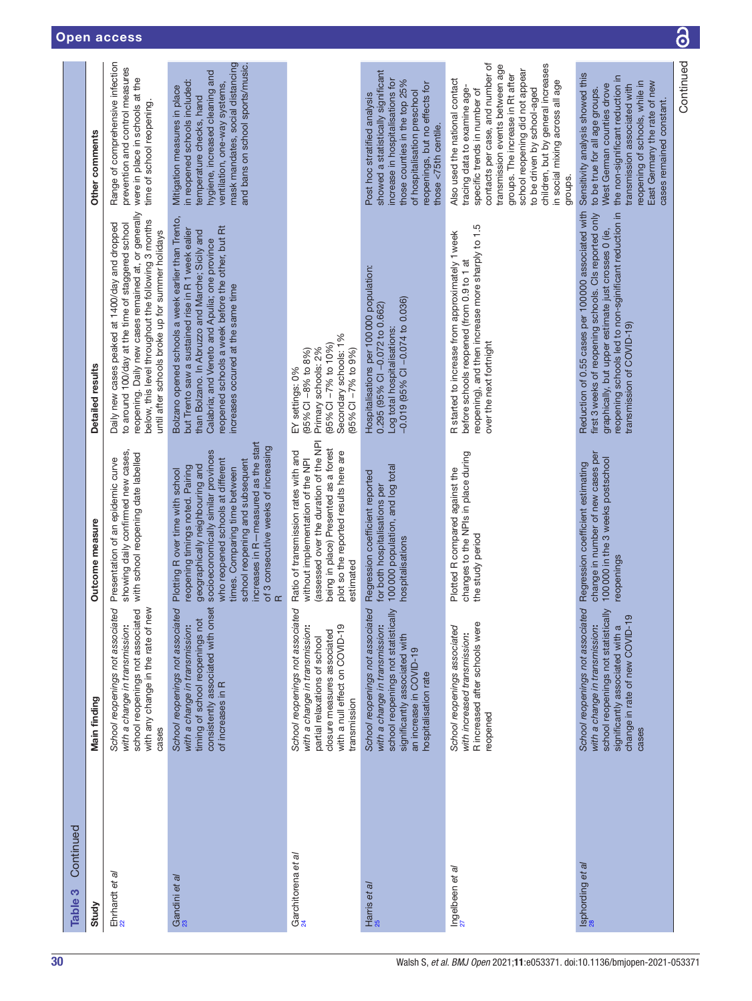| Continued<br>Table 3           |                                                                                                                                                                                               |                                                                                                                                                                                                                                                                                                                                                     |                                                                                                                                                                                                                                                                                                        |                                                                                                                                                                                                                                                                                                                                                                 |
|--------------------------------|-----------------------------------------------------------------------------------------------------------------------------------------------------------------------------------------------|-----------------------------------------------------------------------------------------------------------------------------------------------------------------------------------------------------------------------------------------------------------------------------------------------------------------------------------------------------|--------------------------------------------------------------------------------------------------------------------------------------------------------------------------------------------------------------------------------------------------------------------------------------------------------|-----------------------------------------------------------------------------------------------------------------------------------------------------------------------------------------------------------------------------------------------------------------------------------------------------------------------------------------------------------------|
| Study                          | Main finding                                                                                                                                                                                  | Outcome measure                                                                                                                                                                                                                                                                                                                                     | Detailed results                                                                                                                                                                                                                                                                                       | Other comments                                                                                                                                                                                                                                                                                                                                                  |
| Ehrhardt et al                 | with any change in the rate of new<br>school reopenings not associated<br>βΘ<br>School reopenings not associat<br>with a change in transmission:<br>cases                                     | showing daily confirmed new cases,<br>with school reopening date labelled<br>Presentation of an epidemic curve                                                                                                                                                                                                                                      | reopening. Daily new cases remained at, or generally<br>below, this level throughout the following 3 months<br>Daily new cases peaked at 1400/day and dropped<br>to around 100/day at the time of staggered school<br>until after schools broke up for summer holidays                                 | Range of comprehensive infection<br>prevention and control measures<br>were in place in schools at the<br>time of school reopening.                                                                                                                                                                                                                             |
| Gandini et al<br><sup>23</sup> | consistently associated with onset<br>pə<br>School reopenings not associat<br>timing of school reopenings not<br>with a change in transmission:<br>of increases in R                          | increases in R-measured as the start<br>of 3 consecutive weeks of increasing<br>socioeconomically similar provinces<br>who reopened schools at different<br>school reopening and subsequent<br>geographically neighbouring and<br>reopening timings noted. Pairing<br>times. Comparing time between<br>Plotting R over time with school<br>$\alpha$ | Bolzano opened schools a week earlier than Trento,<br>reopened schools a week before the other, but Rt<br>but Trento saw a sustained rise in R 1 week ealier<br>than Bolzano. In Abruzzo and Marche; Sicily and<br>Calabria; and Veneto and Apulia; one province<br>increases occured at the same time | mask mandates, social distancing<br>and bans on school sports/music.<br>hygiene, increased cleaning and<br>in reopened schools included:<br>ventilation, one-way systems,<br>Mitigation measures in place<br>temperature checks, hand                                                                                                                           |
| Garchitorena et al             | ΘÓ<br>School reopenings not associat<br>with a null effect on COVID-19<br>with a change in transmission:<br>closure measures associated<br>partial relaxations of school<br>transmission      | (assessed over the duration of the NPI<br>being in place) Presented as a forest<br>Ratio of transmission rates with and<br>plot so the reported results here are<br>without implementation of the NPI<br>estimated                                                                                                                                  | Secondary schools: 1%<br>(95% CI -7% to 10%)<br>$(95%$ Cl $-7%$ to $9%$<br>Primary schools: 2%<br>$(95%$ CI $-8%$ to 8%)<br>EY settings: 0%                                                                                                                                                            |                                                                                                                                                                                                                                                                                                                                                                 |
| Harris et al<br><sup>25</sup>  | school reopenings not statistically<br>School reopenings not associated<br>with a change in transmission:<br>significantly associated with<br>an increase in COVID-19<br>hospitalisation rate | 100000 population, and log total<br>Regression coefficient reported<br>for both hospitalisations per<br>hospitalisations                                                                                                                                                                                                                            | Hospitalisations per 100000 population:<br>$-0.019$ (95% CI $-0.074$ to 0.036)<br>0.295 (95% CI-0.072 to 0.662)<br>Log total hospitalisations:                                                                                                                                                         | showed a statistically significant<br>increase in hospitalisations for<br>those counties in the top 25%<br>reopenings, but no effects for<br>of hospitalisation preschool<br>Post hoc stratified analysis<br>those <75th centile.                                                                                                                               |
| Ingelbeen et al                | R increased after schools were<br>School reopenings associated<br>with increased transmission:<br>reopened                                                                                    | changes to the NPIs in place during<br>Plotted R compared against the<br>the study period                                                                                                                                                                                                                                                           | reopening), and then increase more sharply to 1.5<br>R started to increase from approximately 1 week<br>before schools reopened (from 0.9 to 1 at<br>over the next fortnight                                                                                                                           | contacts per case, and number of<br>children, but by general increases<br>transmission events between age<br>school reopening did not appear<br>groups. The increase in Rt after<br>Also used the national contact<br>in social mixing across all age<br>tracing data to examine age-<br>to be driven by school-aged<br>specific trends in number of<br>groups. |
| Isphording et al               | school reopenings not statistically<br>School reopenings not associated<br>ၜ<br>change in rate of new COVID-1<br>with a change in transmission:<br>significantly associated with a<br>cases   | change in number of new cases per<br>100 000 in the 3 weeks postschool<br>Regression coefficient estimating<br>reopenings                                                                                                                                                                                                                           | Reduction of 0.55 cases per 100 000 associated with<br>first 3 weeks of reopening schools. Cls reported only<br>reopening schools led to non-sginificant reduction in<br>graphically, but upper estimate just crosses 0 (ie,<br>transmission of COVID-19)                                              | Sensitivity analysis showed this<br>the non-significant reduction in<br>reopening of schools, while in<br>East Germany the rate of new<br>West German counties drove<br>transmission associated with<br>to be true for all age groups.<br>cases remained constant.                                                                                              |
|                                |                                                                                                                                                                                               |                                                                                                                                                                                                                                                                                                                                                     |                                                                                                                                                                                                                                                                                                        | Continued                                                                                                                                                                                                                                                                                                                                                       |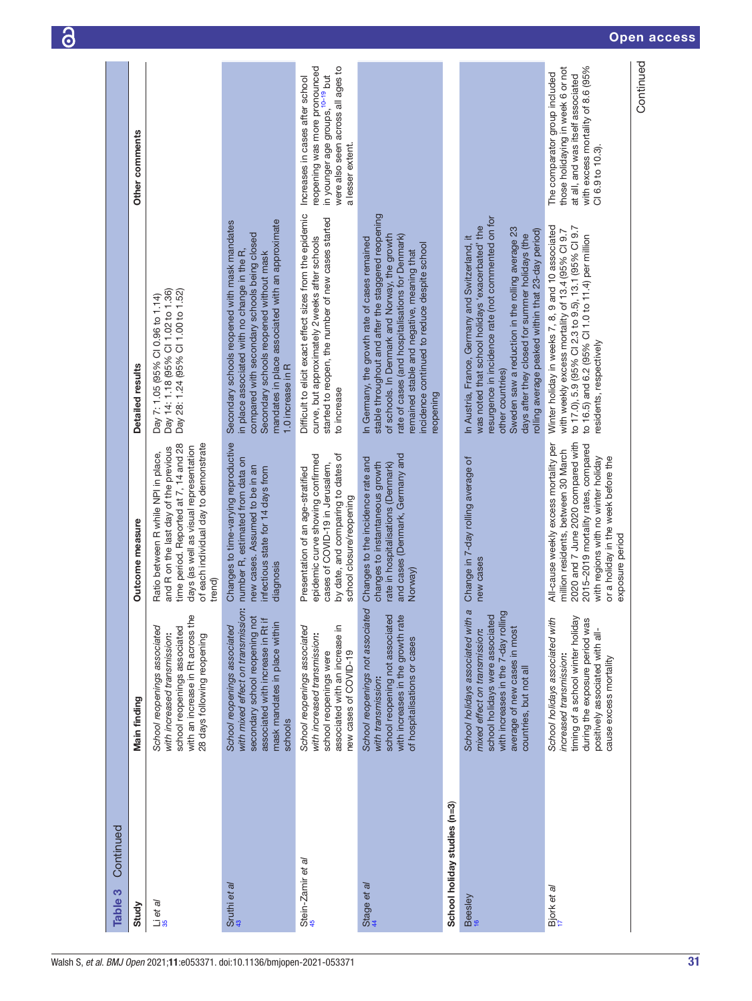| Continued<br>Table 3         |                                                                                                                                                                                                             |                                                                                                                                                                                                                                                            |                                                                                                                                                                                                                                                                                                                                           |                                                                                                                                                                  |
|------------------------------|-------------------------------------------------------------------------------------------------------------------------------------------------------------------------------------------------------------|------------------------------------------------------------------------------------------------------------------------------------------------------------------------------------------------------------------------------------------------------------|-------------------------------------------------------------------------------------------------------------------------------------------------------------------------------------------------------------------------------------------------------------------------------------------------------------------------------------------|------------------------------------------------------------------------------------------------------------------------------------------------------------------|
| Study                        | Main finding                                                                                                                                                                                                | Outcome measure                                                                                                                                                                                                                                            | Detailed results                                                                                                                                                                                                                                                                                                                          | Other comments                                                                                                                                                   |
| Lieta/<br>35                 | <u>eq</u><br>with an increase in Rt across tl<br>School reopenings associated<br>school reopenings associated<br>with increased transmission:<br>28 days following reopening                                | of each individual day to demonstrate<br>time period. Reported at 7, 14 and 28<br>days (as well as visual representation<br>and R on the last day of the previous<br>Ratio between R while NPI in place,<br>trend)                                         | Day 28: 1.24 (95% CI 1.00 to 1.52)<br>Day 14: 1.18 (95% CI 1.02 to 1.36)<br>Day 7: 1.05 (95% Cl 0.96 to 1.14)                                                                                                                                                                                                                             |                                                                                                                                                                  |
| Sruthi et al                 | with mixed effect on transmission:<br>secondary school reopening not<br>$\equiv$<br>mask mandates in place withir<br>School reopenings associated<br>associated with increase in Rt<br>schools              | Changes to time-varying reproductive<br>number R, estimated from data on<br>new cases. Assumed to be in an<br>infectious state for 14 days from<br>diagnosis                                                                                               | mandates in place associated with an approximate<br>Secondary schools reopened with mask mandates<br>compared with secondary schools being closed<br>in place associated with no change in the R,<br>Secondary schools reopened without mask<br>1.0 increase in R                                                                         |                                                                                                                                                                  |
| Stein-Zamir et al            | associated with an increase in<br>School reopenings associated<br>with increased transmission:<br>new cases of COVID-19<br>school reopenings were                                                           | by date, and comparing to dates of<br>epidemic curve showing confirmed<br>cases of COVID-19 in Jerusalem,<br>Presentation of an age-stratified<br>school closure/reopening                                                                                 | Difficult to elicit exact effect sizes from the epidemic<br>started to reopen, the number of new cases started<br>curve, but approximately 2 weeks after schools<br>to increase                                                                                                                                                           | were also seen across all ages to<br>reopening was more pronounced<br>in younger age groups, 10-19 but<br>Increases in cases after school<br>a lesser extent.    |
| Stage et al                  | School reopenings not associated<br>school reopening not associated<br>with increases in the growth rate<br>of hospitalisations or cases<br>with transmission:                                              | and cases (Denmark, Germany and<br>Changes to the incidence rate and<br>changes to instantaneous growth<br>rate in hospitalisations (Denmark)<br>Norway)                                                                                                   | stable throughout and after the staggered reopening<br>of schools. In Denmark and Norway, the growth<br>rate of cases (and hospitalisations for Denmark)<br>In Germany, the growth rate of cases remained<br>incidence continued to reduce despite school<br>remained stable and negative, meaning that<br>eopening                       |                                                                                                                                                                  |
| School holiday studies (n=3) |                                                                                                                                                                                                             |                                                                                                                                                                                                                                                            |                                                                                                                                                                                                                                                                                                                                           |                                                                                                                                                                  |
| Beesley<br><sup>16</sup>     | School holidays associated with a<br>ling<br>school holidays were associated<br>with increases in the 7-day roll<br>average of new cases in most<br>mixed effect on transmission:<br>countries, but not all | Change in 7-day rolling average of<br>new cases                                                                                                                                                                                                            | resurgence in incidence rate (not commented on for<br>was noted that school holidays 'exacerbated' the<br>Sweden saw a reduction in the rolling average 23<br>rolling average peaked within that 23-day period)<br>days after they closed for summer holidays (the<br>In Austria, France, Germany and Switzerland, it<br>other countries) |                                                                                                                                                                  |
| Bjork et al                  | timing of a school winter holiday<br>School holidays associated with<br>during the exposure period was<br>positively associated with all-<br>increased transmission:<br>cause excess mortality              | 2020 and 7 June 2020 compared with<br>All-cause weekly excess mortality per<br>2015-2019 mortality rates, compared<br>million residents, between 30 March<br>with regions with no winter holiday<br>or a holiday in the week before the<br>exposure period | Winter holiday in weeks 7, 8, 9 and 10 associated<br>to 17.0), 5.9 (95% CI 2.3 to 9.5), 13.1 (95% CI 9.7<br>with weekly excess mortality of 13.4 (95% CI 9.7<br>to 16.5) and 6.2 (95% CI 1.0 to 11.4) per million<br>residents, respectively                                                                                              | with excess mortality of 8.6 (95%<br>those holidaying in week 6 or not<br>The comparator group included<br>at all, and was itself associated<br>CI 6.9 to 10.3). |
|                              |                                                                                                                                                                                                             |                                                                                                                                                                                                                                                            |                                                                                                                                                                                                                                                                                                                                           | Continued                                                                                                                                                        |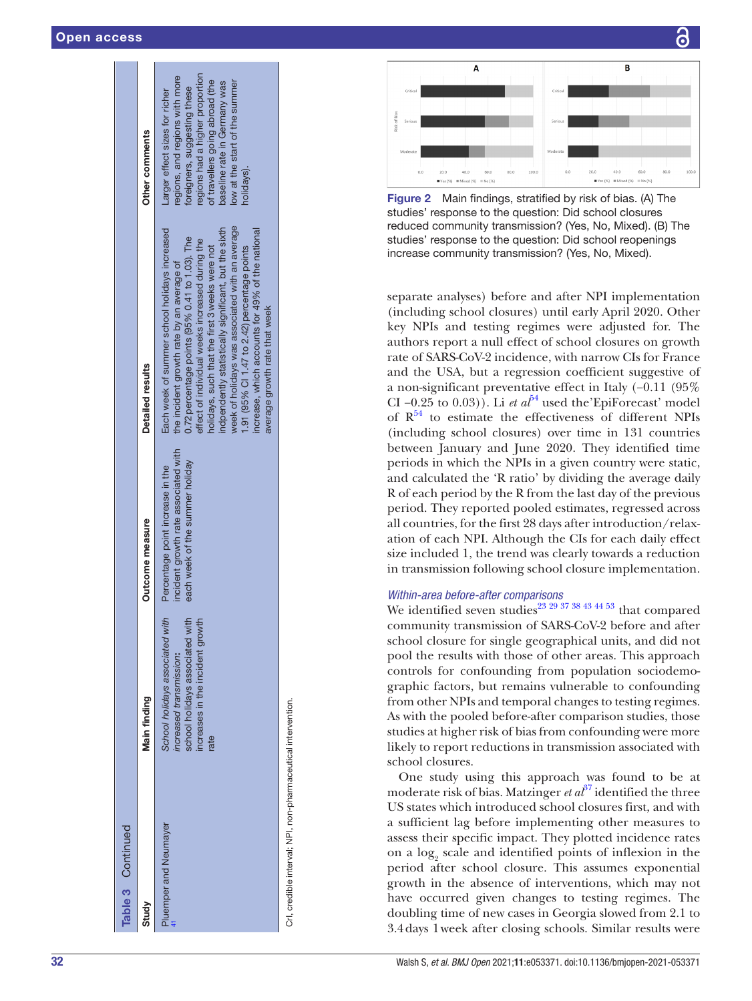|                   | Detailed results<br>Outcome measure | week of holidays was associated with an average<br>Each week of summer school holidays increased<br>indpendently statistically significant, but the sixth<br>increase, which accounts for 49% of the national<br>$0.72$ percentage points (95% $0.41$ to 1.03). The<br>effect of individual weeks increased during the<br>holidays, such that the first 3 weeks were not<br>1.91 (95% CI 1.47 to 2.42) percentage points<br>the incident growth rate by an average of<br>average growth rate that week<br>incident growth rate associated with<br>each week of the summer holiday<br>Percentage point increase in the |
|-------------------|-------------------------------------|-----------------------------------------------------------------------------------------------------------------------------------------------------------------------------------------------------------------------------------------------------------------------------------------------------------------------------------------------------------------------------------------------------------------------------------------------------------------------------------------------------------------------------------------------------------------------------------------------------------------------|
|                   | Main finding                        | School holidays associated with<br>school holidays associated with<br>ncreases in the incident growth<br>ncreased transmission:<br>rate                                                                                                                                                                                                                                                                                                                                                                                                                                                                               |
| Table 3 Continued | Study                               | Pluemper and Neumayer                                                                                                                                                                                                                                                                                                                                                                                                                                                                                                                                                                                                 |

CrI, credible interval; NPI, non-pharmaceutical intervention. credible interval; NPI, non-pharmaceutical intervention Ξ.



<span id="page-31-0"></span>Figure 2 Main findings, stratified by risk of bias. (A) The studies' response to the question: Did school closures reduced community transmission? (Yes, No, Mixed). (B) The studies' response to the question: Did school reopenings increase community transmission? (Yes, No, Mixed).

separate analyses) before and after NPI implementation (including school closures) until early April 2020. Other key NPIs and testing regimes were adjusted for. The authors report a null effect of school closures on growth rate of SARS-CoV-2 incidence, with narrow CIs for France and the USA, but a regression coefficient suggestive of a non-significant preventative effect in Italy (−0.11 (95% CI  $-0.25$  to  $0.03$ ). Li *et al*<sup>54</sup> used the EpiForecast' model of  $R^{54}$  to estimate the effectiveness of different NPIs (including school closures) over time in 131 countries between January and June 2020. They identified time periods in which the NPIs in a given country were static, and calculated the 'R ratio' by dividing the average daily R of each period by the R from the last day of the previous period. They reported pooled estimates, regressed across all countries, for the first 28 days after introduction/relax ation of each NPI. Although the CIs for each daily effect size included 1, the trend was clearly towards a reduction in transmission following school closure implementation.

#### *Within-area before-after comparisons*

We identified seven studies<sup>23</sup> <sup>29</sup> <sup>37</sup> <sup>38</sup> <sup>43</sup> <sup>44 <sup>53</sup> that compared</sup> community transmission of SARS-CoV-2 before and after school closure for single geographical units, and did not pool the results with those of other areas. This approach controls for confounding from population sociodemo graphic factors, but remains vulnerable to confounding from other NPIs and temporal changes to testing regimes. As with the pooled before-after comparison studies, those studies at higher risk of bias from confounding were more likely to report reductions in transmission associated with school closures.

One study using this approach was found to be at moderate risk of bias. Matzinger *et al*<sup>[37](#page-35-21)</sup> identified the three US states which introduced school closures first, and with a sufficient lag before implementing other measures to assess their specific impact. They plotted incidence rates on a log 2 scale and identified points of inflexion in the period after school closure. This assumes exponential growth in the absence of interventions, which may not have occurred given changes to testing regimes. The doubling time of new cases in Georgia slowed from 2.1 to 3.4days 1week after closing schools. Similar results were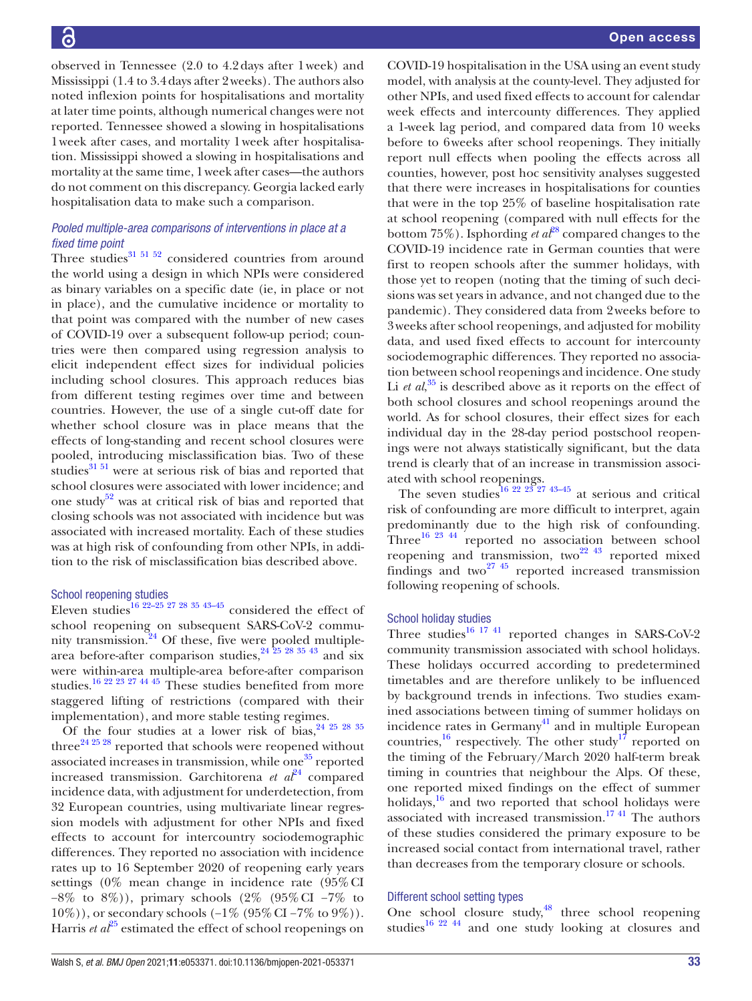Open access

observed in Tennessee (2.0 to 4.2days after 1week) and Mississippi (1.4 to 3.4days after 2weeks). The authors also noted inflexion points for hospitalisations and mortality at later time points, although numerical changes were not reported. Tennessee showed a slowing in hospitalisations 1week after cases, and mortality 1week after hospitalisation. Mississippi showed a slowing in hospitalisations and mortality at the same time, 1week after cases—the authors do not comment on this discrepancy. Georgia lacked early hospitalisation data to make such a comparison.

#### *Pooled multiple-area comparisons of interventions in place at a fixed time point*

Three studies $31\,51\,52$  considered countries from around the world using a design in which NPIs were considered as binary variables on a specific date (ie, in place or not in place), and the cumulative incidence or mortality to that point was compared with the number of new cases of COVID-19 over a subsequent follow-up period; countries were then compared using regression analysis to elicit independent effect sizes for individual policies including school closures. This approach reduces bias from different testing regimes over time and between countries. However, the use of a single cut-off date for whether school closure was in place means that the effects of long-standing and recent school closures were pooled, introducing misclassification bias. Two of these studies<sup>31 51</sup> were at serious risk of bias and reported that school closures were associated with lower incidence; and one study<sup>52</sup> was at critical risk of bias and reported that closing schools was not associated with incidence but was associated with increased mortality. Each of these studies was at high risk of confounding from other NPIs, in addition to the risk of misclassification bias described above.

#### School reopening studies

Eleven studies<sup>16</sup> <sup>22–25</sup> <sup>27</sup> <sup>28</sup> <sup>35</sup> <sup>43–45</sup> considered the effect of school reopening on subsequent SARS-CoV-2 commu-nity transmission.<sup>[24](#page-35-12)</sup> Of these, five were pooled multiplearea before-after comparison studies,  $24\overline{25}$   $28\overline{35}$   $43\overline{3}$  and six were within-area multiple-area before-after comparison studies.[16 22 23 27 44 45](#page-35-6) These studies benefited from more staggered lifting of restrictions (compared with their implementation), and more stable testing regimes.

Of the four studies at a lower risk of bias,  $24\frac{25}{28}$   $28\frac{35}{26}$ three<sup>[24 25 28](#page-35-12)</sup> reported that schools were reopened without associated increases in transmission, while one $35$  reported increased transmission. Garchitorena *et*  $a^{24}$  compared incidence data, with adjustment for underdetection, from 32 European countries, using multivariate linear regression models with adjustment for other NPIs and fixed effects to account for intercountry sociodemographic differences. They reported no association with incidence rates up to 16 September 2020 of reopening early years settings  $(0\%$  mean change in incidence rate  $(95\% \text{ CI})$ −8% to 8%)), primary schools (2% (95%CI −7% to 10%)), or secondary schools (−1% (95%CI −7% to 9%)). Harris *et al*<sup>[25](#page-35-15)</sup> estimated the effect of school reopenings on

COVID-19 hospitalisation in the USA using an event study model, with analysis at the county-level. They adjusted for other NPIs, and used fixed effects to account for calendar week effects and intercounty differences. They applied a 1-week lag period, and compared data from 10 weeks before to 6weeks after school reopenings. They initially report null effects when pooling the effects across all counties, however, post hoc sensitivity analyses suggested that there were increases in hospitalisations for counties that were in the top 25% of baseline hospitalisation rate at school reopening (compared with null effects for the bottom 75%). Isphording *et al*<sup>[28](#page-35-41)</sup> compared changes to the COVID-19 incidence rate in German counties that were first to reopen schools after the summer holidays, with those yet to reopen (noting that the timing of such decisions was set years in advance, and not changed due to the pandemic). They considered data from 2weeks before to 3weeks after school reopenings, and adjusted for mobility data, and used fixed effects to account for intercounty sociodemographic differences. They reported no association between school reopenings and incidence. One study Li *et al*,<sup>[35](#page-35-30)</sup> is described above as it reports on the effect of both school closures and school reopenings around the world. As for school closures, their effect sizes for each individual day in the 28-day period postschool reopenings were not always statistically significant, but the data trend is clearly that of an increase in transmission associated with school reopenings.

The seven studies<sup>[16 22 23 27 43–45](#page-35-6)</sup> at serious and critical risk of confounding are more difficult to interpret, again predominantly due to the high risk of confounding. Three<sup>16 23 44</sup> reported no association between school reopening and transmission, two $^{22-43}$  reported mixed findings and two<sup>27</sup> <sup>45</sup> reported increased transmission following reopening of schools.

#### School holiday studies

Three studies $^{16}$  17.41 reported changes in SARS-CoV-2 community transmission associated with school holidays. These holidays occurred according to predetermined timetables and are therefore unlikely to be influenced by background trends in infections. Two studies examined associations between timing of summer holidays on incidence rates in Germany<sup>41</sup> and in multiple European countries,<sup>16</sup> respectively. The other study<sup>17</sup> reported on the timing of the February/March 2020 half-term break timing in countries that neighbour the Alps. Of these, one reported mixed findings on the effect of summer holidays, $16$  and two reported that school holidays were associated with increased transmission.<sup>1741</sup> The authors of these studies considered the primary exposure to be increased social contact from international travel, rather than decreases from the temporary closure or schools.

#### Different school setting types

One school closure study, $48$  three school reopening studies<sup>[16 22 44](#page-35-6)</sup> and one study looking at closures and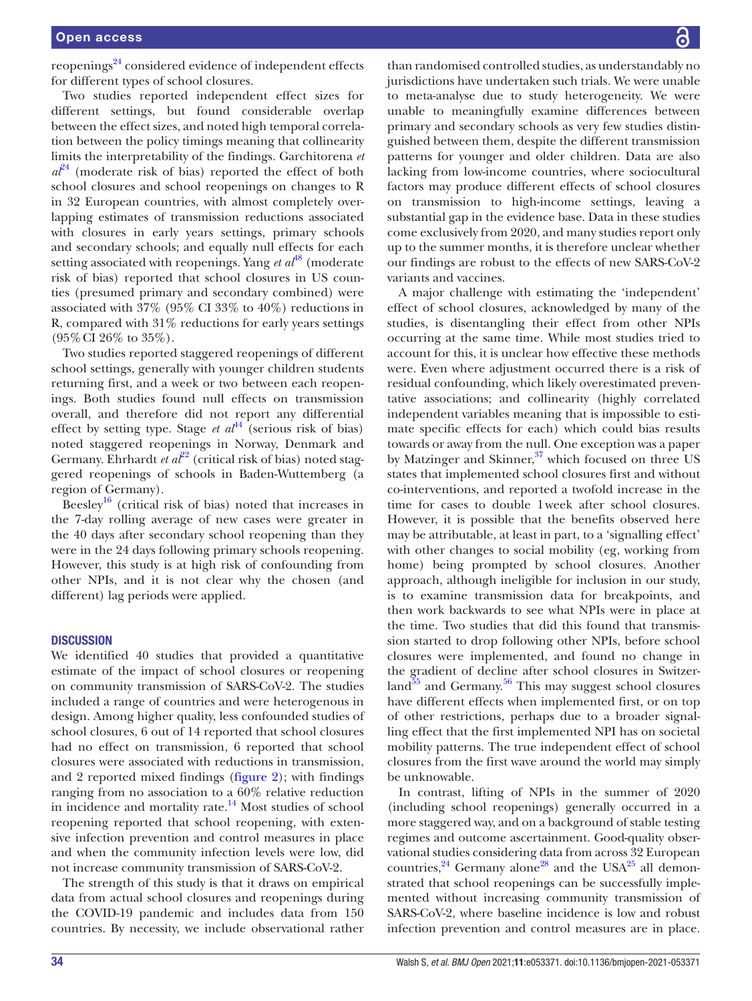reopenings<sup>24</sup> considered evidence of independent effects for different types of school closures.

Two studies reported independent effect sizes for different settings, but found considerable overlap between the effect sizes, and noted high temporal correlation between the policy timings meaning that collinearity limits the interpretability of the findings. Garchitorena *et*   $a\ddot{\ell}^4$  (moderate risk of bias) reported the effect of both school closures and school reopenings on changes to R in 32 European countries, with almost completely overlapping estimates of transmission reductions associated with closures in early years settings, primary schools and secondary schools; and equally null effects for each setting associated with reopenings. Yang *et al*<sup>48</sup> (moderate risk of bias) reported that school closures in US counties (presumed primary and secondary combined) were associated with 37% (95% CI 33% to 40%) reductions in R, compared with 31% reductions for early years settings  $(95\% \text{ CI } 26\% \text{ to } 35\%).$ 

Two studies reported staggered reopenings of different school settings, generally with younger children students returning first, and a week or two between each reopenings. Both studies found null effects on transmission overall, and therefore did not report any differential effect by setting type. Stage *et al*<sup>[44](#page-35-18)</sup> (serious risk of bias) noted staggered reopenings in Norway, Denmark and Germany. Ehrhardt *et al*<sup>22</sup> (critical risk of bias) noted staggered reopenings of schools in Baden-Wuttemberg (a region of Germany).

Beesley<sup>[16](#page-35-6)</sup> (critical risk of bias) noted that increases in the 7-day rolling average of new cases were greater in the 40 days after secondary school reopening than they were in the 24 days following primary schools reopening. However, this study is at high risk of confounding from other NPIs, and it is not clear why the chosen (and different) lag periods were applied.

#### **DISCUSSION**

We identified 40 studies that provided a quantitative estimate of the impact of school closures or reopening on community transmission of SARS-CoV-2. The studies included a range of countries and were heterogenous in design. Among higher quality, less confounded studies of school closures, 6 out of 14 reported that school closures had no effect on transmission, 6 reported that school closures were associated with reductions in transmission, and 2 reported mixed findings ([figure](#page-31-0) 2); with findings ranging from no association to a 60% relative reduction in incidence and mortality rate. $14$  Most studies of school reopening reported that school reopening, with extensive infection prevention and control measures in place and when the community infection levels were low, did not increase community transmission of SARS-CoV-2.

The strength of this study is that it draws on empirical data from actual school closures and reopenings during the COVID-19 pandemic and includes data from 150 countries. By necessity, we include observational rather

than randomised controlled studies, as understandably no jurisdictions have undertaken such trials. We were unable to meta-analyse due to study heterogeneity. We were unable to meaningfully examine differences between primary and secondary schools as very few studies distinguished between them, despite the different transmission patterns for younger and older children. Data are also lacking from low-income countries, where sociocultural factors may produce different effects of school closures on transmission to high-income settings, leaving a substantial gap in the evidence base. Data in these studies come exclusively from 2020, and many studies report only up to the summer months, it is therefore unclear whether our findings are robust to the effects of new SARS-CoV-2 variants and vaccines.

A major challenge with estimating the 'independent' effect of school closures, acknowledged by many of the studies, is disentangling their effect from other NPIs occurring at the same time. While most studies tried to account for this, it is unclear how effective these methods were. Even where adjustment occurred there is a risk of residual confounding, which likely overestimated preventative associations; and collinearity (highly correlated independent variables meaning that is impossible to estimate specific effects for each) which could bias results towards or away from the null. One exception was a paper by Matzinger and Skinner, $37$  which focused on three US states that implemented school closures first and without co-interventions, and reported a twofold increase in the time for cases to double 1week after school closures. However, it is possible that the benefits observed here may be attributable, at least in part, to a 'signalling effect' with other changes to social mobility (eg, working from home) being prompted by school closures. Another approach, although ineligible for inclusion in our study, is to examine transmission data for breakpoints, and then work backwards to see what NPIs were in place at the time. Two studies that did this found that transmission started to drop following other NPIs, before school closures were implemented, and found no change in the gradient of decline after school closures in Switzerland $55$  and Germany.<sup>56</sup> This may suggest school closures have different effects when implemented first, or on top of other restrictions, perhaps due to a broader signalling effect that the first implemented NPI has on societal mobility patterns. The true independent effect of school closures from the first wave around the world may simply be unknowable.

In contrast, lifting of NPIs in the summer of 2020 (including school reopenings) generally occurred in a more staggered way, and on a background of stable testing regimes and outcome ascertainment. Good-quality observational studies considering data from across 32 European countries,  $24$  Germany alone<sup>28</sup> and the USA<sup>[25](#page-35-15)</sup> all demonstrated that school reopenings can be successfully implemented without increasing community transmission of SARS-CoV-2, where baseline incidence is low and robust infection prevention and control measures are in place.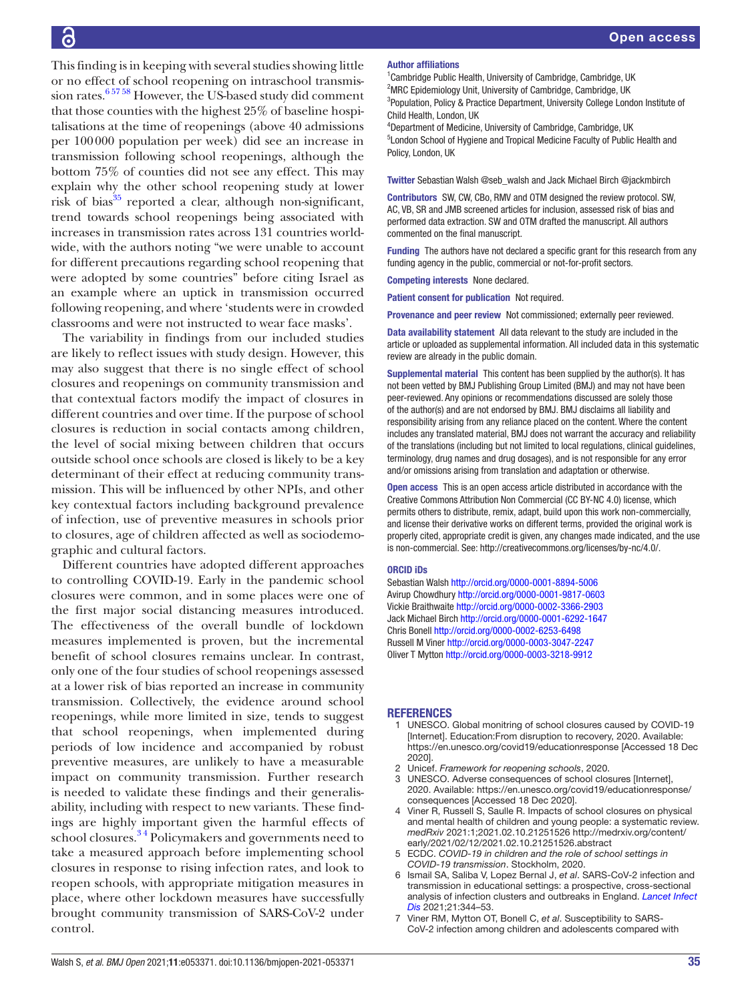This finding is in keeping with several studies showing little or no effect of school reopening on intraschool transmission rates[.6 57 58](#page-34-4) However, the US-based study did comment that those counties with the highest 25% of baseline hospitalisations at the time of reopenings (above 40 admissions per 100000 population per week) did see an increase in transmission following school reopenings, although the bottom 75% of counties did not see any effect. This may explain why the other school reopening study at lower risk of bias $35$  reported a clear, although non-significant, trend towards school reopenings being associated with increases in transmission rates across 131 countries worldwide, with the authors noting "we were unable to account for different precautions regarding school reopening that were adopted by some countries" before citing Israel as an example where an uptick in transmission occurred following reopening, and where 'students were in crowded classrooms and were not instructed to wear face masks'.

The variability in findings from our included studies are likely to reflect issues with study design. However, this may also suggest that there is no single effect of school closures and reopenings on community transmission and that contextual factors modify the impact of closures in different countries and over time. If the purpose of school closures is reduction in social contacts among children, the level of social mixing between children that occurs outside school once schools are closed is likely to be a key determinant of their effect at reducing community transmission. This will be influenced by other NPIs, and other key contextual factors including background prevalence of infection, use of preventive measures in schools prior to closures, age of children affected as well as sociodemographic and cultural factors.

Different countries have adopted different approaches to controlling COVID-19. Early in the pandemic school closures were common, and in some places were one of the first major social distancing measures introduced. The effectiveness of the overall bundle of lockdown measures implemented is proven, but the incremental benefit of school closures remains unclear. In contrast, only one of the four studies of school reopenings assessed at a lower risk of bias reported an increase in community transmission. Collectively, the evidence around school reopenings, while more limited in size, tends to suggest that school reopenings, when implemented during periods of low incidence and accompanied by robust preventive measures, are unlikely to have a measurable impact on community transmission. Further research is needed to validate these findings and their generalisability, including with respect to new variants. These findings are highly important given the harmful effects of school closures.<sup>34</sup> Policymakers and governments need to take a measured approach before implementing school closures in response to rising infection rates, and look to reopen schools, with appropriate mitigation measures in place, where other lockdown measures have successfully brought community transmission of SARS-CoV-2 under control.

#### Author affiliations

<sup>1</sup> Cambridge Public Health, University of Cambridge, Cambridge, UK <sup>2</sup>MRC Epidemiology Unit, University of Cambridge, Cambridge, UK <sup>3</sup>Population, Policy & Practice Department, University College London Institute of Child Health, London, UK

4 Department of Medicine, University of Cambridge, Cambridge, UK 5 London School of Hygiene and Tropical Medicine Faculty of Public Health and Policy, London, UK

Twitter Sebastian Walsh [@seb\\_walsh](https://twitter.com/seb_walsh) and Jack Michael Birch [@jackmbirch](https://twitter.com/jackmbirch)

Contributors SW, CW, CBo, RMV and OTM designed the review protocol. SW, AC, VB, SR and JMB screened articles for inclusion, assessed risk of bias and performed data extraction. SW and OTM drafted the manuscript. All authors commented on the final manuscript.

Funding The authors have not declared a specific grant for this research from any funding agency in the public, commercial or not-for-profit sectors.

Competing interests None declared.

Patient consent for publication Not required.

Provenance and peer review Not commissioned; externally peer reviewed.

Data availability statement All data relevant to the study are included in the article or uploaded as supplemental information. All included data in this systematic review are already in the public domain.

Supplemental material This content has been supplied by the author(s). It has not been vetted by BMJ Publishing Group Limited (BMJ) and may not have been peer-reviewed. Any opinions or recommendations discussed are solely those of the author(s) and are not endorsed by BMJ. BMJ disclaims all liability and responsibility arising from any reliance placed on the content. Where the content includes any translated material, BMJ does not warrant the accuracy and reliability of the translations (including but not limited to local regulations, clinical guidelines, terminology, drug names and drug dosages), and is not responsible for any error and/or omissions arising from translation and adaptation or otherwise.

Open access This is an open access article distributed in accordance with the Creative Commons Attribution Non Commercial (CC BY-NC 4.0) license, which permits others to distribute, remix, adapt, build upon this work non-commercially, and license their derivative works on different terms, provided the original work is properly cited, appropriate credit is given, any changes made indicated, and the use is non-commercial. See: [http://creativecommons.org/licenses/by-nc/4.0/.](http://creativecommons.org/licenses/by-nc/4.0/)

#### ORCID iDs

Sebastian Walsh <http://orcid.org/0000-0001-8894-5006> Avirup Chowdhury <http://orcid.org/0000-0001-9817-0603> Vickie Braithwaite <http://orcid.org/0000-0002-3366-2903> Jack Michael Birch <http://orcid.org/0000-0001-6292-1647> Chris Bonell<http://orcid.org/0000-0002-6253-6498> Russell M Viner<http://orcid.org/0000-0003-3047-2247> Oliver T Mytton<http://orcid.org/0000-0003-3218-9912>

#### <span id="page-34-0"></span>REFERENCES

- 1 UNESCO. Global monitring of school closures caused by COVID-19 [Internet]. Education:From disruption to recovery, 2020. Available: <https://en.unesco.org/covid19/educationresponse> [Accessed 18 Dec 2020].
- <span id="page-34-1"></span>2 Unicef. *Framework for reopening schools*, 2020.
- <span id="page-34-2"></span>UNESCO. Adverse consequences of school closures [Internet] 2020. Available: [https://en.unesco.org/covid19/educationresponse/](https://en.unesco.org/covid19/educationresponse/consequences) [consequences](https://en.unesco.org/covid19/educationresponse/consequences) [Accessed 18 Dec 2020].
- 4 Viner R, Russell S, Saulle R. Impacts of school closures on physical and mental health of children and young people: a systematic review. *medRxiv* 2021:1;2021.02.10.21251526 [http://medrxiv.org/content/](http://medrxiv.org/content/early/2021/02/12/2021.02.10.21251526.abstract) [early/2021/02/12/2021.02.10.21251526.abstract](http://medrxiv.org/content/early/2021/02/12/2021.02.10.21251526.abstract)
- <span id="page-34-3"></span>5 ECDC. *COVID-19 in children and the role of school settings in COVID-19 transmission*. Stockholm, 2020.
- <span id="page-34-4"></span>6 Ismail SA, Saliba V, Lopez Bernal J, *et al*. SARS-CoV-2 infection and transmission in educational settings: a prospective, cross-sectional analysis of infection clusters and outbreaks in England. *[Lancet Infect](http://dx.doi.org/10.1016/S1473-3099(20)30882-3)  [Dis](http://dx.doi.org/10.1016/S1473-3099(20)30882-3)* 2021;21:344–53.
- <span id="page-34-5"></span>7 Viner RM, Mytton OT, Bonell C, *et al*. Susceptibility to SARS-CoV-2 infection among children and adolescents compared with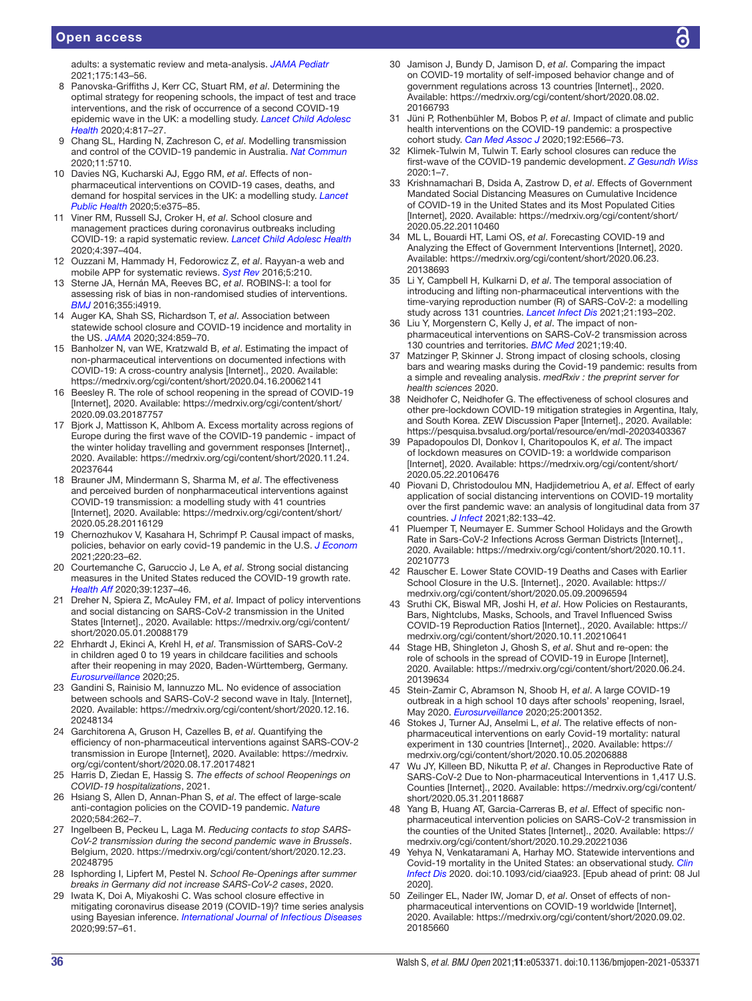#### Open access

adults: a systematic review and meta-analysis. *[JAMA Pediatr](http://dx.doi.org/10.1001/jamapediatrics.2020.4573)* 2021;175:143–56.

- <span id="page-35-0"></span>8 Panovska-Griffiths J, Kerr CC, Stuart RM, *et al*. Determining the optimal strategy for reopening schools, the impact of test and trace interventions, and the risk of occurrence of a second COVID-19 epidemic wave in the UK: a modelling study. *[Lancet Child Adolesc](http://dx.doi.org/10.1016/S2352-4642(20)30250-9)  [Health](http://dx.doi.org/10.1016/S2352-4642(20)30250-9)* 2020;4:817–27.
- <span id="page-35-1"></span>9 Chang SL, Harding N, Zachreson C, *et al*. Modelling transmission and control of the COVID-19 pandemic in Australia. *[Nat Commun](http://dx.doi.org/10.1038/s41467-020-19393-6)* 2020;11:5710.
- <span id="page-35-42"></span>10 Davies NG, Kucharski AJ, Eggo RM, *et al*. Effects of nonpharmaceutical interventions on COVID-19 cases, deaths, and demand for hospital services in the UK: a modelling study. *[Lancet](http://dx.doi.org/10.1016/S2468-2667(20)30133-X)  [Public Health](http://dx.doi.org/10.1016/S2468-2667(20)30133-X)* 2020;5:e375–85.
- <span id="page-35-2"></span>11 Viner RM, Russell SJ, Croker H, *et al*. School closure and management practices during coronavirus outbreaks including COVID-19: a rapid systematic review. *[Lancet Child Adolesc Health](http://dx.doi.org/10.1016/S2352-4642(20)30095-X)* 2020;4:397–404.
- <span id="page-35-3"></span>12 Ouzzani M, Hammady H, Fedorowicz Z, *et al*. Rayyan-a web and mobile APP for systematic reviews. *[Syst Rev](http://dx.doi.org/10.1186/s13643-016-0384-4)* 2016;5:210.
- <span id="page-35-4"></span>13 Sterne JA, Hernán MA, Reeves BC, *et al*. ROBINS-I: a tool for assessing risk of bias in non-randomised studies of interventions. *[BMJ](http://dx.doi.org/10.1136/bmj.i4919)* 2016;355:i4919.
- <span id="page-35-5"></span>14 Auger KA, Shah SS, Richardson T, *et al*. Association between statewide school closure and COVID-19 incidence and mortality in the US. *[JAMA](http://dx.doi.org/10.1001/jama.2020.14348)* 2020;324:859–70.
- <span id="page-35-13"></span>15 Banholzer N, van WE, Kratzwald B, *et al*. Estimating the impact of non-pharmaceutical interventions on documented infections with COVID-19: A cross-country analysis [Internet]., 2020. Available: <https://medrxiv.org/cgi/content/short/2020.04.16.20062141>
- <span id="page-35-6"></span>16 Beesley R. The role of school reopening in the spread of COVID-19 [Internet], 2020. Available: [https://medrxiv.org/cgi/content/short/](https://medrxiv.org/cgi/content/short/2020.09.03.20187757) [2020.09.03.20187757](https://medrxiv.org/cgi/content/short/2020.09.03.20187757)
- <span id="page-35-20"></span>17 Bjork J, Mattisson K, Ahlbom A. Excess mortality across regions of Europe during the first wave of the COVID-19 pandemic - impact of the winter holiday travelling and government responses [Internet]., 2020. Available: [https://medrxiv.org/cgi/content/short/2020.11.24.](https://medrxiv.org/cgi/content/short/2020.11.24.20237644) [20237644](https://medrxiv.org/cgi/content/short/2020.11.24.20237644)
- <span id="page-35-23"></span>18 Brauner JM, Mindermann S, Sharma M, *et al*. The effectiveness and perceived burden of nonpharmaceutical interventions against COVID-19 transmission: a modelling study with 41 countries [Internet], 2020. Available: [https://medrxiv.org/cgi/content/short/](https://medrxiv.org/cgi/content/short/2020.05.28.20116129) [2020.05.28.20116129](https://medrxiv.org/cgi/content/short/2020.05.28.20116129)
- <span id="page-35-25"></span>19 Chernozhukov V, Kasahara H, Schrimpf P. Causal impact of masks, policies, behavior on early covid-19 pandemic in the U.S. *[J Econom](http://dx.doi.org/10.1016/j.jeconom.2020.09.003)* 2021;220:23–62.
- <span id="page-35-26"></span>20 Courtemanche C, Garuccio J, Le A, *et al*. Strong social distancing measures in the United States reduced the COVID-19 growth rate. *[Health Aff](http://dx.doi.org/10.1377/hlthaff.2020.00608)* 2020;39:1237–46.
- <span id="page-35-24"></span>21 Dreher N, Spiera Z, McAuley FM, *et al*. Impact of policy interventions and social distancing on SARS-CoV-2 transmission in the United States [Internet]., 2020. Available: [https://medrxiv.org/cgi/content/](https://medrxiv.org/cgi/content/short/2020.05.01.20088179) [short/2020.05.01.20088179](https://medrxiv.org/cgi/content/short/2020.05.01.20088179)
- <span id="page-35-14"></span>22 Ehrhardt J, Ekinci A, Krehl H, *et al*. Transmission of SARS-CoV-2 in children aged 0 to 19 years in childcare facilities and schools after their reopening in may 2020, Baden-Württemberg, Germany. *[Eurosurveillance](http://dx.doi.org/10.2807/1560-7917.ES.2020.25.36.2001587)* 2020;25.
- <span id="page-35-7"></span>23 Gandini S, Rainisio M, Iannuzzo ML. No evidence of association between schools and SARS-CoV-2 second wave in Italy. [Internet], 2020. Available: [https://medrxiv.org/cgi/content/short/2020.12.16.](https://medrxiv.org/cgi/content/short/2020.12.16.20248134) [20248134](https://medrxiv.org/cgi/content/short/2020.12.16.20248134)
- <span id="page-35-12"></span>24 Garchitorena A, Gruson H, Cazelles B, *et al*. Quantifying the efficiency of non-pharmaceutical interventions against SARS-COV-2 transmission in Europe [Internet], 2020. Available: [https://medrxiv.](https://medrxiv.org/cgi/content/short/2020.08.17.20174821) [org/cgi/content/short/2020.08.17.20174821](https://medrxiv.org/cgi/content/short/2020.08.17.20174821)
- <span id="page-35-15"></span>25 Harris D, Ziedan E, Hassig S. *The effects of school Reopenings on COVID-19 hospitalizations*, 2021.
- <span id="page-35-10"></span>26 Hsiang S, Allen D, Annan-Phan S, *et al*. The effect of large-scale anti-contagion policies on the COVID-19 pandemic. *[Nature](http://dx.doi.org/10.1038/s41586-020-2404-8)* 2020;584:262–7.
- <span id="page-35-16"></span>27 Ingelbeen B, Peckeu L, Laga M. *Reducing contacts to stop SARS-CoV-2 transmission during the second pandemic wave in Brussels*. Belgium, 2020. [https://medrxiv.org/cgi/content/short/2020.12.23.](https://medrxiv.org/cgi/content/short/2020.12.23.20248795) [20248795](https://medrxiv.org/cgi/content/short/2020.12.23.20248795)
- <span id="page-35-41"></span>28 Isphording I, Lipfert M, Pestel N. *School Re-Openings after summer breaks in Germany did not increase SARS-CoV-2 cases*, 2020.
- <span id="page-35-8"></span>29 Iwata K, Doi A, Miyakoshi C. Was school closure effective in mitigating coronavirus disease 2019 (COVID-19)? time series analysis using Bayesian inference. *[International Journal of Infectious Diseases](http://dx.doi.org/10.1016/j.ijid.2020.07.052)* 2020;99:57–61.
- <span id="page-35-27"></span>30 Jamison J, Bundy D, Jamison D, *et al*. Comparing the impact on COVID-19 mortality of self-imposed behavior change and of government regulations across 13 countries [Internet]., 2020. Available: [https://medrxiv.org/cgi/content/short/2020.08.02.](https://medrxiv.org/cgi/content/short/2020.08.02.20166793) [20166793](https://medrxiv.org/cgi/content/short/2020.08.02.20166793)
- <span id="page-35-11"></span>31 Jüni P, Rothenbühler M, Bobos P, *et al*. Impact of climate and public health interventions on the COVID-19 pandemic: a prospective cohort study. *[Can Med Assoc J](http://dx.doi.org/10.1503/cmaj.200920)* 2020;192:E566–73.
- <span id="page-35-22"></span>32 Klimek-Tulwin M, Tulwin T. Early school closures can reduce the first-wave of the COVID-19 pandemic development. *[Z Gesundh Wiss](http://dx.doi.org/10.1007/s10389-020-01391-z)* 2020:1–7.
- <span id="page-35-28"></span>33 Krishnamachari B, Dsida A, Zastrow D, *et al*. Effects of Government Mandated Social Distancing Measures on Cumulative Incidence of COVID-19 in the United States and its Most Populated Cities [Internet], 2020. Available: [https://medrxiv.org/cgi/content/short/](https://medrxiv.org/cgi/content/short/2020.05.22.20110460) [2020.05.22.20110460](https://medrxiv.org/cgi/content/short/2020.05.22.20110460)
- <span id="page-35-29"></span>34 ML L, Bouardi HT, Lami OS, *et al*. Forecasting COVID-19 and Analyzing the Effect of Government Interventions [Internet], 2020. Available: [https://medrxiv.org/cgi/content/short/2020.06.23.](https://medrxiv.org/cgi/content/short/2020.06.23.20138693) [20138693](https://medrxiv.org/cgi/content/short/2020.06.23.20138693)
- <span id="page-35-30"></span>35 Li Y, Campbell H, Kulkarni D, *et al*. The temporal association of introducing and lifting non-pharmaceutical interventions with the time-varying reproduction number (R) of SARS-CoV-2: a modelling study across 131 countries. *[Lancet Infect Dis](http://dx.doi.org/10.1016/S1473-3099(20)30785-4)* 2021;21:193–202.
- <span id="page-35-31"></span>36 Liu Y, Morgenstern C, Kelly J, *et al*. The impact of nonpharmaceutical interventions on SARS-CoV-2 transmission across 130 countries and territories. *[BMC Med](http://dx.doi.org/10.1186/s12916-020-01872-8)* 2021;19:40.
- <span id="page-35-21"></span>37 Matzinger P, Skinner J. Strong impact of closing schools, closing bars and wearing masks during the Covid-19 pandemic: results from a simple and revealing analysis. *medRxiv : the preprint server for health sciences* 2020.
- <span id="page-35-40"></span>38 Neidhofer C, Neidhofer G. The effectiveness of school closures and other pre-lockdown COVID-19 mitigation strategies in Argentina, Italy, and South Korea. ZEW Discussion Paper [Internet]., 2020. Available: <https://pesquisa.bvsalud.org/portal/resource/en/mdl-20203403367>
- <span id="page-35-32"></span>39 Papadopoulos DI, Donkov I, Charitopoulos K, *et al*. The impact of lockdown measures on COVID-19: a worldwide comparison [Internet], 2020. Available: [https://medrxiv.org/cgi/content/short/](https://medrxiv.org/cgi/content/short/2020.05.22.20106476) [2020.05.22.20106476](https://medrxiv.org/cgi/content/short/2020.05.22.20106476)
- <span id="page-35-33"></span>40 Piovani D, Christodoulou MN, Hadjidemetriou A, *et al*. Effect of early application of social distancing interventions on COVID-19 mortality over the first pandemic wave: an analysis of longitudinal data from 37 countries. *[J Infect](http://dx.doi.org/10.1016/j.jinf.2020.11.033)* 2021;82:133–42.
- <span id="page-35-19"></span>41 Pluemper T, Neumayer E. Summer School Holidays and the Growth Rate in Sars-CoV-2 Infections Across German Districts [Internet]., 2020. Available: [https://medrxiv.org/cgi/content/short/2020.10.11.](https://medrxiv.org/cgi/content/short/2020.10.11.20210773) [20210773](https://medrxiv.org/cgi/content/short/2020.10.11.20210773)
- <span id="page-35-34"></span>42 Rauscher E. Lower State COVID-19 Deaths and Cases with Earlier School Closure in the U.S. [Internet]., 2020. Available: [https://](https://medrxiv.org/cgi/content/short/2020.05.09.20096594) [medrxiv.org/cgi/content/short/2020.05.09.20096594](https://medrxiv.org/cgi/content/short/2020.05.09.20096594)
- <span id="page-35-9"></span>43 Sruthi CK, Biswal MR, Joshi H, *et al*. How Policies on Restaurants, Bars, Nightclubs, Masks, Schools, and Travel Influenced Swiss COVID-19 Reproduction Ratios [Internet]., 2020. Available: [https://](https://medrxiv.org/cgi/content/short/2020.10.11.20210641) [medrxiv.org/cgi/content/short/2020.10.11.20210641](https://medrxiv.org/cgi/content/short/2020.10.11.20210641)
- <span id="page-35-18"></span>44 Stage HB, Shingleton J, Ghosh S, *et al*. Shut and re-open: the role of schools in the spread of COVID-19 in Europe [Internet], 2020. Available: [https://medrxiv.org/cgi/content/short/2020.06.24.](https://medrxiv.org/cgi/content/short/2020.06.24.20139634) [20139634](https://medrxiv.org/cgi/content/short/2020.06.24.20139634)
- <span id="page-35-17"></span>45 Stein-Zamir C, Abramson N, Shoob H, *et al*. A large COVID-19 outbreak in a high school 10 days after schools' reopening, Israel, May 2020. *[Eurosurveillance](http://dx.doi.org/10.2807/1560-7917.ES.2020.25.29.2001352)* 2020;25:2001352.
- <span id="page-35-35"></span>46 Stokes J, Turner AJ, Anselmi L, *et al*. The relative effects of nonpharmaceutical interventions on early Covid-19 mortality: natural experiment in 130 countries [Internet]., 2020. Available: [https://](https://medrxiv.org/cgi/content/short/2020.10.05.20206888) [medrxiv.org/cgi/content/short/2020.10.05.20206888](https://medrxiv.org/cgi/content/short/2020.10.05.20206888)
- <span id="page-35-36"></span>47 Wu JY, Killeen BD, Nikutta P, *et al*. Changes in Reproductive Rate of SARS-CoV-2 Due to Non-pharmaceutical Interventions in 1,417 U.S. Counties [Internet]., 2020. Available: [https://medrxiv.org/cgi/content/](https://medrxiv.org/cgi/content/short/2020.05.31.20118687) [short/2020.05.31.20118687](https://medrxiv.org/cgi/content/short/2020.05.31.20118687)
- <span id="page-35-37"></span>48 Yang B, Huang AT, Garcia-Carreras B, *et al*. Effect of specific nonpharmaceutical intervention policies on SARS-CoV-2 transmission in the counties of the United States [Internet]., 2020. Available: [https://](https://medrxiv.org/cgi/content/short/2020.10.29.20221036) [medrxiv.org/cgi/content/short/2020.10.29.20221036](https://medrxiv.org/cgi/content/short/2020.10.29.20221036)
- <span id="page-35-38"></span>49 Yehya N, Venkataramani A, Harhay MO. Statewide interventions and Covid-19 mortality in the United States: an observational study. *[Clin](http://dx.doi.org/10.1093/cid/ciaa923)  [Infect Dis](http://dx.doi.org/10.1093/cid/ciaa923)* 2020. doi:10.1093/cid/ciaa923. [Epub ahead of print: 08 Jul 2020].
- <span id="page-35-39"></span>50 Zeilinger EL, Nader IW, Jomar D, *et al*. Onset of effects of nonpharmaceutical interventions on COVID-19 worldwide [Internet], 2020. Available: [https://medrxiv.org/cgi/content/short/2020.09.02.](https://medrxiv.org/cgi/content/short/2020.09.02.20185660) [20185660](https://medrxiv.org/cgi/content/short/2020.09.02.20185660)